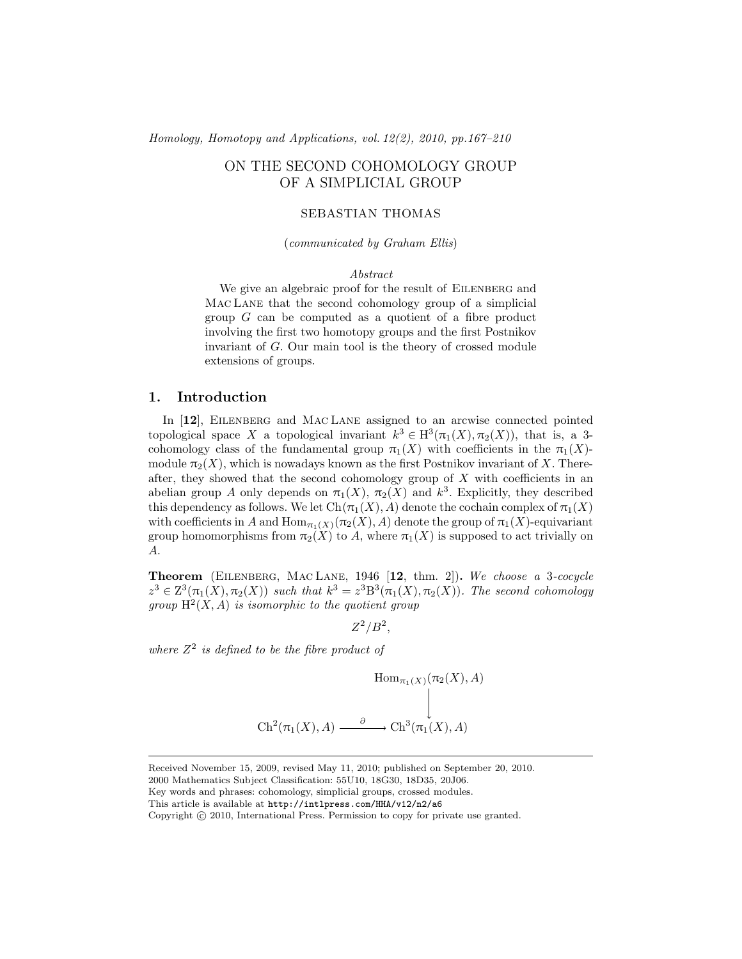*[Homology, Homotopy and Applications,](http://intlpress.com/HHA/) [vol. 12\(](http://intlpress.com/HHA/v12/)[2\)](http://intlpress.com/HHA/v12/n2/), 2010, pp.167–210*

# ON THE SECOND COHOMOLOGY GROUP OF A SIMPLICIAL GROUP

# SEBASTIAN THOMAS

(*communicated by Graham Ellis*)

#### *Abstract*

We give an algebraic proof for the result of EILENBERG and Mac Lane that the second cohomology group of a simplicial group G can be computed as a quotient of a fibre product involving the first two homotopy groups and the first Postnikov invariant of G. Our main tool is the theory of crossed module extensions of groups.

# 1. Introduction

In [[12](#page-42-0)], EILENBERG and MAC LANE assigned to an arcwise connected pointed topological space X a topological invariant  $k^3 \in H^3(\pi_1(X), \pi_2(X))$ , that is, a 3cohomology class of the fundamental group  $\pi_1(X)$  with coefficients in the  $\pi_1(X)$ module  $\pi_2(X)$ , which is nowadays known as the first Postnikov invariant of X. Thereafter, they showed that the second cohomology group of  $X$  with coefficients in an abelian group A only depends on  $\pi_1(X)$ ,  $\pi_2(X)$  and  $k^3$ . Explicitly, they described this dependency as follows. We let  $Ch(\pi_1(X), A)$  denote the cochain complex of  $\pi_1(X)$ with coefficients in A and  $\text{Hom}_{\pi_1(X)}(\pi_2(X), A)$  denote the group of  $\pi_1(X)$ -equivariant group homomorphisms from  $\pi_2(X)$  to A, where  $\pi_1(X)$  is supposed to act trivially on A.

Theorem (Eilenberg, Mac Lane, 1946 [[12](#page-42-0), thm. 2]). *We choose a* 3*-cocycle*  $z^3 \in \mathbb{Z}^3(\pi_1(X), \pi_2(X))$  such that  $k^3 = z^3 \mathbb{B}^3(\pi_1(X), \pi_2(X))$ . The second cohomology group  $H^2(X, A)$  *is isomorphic to the quotient group* 

 $Z^2/B^2$ ,

*where* Z 2 *is defined to be the fibre product of*

Hom<sub> $\pi_1(X)$ </sub> $(\pi_2(X), A)$  $\operatorname{Ch}^2(\pi_1(X),A) \xrightarrow{\partial} \operatorname{Ch}^3(\pi_1(X),A)$ 

Received November 15, 2009, revised May 11, 2010; published on September 20, 2010.

2000 Mathematics Subject Classification: 55U10, 18G30, 18D35, 20J06.

Key words and phrases: cohomology, simplicial groups, crossed modules.

This article is available at <http://intlpress.com/HHA/v12/n2/a6>

Copyright (c) 2010, International Press. Permission to copy for private use granted.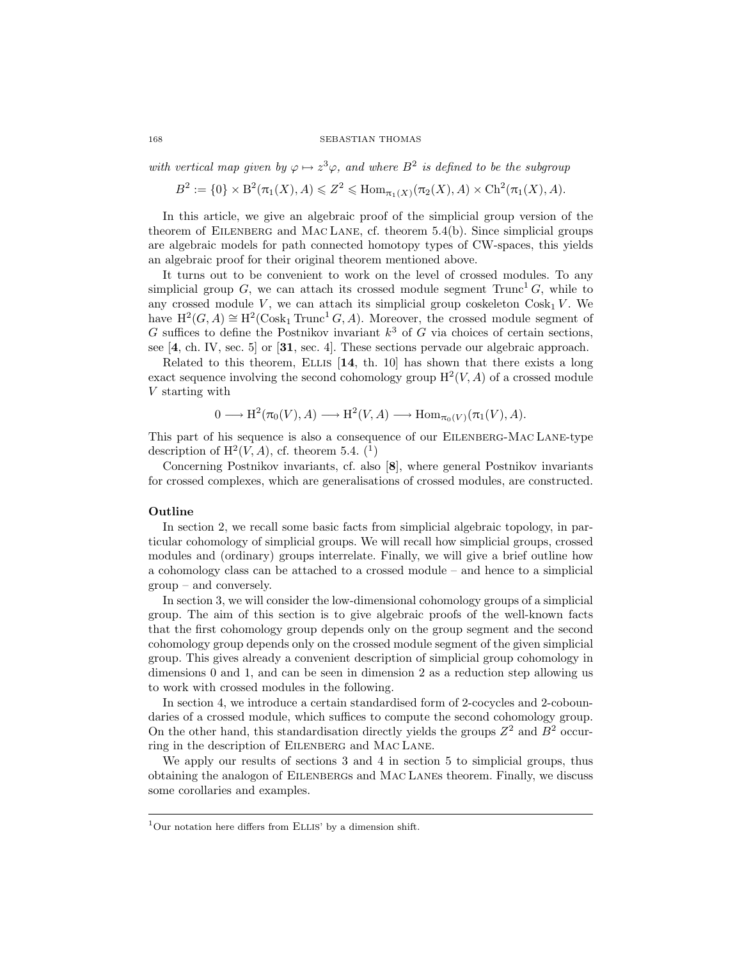with vertical map given by  $\varphi \mapsto z^3 \varphi$ , and where  $B^2$  is defined to be the subgroup

 $B^2 := \{0\} \times B^2(\pi_1(X), A) \leq Z^2 \leq \text{Hom}_{\pi_1(X)}(\pi_2(X), A) \times \text{Ch}^2(\pi_1(X), A).$ 

In this article, we give an algebraic proof of the simplicial group version of the theorem of EILENBERG and MAC LANE, cf. theorem  $5.4(b)$ . Since simplicial groups are algebraic models for path connected homotopy types of CW-spaces, this yields an algebraic proof for their original theorem mentioned above.

It turns out to be convenient to work on the level of crossed modules. To any simplicial group G, we can attach its crossed module segment  $Trunc<sup>1</sup>G$ , while to any crossed module V, we can attach its simplicial group coskeleton  $\text{Cosk}_1 V$ . We have  $H^2(G, A) \cong H^2(\text{Cosk}_1 \text{Trunc}^1 G, A)$ . Moreover, the crossed module segment of G suffices to define the Postnikov invariant  $k^3$  of G via choices of certain sections, see [[4](#page-42-1), ch. IV, sec. 5] or [[31](#page-43-0), sec. 4]. These sections pervade our algebraic approach.

Related to this theorem, ELLIS  $[14, th. 10]$  $[14, th. 10]$  $[14, th. 10]$  has shown that there exists a long exact sequence involving the second cohomology group  $H^2(V, A)$  of a crossed module V starting with

$$
0 \longrightarrow H^2(\pi_0(V), A) \longrightarrow H^2(V, A) \longrightarrow \text{Hom}_{\pi_0(V)}(\pi_1(V), A).
$$

This part of his sequence is also a consequence of our Eilenberg-Mac Lane-type description of  $H^2(V, A)$ , cf. theorem [5.4.](#page-39-0) (<sup>[1](#page-1-0)</sup>)

Concerning Postnikov invariants, cf. also [[8](#page-42-3)], where general Postnikov invariants for crossed complexes, which are generalisations of crossed modules, are constructed.

## Outline

In section [2,](#page-3-0) we recall some basic facts from simplicial algebraic topology, in particular cohomology of simplicial groups. We will recall how simplicial groups, crossed modules and (ordinary) groups interrelate. Finally, we will give a brief outline how a cohomology class can be attached to a crossed module – and hence to a simplicial group – and conversely.

In section [3,](#page-13-0) we will consider the low-dimensional cohomology groups of a simplicial group. The aim of this section is to give algebraic proofs of the well-known facts that the first cohomology group depends only on the group segment and the second cohomology group depends only on the crossed module segment of the given simplicial group. This gives already a convenient description of simplicial group cohomology in dimensions 0 and 1, and can be seen in dimension 2 as a reduction step allowing us to work with crossed modules in the following.

In section [4,](#page-24-0) we introduce a certain standardised form of 2-cocycles and 2-coboundaries of a crossed module, which suffices to compute the second cohomology group. On the other hand, this standardisation directly yields the groups  $Z^2$  and  $B^2$  occurring in the description of Eilenberg and Mac Lane.

We apply our results of sections [3](#page-13-0) and [4](#page-24-0) in section [5](#page-38-0) to simplicial groups, thus obtaining the analogon of Eilenbergs and Mac Lanes theorem. Finally, we discuss some corollaries and examples.

<span id="page-1-0"></span> $1$ Our notation here differs from ELLIS' by a dimension shift.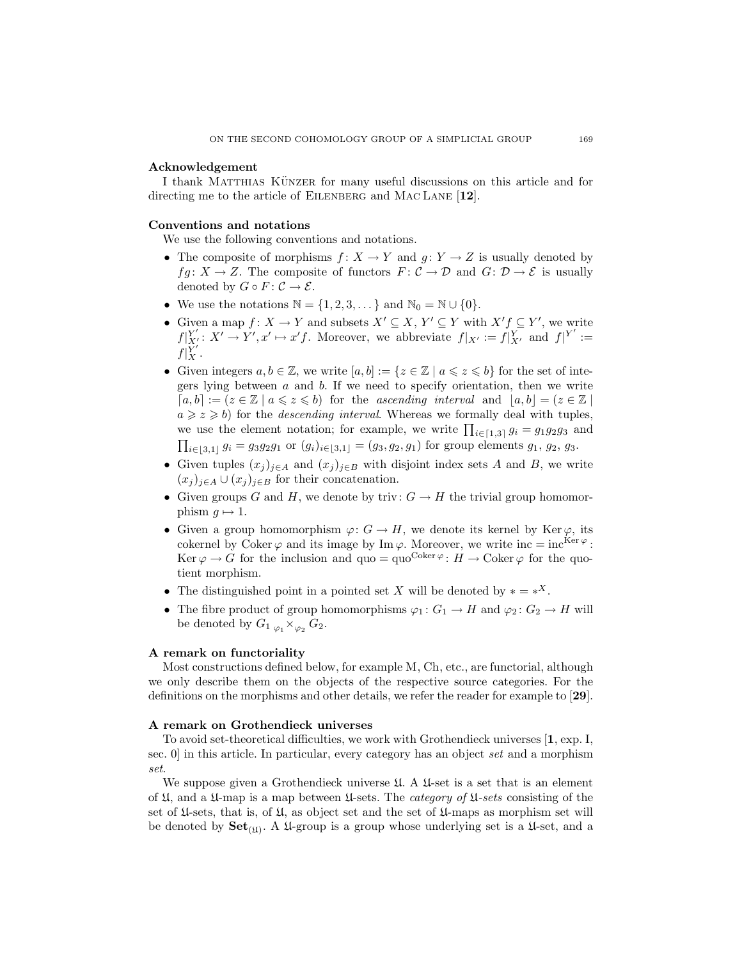## Acknowledgement

I thank MATTHIAS KÜNZER for many useful discussions on this article and for directing me to the article of EILENBERG and MAC LANE [[12](#page-42-0)].

## Conventions and notations

We use the following conventions and notations.

- The composite of morphisms  $f: X \to Y$  and  $g: Y \to Z$  is usually denoted by  $f \circ g : X \to Z$ . The composite of functors  $F : C \to \mathcal{D}$  and  $G : \mathcal{D} \to \mathcal{E}$  is usually denoted by  $G \circ F : \mathcal{C} \to \mathcal{E}.$
- We use the notations  $\mathbb{N} = \{1, 2, 3, \dots\}$  and  $\mathbb{N}_0 = \mathbb{N} \cup \{0\}.$
- Given a map  $f: X \to Y$  and subsets  $X' \subseteq X, Y' \subseteq Y$  with  $X'f \subseteq Y'$ , we write  $f|_{X'}^{Y'}: X' \to Y', x' \mapsto x'f$ . Moreover, we abbreviate  $f|_{X'} := f|_{X'}^{Y}$  and  $f|_{Y'}^{Y'} :=$  $f|_X^{Y'}$ .
- Given integers  $a, b \in \mathbb{Z}$ , we write  $[a, b] := \{z \in \mathbb{Z} \mid a \leqslant z \leqslant b\}$  for the set of integers lying between  $a$  and  $b$ . If we need to specify orientation, then we write  $[a,b] := (z \in \mathbb{Z} \mid a \leqslant z \leqslant b)$  for the *ascending interval* and  $|a,b| = (z \in \mathbb{Z} \mid a \leqslant z \leqslant b)$  $a \geq z \geq b$ ) for the *descending interval*. Whereas we formally deal with tuples, we use the element notation; for example, we write  $\prod_{i \in [1,3]} g_i = g_1 g_2 g_3$  and  $\prod_{i\in [3,1]} g_i = g_3g_2g_1$  or  $(g_i)_{i\in [3,1]} = (g_3, g_2, g_1)$  for group elements  $g_1, g_2, g_3$ .
- Given tuples  $(x_j)_{j\in A}$  and  $(x_j)_{j\in B}$  with disjoint index sets A and B, we write  $(x_j)_{j\in A}\cup (x_j)_{j\in B}$  for their concatenation.
- Given groups G and H, we denote by triv:  $G \to H$  the trivial group homomorphism  $q \mapsto 1$ .
- Given a group homomorphism  $\varphi: G \to H$ , we denote its kernel by Ker $\varphi$ , its cokernel by Coker  $\varphi$  and its image by Im  $\varphi$ . Moreover, we write inc = inc<sup>Ker  $\varphi$ </sup>: Ker  $\varphi \to G$  for the inclusion and quo = quo<sup>Coker</sup>  $\varphi$ :  $H \to \text{Coker } \varphi$  for the quotient morphism.
- The distinguished point in a pointed set X will be denoted by  $* = *^X$ .
- The fibre product of group homomorphisms  $\varphi_1: G_1 \to H$  and  $\varphi_2: G_2 \to H$  will be denoted by  $G_1 \underset{\varphi_1}{\times}_{\varphi_2} G_2$ .

# A remark on functoriality

Most constructions defined below, for example M, Ch, etc., are functorial, although we only describe them on the objects of the respective source categories. For the definitions on the morphisms and other details, we refer the reader for example to [[29](#page-43-1)].

### A remark on Grothendieck universes

To avoid set-theoretical difficulties, we work with Grothendieck universes [[1](#page-42-4), exp. I, sec. 0] in this article. In particular, every category has an object *set* and a morphism *set*.

We suppose given a Grothendieck universe  $\mathfrak{U}$ . A  $\mathfrak{U}$ -set is a set that is an element of U, and a U-map is a map between U-sets. The *category of* U*-sets* consisting of the set of  $\mathfrak{U}$ -sets, that is, of  $\mathfrak{U}$ , as object set and the set of  $\mathfrak{U}$ -maps as morphism set will be denoted by  $\mathbf{Set}_{(\mathfrak{U})}$ . A  $\mathfrak{U}\text{-}\mathrm{group}$  is a group whose underlying set is a  $\mathfrak{U}\text{-}\mathrm{set}$ , and a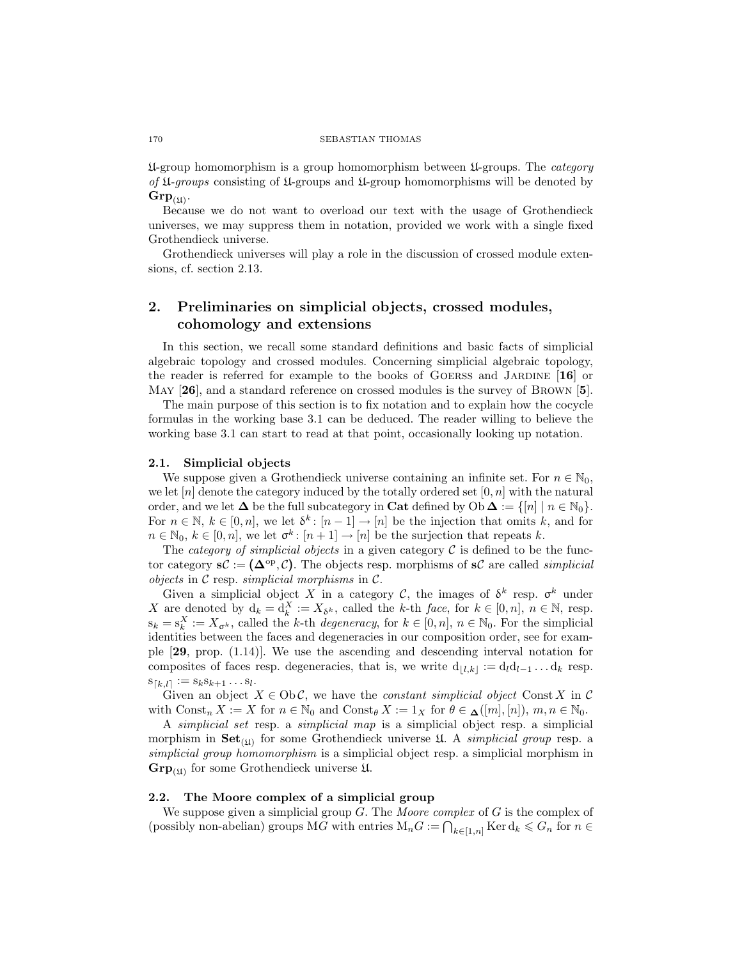U-group homomorphism is a group homomorphism between U-groups. The *category of* U*-groups* consisting of U-groups and U-group homomorphisms will be denoted by  $\mathrm{Grp}_{(\mathfrak{U})}.$ 

Because we do not want to overload our text with the usage of Grothendieck universes, we may suppress them in notation, provided we work with a single fixed Grothendieck universe.

Grothendieck universes will play a role in the discussion of crossed module extensions, cf. section [2.13.](#page-10-0)

# <span id="page-3-0"></span>2. Preliminaries on simplicial objects, crossed modules, cohomology and extensions

In this section, we recall some standard definitions and basic facts of simplicial algebraic topology and crossed modules. Concerning simplicial algebraic topology, the reader is referred for example to the books of GOERSS and JARDINE  $[16]$  $[16]$  $[16]$  or May [[26](#page-43-3)], and a standard reference on crossed modules is the survey of BROWN [[5](#page-42-5)].

The main purpose of this section is to fix notation and to explain how the cocycle formulas in the working base [3.1](#page-13-1) can be deduced. The reader willing to believe the working base [3.1](#page-13-1) can start to read at that point, occasionally looking up notation.

#### 2.1. Simplicial objects

We suppose given a Grothendieck universe containing an infinite set. For  $n \in \mathbb{N}_0$ , we let  $[n]$  denote the category induced by the totally ordered set  $[0, n]$  with the natural order, and we let  $\Delta$  be the full subcategory in Cat defined by Ob  $\Delta := \{ [n] \mid n \in \mathbb{N}_0 \}.$ For  $n \in \mathbb{N}, k \in [0, n],$  we let  $\delta^k$ :  $[n-1] \to [n]$  be the injection that omits k, and for  $n \in \mathbb{N}_0, k \in [0, n],$  we let  $\sigma^k : [n + 1] \to [n]$  be the surjection that repeats k.

The *category of simplicial objects* in a given category C is defined to be the functor category  $\mathbf{s} \mathcal{C} := (\mathbf{\Delta}^{\mathrm{op}}, \mathcal{C})$ . The objects resp. morphisms of  $\mathbf{s} \mathcal{C}$  are called *simplicial objects* in C resp. *simplicial morphisms* in C.

Given a simplicial object X in a category C, the images of  $\delta^k$  resp.  $\sigma^k$  under X are denoted by  $d_k = d_k^X := X_{\delta^k}$ , called the k-th *face*, for  $k \in [0, n]$ ,  $n \in \mathbb{N}$ , resp.  $s_k = s_k^X := X_{\sigma^k}$ , called the k-th *degeneracy*, for  $k \in [0, n]$ ,  $n \in \mathbb{N}_0$ . For the simplicial identities between the faces and degeneracies in our composition order, see for example [[29](#page-43-1), prop. (1.14)]. We use the ascending and descending interval notation for composites of faces resp. degeneracies, that is, we write  $d_{\vert l,k\vert} := d_l d_{l-1} \dots d_k$  resp.  $s_{[k,l]} := s_k s_{k+1} \dots s_l.$ 

Given an object  $X \in Ob\mathcal{C}$ , we have the *constant simplicial object* Const X in C with  $\text{Const}_n X := X$  for  $n \in \mathbb{N}_0$  and  $\text{Const}_\theta X := 1_X$  for  $\theta \in \mathcal{A}([m], [n]), m, n \in \mathbb{N}_0$ .

A *simplicial set* resp. a *simplicial map* is a simplicial object resp. a simplicial morphism in  $\mathbf{Set}_{(\mathfrak{U})}$  for some Grothendieck universe  $\mathfrak{U}$ . A *simplicial group* resp. a *simplicial group homomorphism* is a simplicial object resp. a simplicial morphism in  $\mathbf{Grp}_{(\mathfrak{U})}$  for some Grothendieck universe  $\mathfrak{U}$ .

## 2.2. The Moore complex of a simplicial group

We suppose given a simplicial group G. The *Moore complex* of G is the complex of (possibly non-abelian) groups MG with entries  $M_nG := \bigcap_{k \in [1,n]} \text{Ker } d_k \leq G_n$  for  $n \in$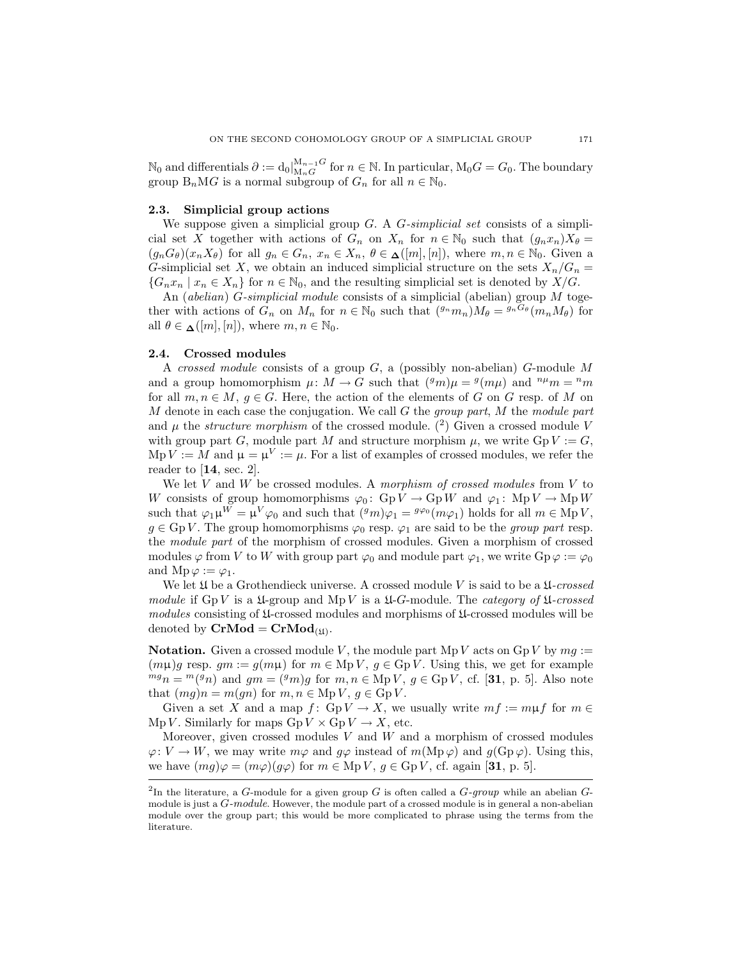$\mathbb{N}_0$  and differentials  $\partial := d_0\vert_{\mathcal{M}_nG}^{\mathcal{M}_{n-1}G}$  for  $n \in \mathbb{N}$ . In particular,  $\mathcal{M}_0G = G_0$ . The boundary group  $B_nMG$  is a normal subgroup of  $G_n$  for all  $n \in \mathbb{N}_0$ .

#### 2.3. Simplicial group actions

We suppose given a simplicial group G. A G*-simplicial set* consists of a simplicial set X together with actions of  $G_n$  on  $X_n$  for  $n \in \mathbb{N}_0$  such that  $(g_n x_n) X_\theta =$  $(g_nG_{\theta})(x_nX_{\theta})$  for all  $g_n \in G_n$ ,  $x_n \in X_n$ ,  $\theta \in \underline{\Lambda}([m],[n])$ , where  $m, n \in \mathbb{N}_0$ . Given a G-simplicial set X, we obtain an induced simplicial structure on the sets  $X_n/G_n =$  ${G_nx_n \mid x_n \in X_n}$  for  $n \in \mathbb{N}_0$ , and the resulting simplicial set is denoted by  $X/G$ .

An (*abelian*) G*-simplicial module* consists of a simplicial (abelian) group M together with actions of  $G_n$  on  $M_n$  for  $n \in \mathbb{N}_0$  such that  $({}^{g_n}m_n)M_\theta = {}^{g_n}G_\theta(m_nM_\theta)$  for all  $\theta \in \mathcal{L}([m], [n]),$  where  $m, n \in \mathbb{N}_0$ .

## <span id="page-4-1"></span>2.4. Crossed modules

A *crossed module* consists of a group G, a (possibly non-abelian) G-module M and a group homomorphism  $\mu \colon M \to G$  such that  $({}^gm)\mu = {}^g(m\mu)$  and  ${}^{n\mu}m = {}^nm$ for all  $m, n \in M$ ,  $g \in G$ . Here, the action of the elements of G on G resp. of M on M denote in each case the conjugation. We call G the *group part*, M the *module part* and  $\mu$  the *structure morphism* of the crossed module. ([2](#page-4-0)) Given a crossed module V with group part G, module part M and structure morphism  $\mu$ , we write Gp  $V := G$ ,  $\mathrm{Mp}\,V := M$  and  $\mu = \mu^V := \mu$ . For a list of examples of crossed modules, we refer the reader to  $[14, \text{ sec. } 2]$  $[14, \text{ sec. } 2]$  $[14, \text{ sec. } 2]$ .

We let V and W be crossed modules. A *morphism of crossed modules* from V to W consists of group homomorphisms  $\varphi_0: GpV \to GpW$  and  $\varphi_1: MpV \to MpW$ such that  $\varphi_1 \mu^W = \mu^V \varphi_0$  and such that  $({}^g m)\varphi_1 = {}^{g\varphi_0}(m\varphi_1)$  holds for all  $m \in MpV$ ,  $g \in \text{Gp } V$ . The group homomorphisms  $\varphi_0$  resp.  $\varphi_1$  are said to be the *group part* resp. the *module part* of the morphism of crossed modules. Given a morphism of crossed modules  $\varphi$  from V to W with group part  $\varphi_0$  and module part  $\varphi_1$ , we write  $Gp \varphi := \varphi_0$ and  $\mathrm{Mp}\,\varphi := \varphi_1$ .

We let  $\mathfrak U$  be a Grothendieck universe. A crossed module V is said to be a  $\mathfrak U\text{-}crossed$ *module* if Gp V is a U-group and Mp V is a U-G-module. The *category of* U*-crossed modules* consisting of U-crossed modules and morphisms of U-crossed modules will be denoted by  $\mathbf{CrMod} = \mathbf{CrMod}_{(\mathfrak{U})}.$ 

**Notation.** Given a crossed module V, the module part  $MpV$  acts on  $GpV$  by  $mg :=$  $(m\mu)$ g resp. gm := g $(m\mu)$  for  $m \in \text{Mp } V$ , g  $\in \text{Gp } V$ . Using this, we get for example  ${}^{mg}n = {}^{m}(g_n)$  and  $g_m = ({}^{g}m)g$  for  $m, n \in \text{Mp } V, g \in \text{Gp } V$ , cf. [[31](#page-43-0), p. 5]. Also note that  $(mg)n = m(gn)$  for  $m, n \in \text{Mp } V, g \in \text{Gp } V$ .

Given a set X and a map f: Gp  $V \to X$ , we usually write  $mf := m\mu f$  for  $m \in$ Mp V. Similarly for maps  $GpV \times GpV \to X$ , etc.

Moreover, given crossed modules  $V$  and  $W$  and a morphism of crossed modules  $\varphi: V \to W$ , we may write  $m\varphi$  and  $g\varphi$  instead of  $m(\text{Mp }\varphi)$  and  $g(\text{Gp }\varphi)$ . Using this, we have  $(mg)\varphi = (m\varphi)(g\varphi)$  for  $m \in \text{Mp } V$ ,  $g \in \text{Gp } V$ , cf. again [[31](#page-43-0), p. 5].

<span id="page-4-0"></span><sup>&</sup>lt;sup>2</sup>In the literature, a G-module for a given group G is often called a G-group while an abelian Gmodule is just a G-module. However, the module part of a crossed module is in general a non-abelian module over the group part; this would be more complicated to phrase using the terms from the literature.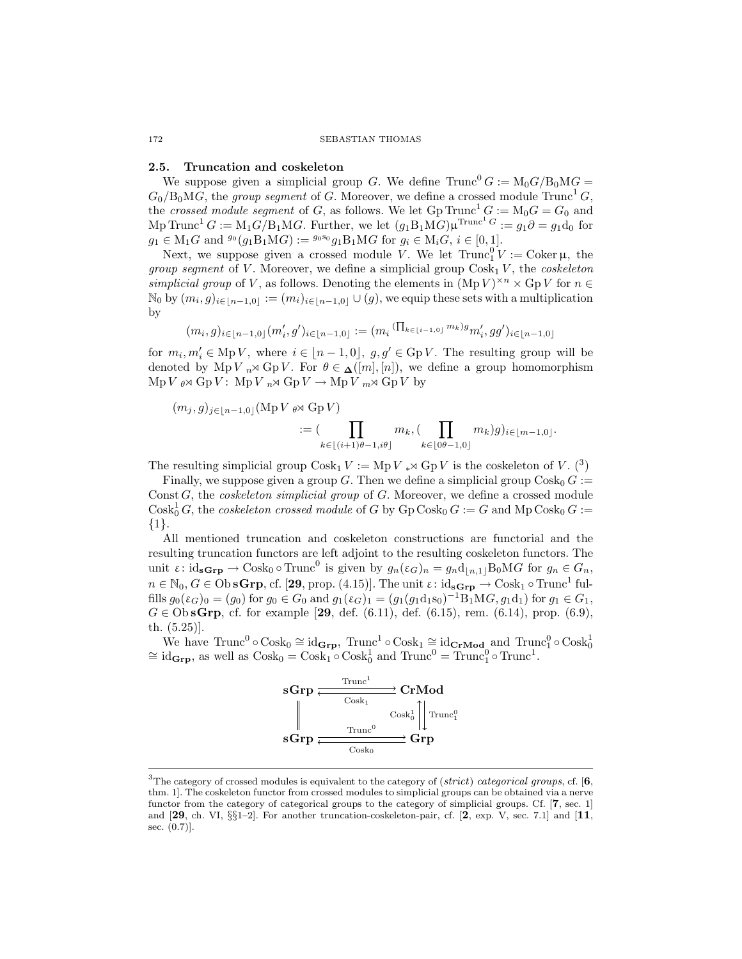#### 2.5. Truncation and coskeleton

We suppose given a simplicial group G. We define  $Trunc^{0} G := M_{0} G / B_{0} MG =$  $G_0/B_0MG$ , the *group segment* of G. Moreover, we define a crossed module Trunc<sup>1</sup> G, the *crossed module segment* of G, as follows. We let  $Gp\ Trunc^1 G := M_0G = G_0$  and Mp Trunc<sup>1</sup>  $G := M_1 G/B_1 M G$ . Further, we let  $(g_1 B_1 M G) \mu^{\text{Trunc}^1 G} := g_1 \partial = g_1 d_0$  for  $g_1 \in M_1G$  and  $g_0(g_1B_1MG) := g_0s_0g_1B_1MG$  for  $g_i \in M_iG$ ,  $i \in [0,1]$ .

Next, we suppose given a crossed module V. We let  $\text{Trunc}_1^0 V := \text{Coker }\mu$ , the *group segment* of V. Moreover, we define a simplicial group  $\text{Cosk}_1 V$ , the *coskeleton simplicial group* of V, as follows. Denoting the elements in  $(\text{Mp } V)^{\times n} \times \text{Gp } V$  for  $n \in$  $\mathbb{N}_0$  by  $(m_i, g)_{i \in [n-1, 0]} := (m_i)_{i \in [n-1, 0]} \cup (g)$ , we equip these sets with a multiplication by

$$
(m_i, g)_{i \in [n-1, 0]} (m'_i, g')_{i \in [n-1, 0]} := (m_i \, (\Pi_{k \in [i-1, 0]} \, m_k) g m'_i, gg')_{i \in [n-1, 0]}
$$

for  $m_i, m'_i \in \text{Mp } V$ , where  $i \in [n-1, 0]$ ,  $g, g' \in \text{Gp } V$ . The resulting group will be denoted by Mp V  $_n \rtimes G$  Gp V. For  $\theta \in \Delta([m], [n])$ , we define a group homomorphism  $\text{Mp }V \circ \mathcal{A} \text{ Gp }V: \text{ Mp }V \circ \mathcal{A} \text{ Gp }V \rightarrow \text{Mp }V \circ \mathcal{A} \text{ Gp }V \text{ by }$ 

$$
(m_j, g)_{j \in [n-1,0]} (\text{Mp } V \underset{k \in [(i+1)\theta-1, i\theta]}{\cup} m_k, (\prod_{k \in [0\theta-1,0]} m_k)g)_{i \in [m-1,0]}.
$$

The resulting simplicial group  $\text{Cosk}_1 V := \text{Mp } V$  \*  $\text{Gp } V$  is the coskeleton of V. (<sup>[3](#page-5-0)</sup>)

Finally, we suppose given a group G. Then we define a simplicial group  $\text{Cosk}_0 G :=$ Const G, the *coskeleton simplicial group* of G. Moreover, we define a crossed module  $\text{Cosk}_0^1 G$ , the *coskeleton crossed module* of G by  $\text{Gp Cosk}_0 G := G$  and  $\text{Mp Cosk}_0 G :=$ {1}.

All mentioned truncation and coskeleton constructions are functorial and the resulting truncation functors are left adjoint to the resulting coskeleton functors. The unit  $\varepsilon$ : id<sub>s</sub> $\mathbf{G}_{\mathbf{r}}$   $\to$  Cosk<sub>0</sub>  $\circ$  Trunc<sup>0</sup> is given by  $g_n(\varepsilon_G)_n = g_n \mathrm{d}_{[n,1]} B_0 M G$  for  $g_n \in G_n$ ,  $n \in \mathbb{N}_0, G \in \mathrm{Ob}\,\mathbf{sGrp}, \mathrm{cf.}$  [[29](#page-43-1), prop. (4.15)]. The unit  $\varepsilon \colon \mathrm{id}_{\mathbf{sGrp}} \to \mathrm{Cosk}_1 \circ \mathrm{Trunc}^1$  fulfills  $g_0(\varepsilon_G)_0 = (g_0)$  for  $g_0 \in G_0$  and  $g_1(\varepsilon_G)_1 = (g_1(g_1d_1s_0)^{-1}B_1MG, g_1d_1)$  for  $g_1 \in G_1$ ,  $G \in \text{ObsGrp, cf.}$  for example [[29](#page-43-1), def. (6.11), def. (6.15), rem. (6.14), prop. (6.9), th. (5.25)].

We have  $\text{Trunc}^0 \circ \text{Cosk}_0 \cong \text{id}_{\mathbf{Grp}}$ ,  $\text{Trunc}^1 \circ \text{Cosk}_1 \cong \text{id}_{\mathbf{CrMod}}$  and  $\text{Trunc}_1^0 \circ \text{Cosk}_0^1$ <br> $\cong \text{id}_{\mathbf{Grp}}$ , as well as  $\text{Cosk}_0 = \text{Cosk}_1 \circ \text{Cosk}_0^1$  and  $\text{Trunc}^0 = \text{Trunc}_1^0 \circ \text{Trunc}^1$ .



<span id="page-5-0"></span><sup>&</sup>lt;sup>3</sup>The category of crossed modules is equivalent to the category of (strict) categorical groups, cf. [[6](#page-42-6), thm. 1]. The coskeleton functor from crossed modules to simplicial groups can be obtained via a nerve functor from the category of categorical groups to the category of simplicial groups. Cf. [[7](#page-42-7), sec. 1] and [[29](#page-43-1), ch. VI,  $\S\S1-2$  $\S\S1-2$ ]. For another truncation-coskeleton-pair, cf. [2, exp. V, sec. 7.1] and [[11](#page-42-9), sec. (0.7)].

<span id="page-5-1"></span>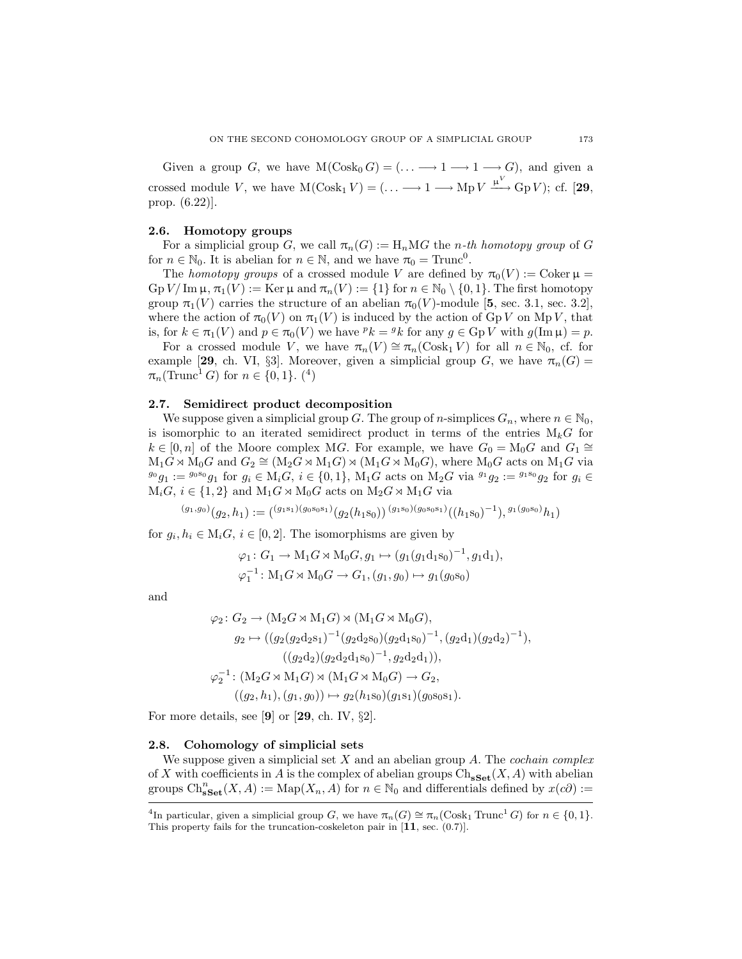Given a group G, we have  $M(Cosk_0 G) = (\ldots \longrightarrow 1 \longrightarrow 1 \longrightarrow G)$ , and given a crossed module V, we have  $M(Cosk_1 V) = (\dots \longrightarrow 1 \longrightarrow Mp V \xrightarrow{\mu V} Gp V);$  cf. [[29](#page-43-1), prop. (6.22)].

#### 2.6. Homotopy groups

For a simplicial group G, we call  $\pi_n(G) := H_n M G$  the *n*-th homotopy group of G for  $n \in \mathbb{N}_0$ . It is abelian for  $n \in \mathbb{N}$ , and we have  $\pi_0 = \text{Trunc}^0$ .

The *homotopy groups* of a crossed module V are defined by  $\pi_0(V) := \text{Coker } \mu =$  $\mathop{\mathrm{Gp}}\nolimits V/\mathop{\mathrm{Im}}\nolimits\mu, \pi_1(V) := \mathop{\mathrm{Ker}}\nolimits\mu$  and  $\pi_n(V) := \{1\}$  for  $n \in \mathbb{N}_0 \setminus \{0, 1\}$ . The first homotopy group  $\pi_1(V)$  carries the structure of an abelian  $\pi_0(V)$ -module [[5](#page-42-5), sec. 3.1, sec. 3.2], where the action of  $\pi_0(V)$  on  $\pi_1(V)$  is induced by the action of GpV on MpV, that is, for  $k \in \pi_1(V)$  and  $p \in \pi_0(V)$  we have  ${}^p k = {}^g k$  for any  $g \in \text{Gp } V$  with  $g(\text{Im }\mu) = p$ .

For a crossed module V, we have  $\pi_n(V) \cong \pi_n(\text{Cosk}_1 V)$  for all  $n \in \mathbb{N}_0$ , cf. for example [[29](#page-43-1), ch. VI, §3]. Moreover, given a simplicial group G, we have  $\pi_n(G)$  =  $\pi_n(\text{Trunc}^1 G)$  for  $n \in \{0, 1\}$ . ([4](#page-6-0))

#### <span id="page-6-1"></span>2.7. Semidirect product decomposition

We suppose given a simplicial group G. The group of n-simplices  $G_n$ , where  $n \in \mathbb{N}_0$ , is isomorphic to an iterated semidirect product in terms of the entries  $M_kG$  for  $k \in [0,n]$  of the Moore complex MG. For example, we have  $G_0 = M_0G$  and  $G_1 \cong$  $M_1G \rtimes M_0G$  and  $G_2 \cong (M_2G \rtimes M_1G) \rtimes (M_1G \rtimes M_0G)$ , where  $M_0G$  acts on  $M_1G$  via  $g_0 g_1 := g_0 s_0 g_1$  for  $g_i \in M_i G$ ,  $i \in \{0, 1\}$ ,  $M_1 G$  acts on  $M_2 G$  via  $g_1 g_2 := g_1 s_0 g_2$  for  $g_i \in G$  $M_iG, i \in \{1,2\}$  and  $M_1G \rtimes M_0G$  acts on  $M_2G \rtimes M_1G$  via

$$
^{(g_1, g_0)}(g_2, h_1):=((^{g_1\mathbf{s}_1)(g_0\mathbf{s}_0\mathbf{s}_1)}(g_2(h_1\mathbf{s}_0))\, {}^{(g_1\mathbf{s}_0)(g_0\mathbf{s}_0\mathbf{s}_1)}((h_1\mathbf{s}_0)^{-1}),^{g_1(g_0\mathbf{s}_0)}h_1)
$$

for  $g_i, h_i \in M_i$ ,  $i \in [0, 2]$ . The isomorphisms are given by

$$
\varphi_1: G_1 \to M_1G \rtimes M_0G, g_1 \mapsto (g_1(g_1d_1s_0)^{-1}, g_1d_1),
$$
  

$$
\varphi_1^{-1}: M_1G \rtimes M_0G \to G_1, (g_1, g_0) \mapsto g_1(g_0s_0)
$$

and

$$
\varphi_2 \colon G_2 \to (\mathbf{M}_2 G \rtimes \mathbf{M}_1 G) \rtimes (\mathbf{M}_1 G \rtimes \mathbf{M}_0 G),
$$
  
\n
$$
g_2 \mapsto ((g_2 (g_2 \mathbf{d}_2 \mathbf{s}_1)^{-1} (g_2 \mathbf{d}_2 \mathbf{s}_0) (g_2 \mathbf{d}_1 \mathbf{s}_0)^{-1}, (g_2 \mathbf{d}_1) (g_2 \mathbf{d}_2)^{-1}),
$$
  
\n
$$
(\mathbf{g}_2 \mathbf{d}_2) (\mathbf{g}_2 \mathbf{d}_2 \mathbf{d}_1 \mathbf{s}_0)^{-1}, g_2 \mathbf{d}_2 \mathbf{d}_1)),
$$
  
\n
$$
\varphi_2^{-1} \colon (\mathbf{M}_2 G \rtimes \mathbf{M}_1 G) \rtimes (\mathbf{M}_1 G \rtimes \mathbf{M}_0 G) \to G_2,
$$
  
\n
$$
((g_2, h_1), (g_1, g_0)) \mapsto g_2(h_1 \mathbf{s}_0) (g_1 \mathbf{s}_1) (g_0 \mathbf{s}_0 \mathbf{s}_1).
$$

For more details, see [[9](#page-42-10)] or [[29](#page-43-1), ch. IV,  $\S 2$ ].

#### 2.8. Cohomology of simplicial sets

We suppose given a simplicial set X and an abelian group A. The *cochain complex* of X with coefficients in A is the complex of abelian groups  $\text{Ch}_{\textbf{sSet}}(X, A)$  with abelian groups  $\text{Ch}^n_{\textbf{sSet}}(X, A) := \text{Map}(X_n, A)$  for  $n \in \mathbb{N}_0$  and differentials defined by  $x(c\partial) :=$ 

<span id="page-6-0"></span><sup>&</sup>lt;sup>4</sup>In particular, given a simplicial group G, we have  $\pi_n(G) \cong \pi_n(\text{Cosk}_1 \text{Trunc}^1 G)$  for  $n \in \{0, 1\}$ . This property fails for the truncation-coskeleton pair in  $[11, \text{ sec.} (0.7)]$  $[11, \text{ sec.} (0.7)]$  $[11, \text{ sec.} (0.7)]$ .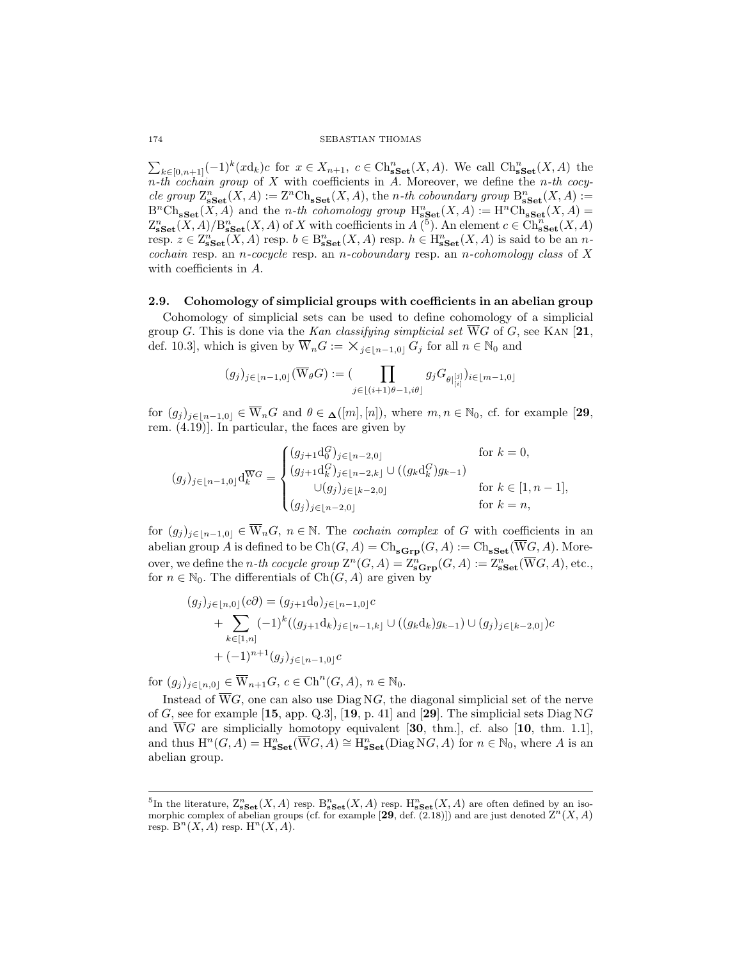$\sum_{k\in[0,n+1]} (-1)^k (x\mathrm{d}_k)c$  for  $x\in X_{n+1}, c\in \mathrm{Ch}_{\mathbf{sSet}}^n(X,A)$ . We call  $\mathrm{Ch}_{\mathbf{sSet}}^n(X,A)$  the n*-th cochain group* of X with coefficients in A. Moreover, we define the n*-th cocy* $cle\ group\ Z^n_{\bf sSet}(X,A):= {\bf Z}^n\mathrm{Ch}_{\bf sSet}(X,A),$  the *n*-th coboundary group  $\mathrm{B}^n_{\bf sSet}(X,A):=$  $B<sup>n</sup>Ch<sub>sSet</sub>(X, A)$  and the *n-th cohomology group*  $H<sub>sSet</sub><sup>n</sup>(X, A) := H<sup>n</sup>Ch<sub>sSet</sub>(X, A)$  $\mathbb{Z}_{\bf sSet}^n(X,A)/\mathbb{B}_{\bf sSet}^n(X,A)$  of X with coefficients in  $A^{(5)}$  $A^{(5)}$  $A^{(5)}$ . An element  $c \in \mathrm{Ch}_{\bf sSet}^n(X,A)$ resp.  $z \in \mathbb{Z}_{\textbf{sset}}^n(X, A)$  resp.  $b \in \mathcal{B}_{\textbf{sset}}^n(X, A)$  resp.  $h \in \mathcal{H}_{\textbf{sset}}^n(X, A)$  is said to be an  $n$ *cochain* resp. an n*-cocycle* resp. an n*-coboundary* resp. an n*-cohomology class* of X with coefficients in A.

# 2.9. Cohomology of simplicial groups with coefficients in an abelian group

Cohomology of simplicial sets can be used to define cohomology of a simplicial group G. This is done via the *Kan classifying simplicial set*  $\overline{W}G$  of G, see KAN [[21](#page-43-4), def. 10.3], which is given by  $\overline{W}_nG := \times_{i \in [n-1,0]} G_i$  for all  $n \in \mathbb{N}_0$  and

$$
(g_j)_{j\in \lfloor n-1,0\rfloor}(\overline{\mathbf{W}}_\theta G):=(\prod_{j\in \lfloor (i+1)\theta-1, i\theta\rfloor}g_jG_{\theta\left|\binom{[j]}{i}\right}i\in \lfloor m-1,0\rfloor
$$

for  $(g_i)_{i\in[n-1,0]} \in \overline{W}_nG$  and  $\theta \in \underline{\Lambda}([m],[n])$ , where  $m, n \in \mathbb{N}_0$ , cf. for example [[29](#page-43-1), rem.  $(4.19)$ ]. In particular, the faces are given by

$$
(g_j)_{j \in [n-1,0]} d_k^{\overline{W}G} = \begin{cases} (g_{j+1} d_0^G)_{j \in [n-2,0]} & \text{for } k = 0, \\ (g_{j+1} d_k^G)_{j \in [n-2,k]} \cup ((g_k d_k^G) g_{k-1}) & \text{for } k \in [1, n-1], \\ (g_j)_{j \in [n-2,0]} & \text{for } k = n, \end{cases}
$$

for  $(g_j)_{j\in[n-1,0]} \in \overline{W}_nG$ ,  $n \in \mathbb{N}$ . The *cochain complex* of G with coefficients in an abelian group A is defined to be  $Ch(G, A) = Ch_{\bf sGrp}(G, A) := Ch_{\bf sSet}(\overline{W}G, A)$ . Moreover, we define the *n*-th cocycle group  $\mathbb{Z}^n(G, A) = \mathbb{Z}^n_{\mathbf{sGrp}}(G, A) := \mathbb{Z}^n_{\mathbf{sSet}}(\overline{\mathbf{W}}G, A)$ , etc., for  $n \in \mathbb{N}_0$ . The differentials of  $Ch(G, A)$  are given by

$$
(g_j)_{j \in [n,0]}(c\partial) = (g_{j+1}d_0)_{j \in [n-1,0]}c + \sum_{k \in [1,n]} (-1)^k ((g_{j+1}d_k)_{j \in [n-1,k]} \cup ((g_kd_k)g_{k-1}) \cup (g_j)_{j \in [k-2,0]})c + (-1)^{n+1}(g_j)_{j \in [n-1,0]}c
$$

for  $(g_j)_{j\in [n,0]}\in \overline{\mathcal{W}}_{n+1}G, c\in \mathrm{Ch}^n(G,A), n\in \mathbb{N}_0.$ 

Instead of  $\overline{W}G$ , one can also use Diag NG, the diagonal simplicial set of the nerve of G, see for example [[15](#page-42-11), app. Q.3], [[19](#page-43-5), p. 41] and [[29](#page-43-1)]. The simplicial sets Diag NG and WG are simplicially homotopy equivalent [[30](#page-43-6), thm.], cf. also  $[10, \text{ thm. } 1.1]$  $[10, \text{ thm. } 1.1]$  $[10, \text{ thm. } 1.1]$ , and thus  $H^n(G, A) = H^n_{\textbf{sSet}}(\overline{W}G, A) \cong H^n_{\textbf{sSet}}(\text{Diag } NG, A)$  for  $n \in \mathbb{N}_0$ , where A is an abelian group.

<span id="page-7-0"></span><sup>&</sup>lt;sup>5</sup>In the literature,  $\mathcal{Z}_{\mathbf{sSet}}^n(X, A)$  resp.  $\mathcal{B}_{\mathbf{sSet}}^n(X, A)$  resp.  $\mathcal{H}_{\mathbf{sSet}}^n(X, A)$  are often defined by an isomorphic complex of abelian groups (cf. for example  $[29, \text{def. } (2.18)]$  $[29, \text{def. } (2.18)]$  $[29, \text{def. } (2.18)]$ ) and are just denoted  $\mathbb{Z}^n(X, A)$ resp.  $B<sup>n</sup>(X, A)$  resp.  $H<sup>n</sup>(X, A)$ .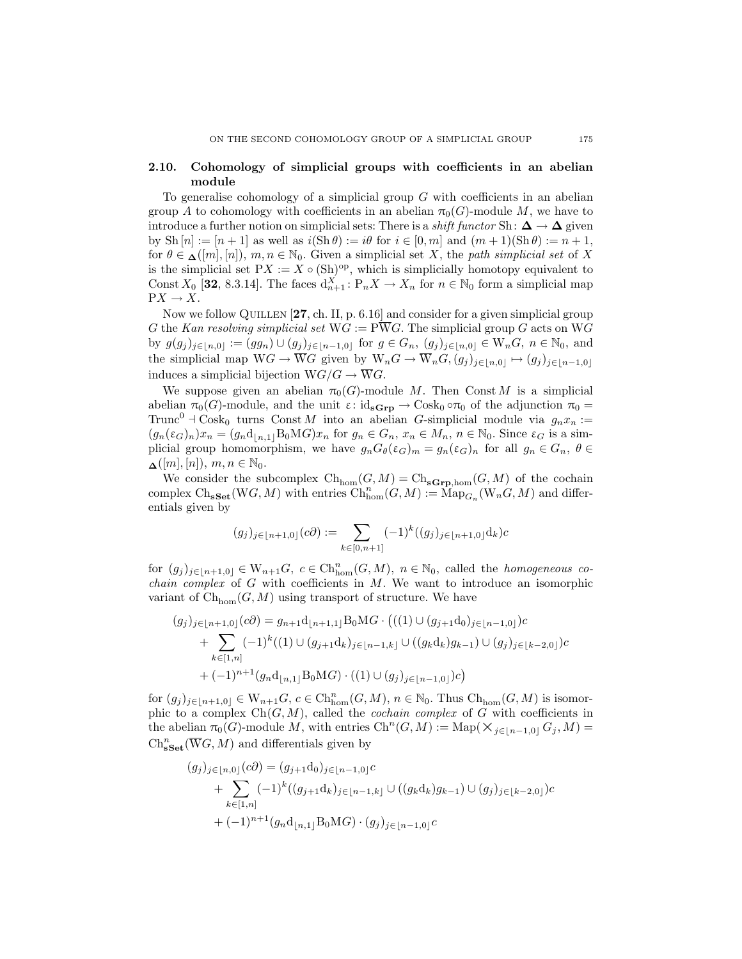# 2.10. Cohomology of simplicial groups with coefficients in an abelian module

To generalise cohomology of a simplicial group  $G$  with coefficients in an abelian group A to cohomology with coefficients in an abelian  $\pi_0(G)$ -module M, we have to introduce a further notion on simplicial sets: There is a *shift functor* Sh:  $\Delta \rightarrow \Delta$  given by Sh  $[n] := [n+1]$  as well as  $i(Sh \theta) := i\theta$  for  $i \in [0, m]$  and  $(m+1)(Sh \theta) := n+1$ , for  $\theta \in \mathcal{A}([m], [n]), m, n \in \mathbb{N}_0$ . Given a simplicial set X, the *path simplicial set* of X is the simplicial set  $PX := X \circ (Sh)^{op}$ , which is simplicially homotopy equivalent to Const  $X_0$  [[32](#page-43-7), 8.3.14]. The faces  $d_{n+1}^X : P_n X \to X_n$  for  $n \in \mathbb{N}_0$  form a simplicial map  $\mathrm{P}X \to X.$ 

Now we follow QUILLEN [[27](#page-43-8), ch. II, p. 6.16] and consider for a given simplicial group G the *Kan resolving simplicial set*  $WG := P\overline{W}G$ . The simplicial group G acts on WG by  $g(g_j)_{j\in [n,0]} := (gg_n) \cup (g_j)_{j\in [n-1,0]}$  for  $g \in G_n$ ,  $(g_j)_{j\in [n,0]} \in W_nG$ ,  $n \in \mathbb{N}_0$ , and the simplicial map  $WG \to \overline{W}G$  given by  $W_nG \to \overline{W}_nG$ ,  $(g_j)_{j\in[n,0]} \mapsto (g_j)_{j\in[n-1,0]}$ induces a simplicial bijection  $WG/G \rightarrow \overline{W}G$ .

We suppose given an abelian  $\pi_0(G)$ -module M. Then Const M is a simplicial abelian  $\pi_0(G)$ -module, and the unit  $\varepsilon: id_{\mathbf{sGrp}} \to \text{Cosk}_0 \circ \pi_0$  of the adjunction  $\pi_0 =$ Trunc<sup>0</sup>  $\exists$  Cosk<sub>0</sub> turns Const M into an abelian G-simplicial module via  $g_n x_n :=$  $(g_n(\varepsilon_G)_n)x_n = (g_nd_{\lfloor n,1\rfloor}B_0MG)x_n$  for  $g_n \in G_n$ ,  $x_n \in M_n$ ,  $n \in \mathbb{N}_0$ . Since  $\varepsilon_G$  is a simplicial group homomorphism, we have  $g_nG_\theta(\varepsilon_G)_m = g_n(\varepsilon_G)_n$  for all  $g_n \in G_n$ ,  $\theta \in$  $\Delta([m],[n]), m, n \in \mathbb{N}_0.$ 

We consider the subcomplex  $\mathrm{Ch}_{\mathrm{hom}}(G, M) = \mathrm{Ch}_{\mathrm{sGrp,hom}}(G, M)$  of the cochain complex Ch<sub>sSet</sub>(WG, M) with entries  $\mathrm{Ch}^n_{\mathrm{hom}}(G,M) := \mathrm{Map}_{G_n}(\mathrm{W}_nG, M)$  and differentials given by

$$
(g_j)_{j \in [n+1,0]}(c\partial) := \sum_{k \in [0,n+1]} (-1)^k ((g_j)_{j \in [n+1,0]} \mathrm{d}_k) c
$$

for  $(g_j)_{j\in [n+1,0]} \in W_{n+1}G$ ,  $c \in \text{Ch}^n_{\text{hom}}(G,M)$ ,  $n \in \mathbb{N}_0$ , called the *homogeneous cochain complex* of G with coefficients in M. We want to introduce an isomorphic variant of  $\mathrm{Ch}_{\mathrm{hom}}(G, M)$  using transport of structure. We have

$$
(g_j)_{j \in [n+1,0]}(c\partial) = g_{n+1}d_{[n+1,1]}B_0MG \cdot \big(((1) \cup (g_{j+1}d_0)_{j \in [n-1,0]})c + \sum_{k \in [1,n]} (-1)^k ((1) \cup (g_{j+1}d_k)_{j \in [n-1,k]} \cup ((g_kd_k)g_{k-1}) \cup (g_j)_{j \in [k-2,0]})c + (-1)^{n+1}(g_n d_{[n,1]}B_0MG) \cdot ((1) \cup (g_j)_{j \in [n-1,0]})c\big)
$$

for  $(g_j)_{j\in [n+1,0]} \in W_{n+1}G$ ,  $c \in \mathrm{Ch}_{\mathrm{hom}}^n(G,M)$ ,  $n \in \mathbb{N}_0$ . Thus  $\mathrm{Ch}_{\mathrm{hom}}(G,M)$  is isomorphic to a complex  $Ch(G, M)$ , called the *cochain complex* of G with coefficients in the abelian  $\pi_0(G)$ -module M, with entries  $\mathrm{Ch}^n(G,M) := \mathrm{Map}(\times_{j \in [n-1,0]} G_j, M) =$  $\mathrm{Ch}^n_{\mathbf{sSet}}(\overline{\mathbf{W}}G, M)$  and differentials given by

$$
(g_j)_{j \in [n,0]}(c\partial) = (g_{j+1}d_0)_{j \in [n-1,0]}c + \sum_{k \in [1,n]} (-1)^k ((g_{j+1}d_k)_{j \in [n-1,k]} \cup ((g_kd_k)g_{k-1}) \cup (g_j)_{j \in [k-2,0]})c + (-1)^{n+1}(g_nd_{[n,1]}B_0MG) \cdot (g_j)_{j \in [n-1,0]}c
$$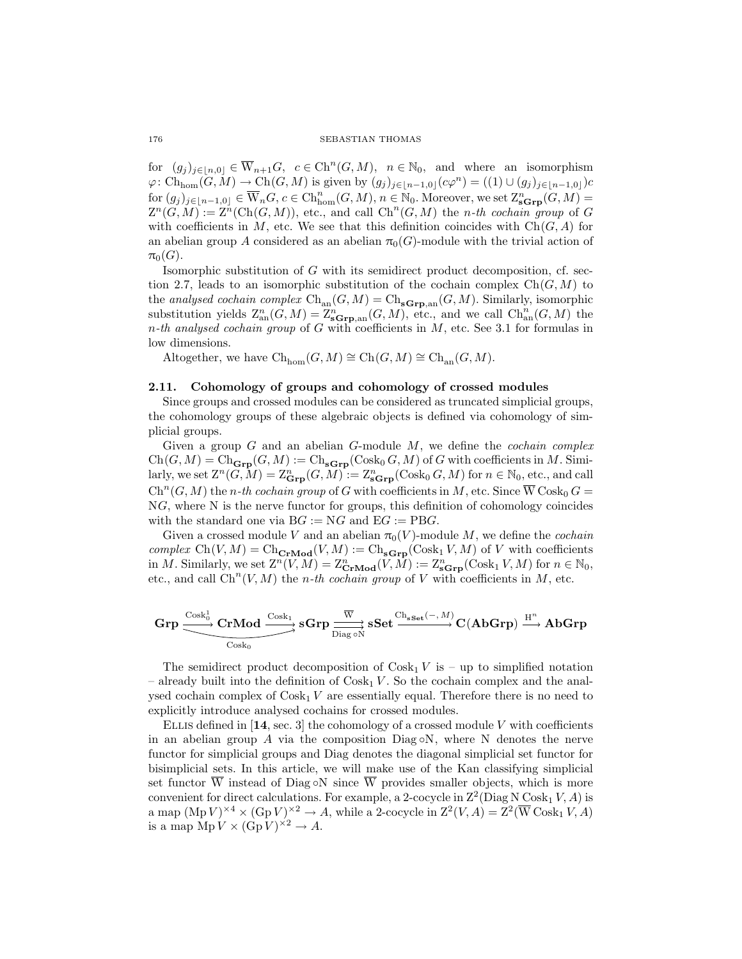for  $(g_j)_{j\in [n,0]}\in \overline{\mathbb{W}}_{n+1}G, c\in \mathrm{Ch}^n(G,M), n \in \mathbb{N}_0$ , and where an isomorphism  $\varphi: \mathrm{Ch}_{\mathrm{hom}}(G,M) \to \mathrm{Ch}(G,M)$  is given by  $(g_j)_{j\in [n-1,0]}(c\varphi^n) = ((1) \cup (g_j)_{j\in [n-1,0]})c$  $\text{for } (g_j)_{j\in[n-1,0]}\in \overline{\mathcal{W}}_nG, c\in \text{Ch}^n_{\text{hom}}(G,M), n\in\mathbb{N}_0.$  Moreover, we set  $\mathcal{Z}^n_{\text{sc}}(G,M)=$  $Z^n(G,M) := Z^n(\text{Ch}(G,M))$ , etc., and call  $\text{Ch}^n(G,M)$  the *n*-th cochain group of G with coefficients in M, etc. We see that this definition coincides with  $Ch(G, A)$  for an abelian group A considered as an abelian  $\pi_0(G)$ -module with the trivial action of  $\pi_0(G)$ .

Isomorphic substitution of G with its semidirect product decomposition, cf. sec-tion [2.7,](#page-6-1) leads to an isomorphic substitution of the cochain complex  $Ch(G, M)$  to the *analysed cochain complex*  $\text{Ch}_{\text{an}}(G, M) = \text{Ch}_{\text{sGrp},\text{an}}(G, M)$ . Similarly, isomorphic substitution yields  $\mathcal{Z}_{\text{an}}^n(G, M) = \mathcal{Z}_{\text{sGrp}, \text{an}}^n(G, M)$ , etc., and we call  $\mathrm{Ch}_{\text{an}}^n(G, M)$  the n*-th analysed cochain group* of G with coefficients in M, etc. See [3.1](#page-13-1) for formulas in low dimensions.

Altogether, we have  $\text{Ch}_{\text{hom}}(G, M) \cong \text{Ch}(G, M) \cong \text{Ch}_{\text{an}}(G, M)$ .

### <span id="page-9-0"></span>2.11. Cohomology of groups and cohomology of crossed modules

Since groups and crossed modules can be considered as truncated simplicial groups, the cohomology groups of these algebraic objects is defined via cohomology of simplicial groups.

Given a group G and an abelian G-module M, we define the *cochain complex*  $Ch(G, M) = Ch_{\mathbf{Grp}}(G, M) := Ch_{\mathbf{sGrp}}(\mathbf{Cosk}_{0} G, M)$  of G with coefficients in M. Similarly, we set  $\mathcal{Z}^n(\tilde{G},M) = \mathcal{Z}^n_{\mathbf{Grp}}(G,M) := \mathcal{Z}^n_{\mathbf{sGrp}}(\text{Cosk}_0 G, M)$  for  $n \in \mathbb{N}_0$ , etc., and call  $\mathrm{Ch}^n(G,M)$  the *n-th cochain group* of G with coefficients in M, etc. Since  $\overline{\mathrm{W}}$  Cosk<sub>0</sub> G = NG, where N is the nerve functor for groups, this definition of cohomology coincides with the standard one via  $BG := NG$  and  $EG := PBG$ .

Given a crossed module V and an abelian  $\pi_0(V)$ -module M, we define the *cochain complex*  $Ch(V, M) = Ch_{CrMod}(V, M) := Ch_{sGrp}(Cosk_1 V, M)$  of V with coefficients in M. Similarly, we set  $Z^n(V, M) = Z^n_{\text{CrMod}}(V, M) := Z^n_{\text{SGrp}}(\text{Cosk}_1 V, M)$  for  $n \in \mathbb{N}_0$ , etc., and call  $\mathrm{Ch}^n(V, M)$  the *n*-th cochain group of V with coefficients in M, etc.

$$
\mathbf{Grp} \xrightarrow{\operatorname{Cosk}^1_0} \mathbf{CrMod} \xrightarrow{\operatorname{Cosk}_1} s\mathbf{Grp} \xrightarrow{\overline{W}} s\mathbf{Set} \xrightarrow{\operatorname{Ch}_{s\mathbf{Set}}(-, \mathit{M})} C(\mathbf{AbGrp}) \xrightarrow{\mathrm{H}^n} \mathbf{AbGrp}
$$

The semidirect product decomposition of  $\text{Cosk}_1 V$  is – up to simplified notation – already built into the definition of  $\cos k_1 V$ . So the cochain complex and the analysed cochain complex of  $\text{Cosk}_1 V$  are essentially equal. Therefore there is no need to explicitly introduce analysed cochains for crossed modules.

ELLIS defined in  $[14, \text{ sec. } 3]$  $[14, \text{ sec. } 3]$  $[14, \text{ sec. } 3]$  the cohomology of a crossed module V with coefficients in an abelian group A via the composition  $Diag \circ N$ , where N denotes the nerve functor for simplicial groups and Diag denotes the diagonal simplicial set functor for bisimplicial sets. In this article, we will make use of the Kan classifying simplicial set functor W instead of  $Diag \circ N$  since W provides smaller objects, which is more convenient for direct calculations. For example, a 2-cocycle in  $\mathbb{Z}^2$ (Diag N Cosk<sub>1</sub> V, A) is a map  $(\text{Mp }V)^{\times 4} \times (\text{Gp }V)^{\times 2} \to A$ , while a 2-cocycle in  $\mathbb{Z}^2(V, A) = \mathbb{Z}^2(\overline{W} \cdot \text{Cosk}_1 V, A)$ is a map  $\mathrm{Mp}\, V \times (\mathrm{Gp}\, V)^{\times 2} \to A.$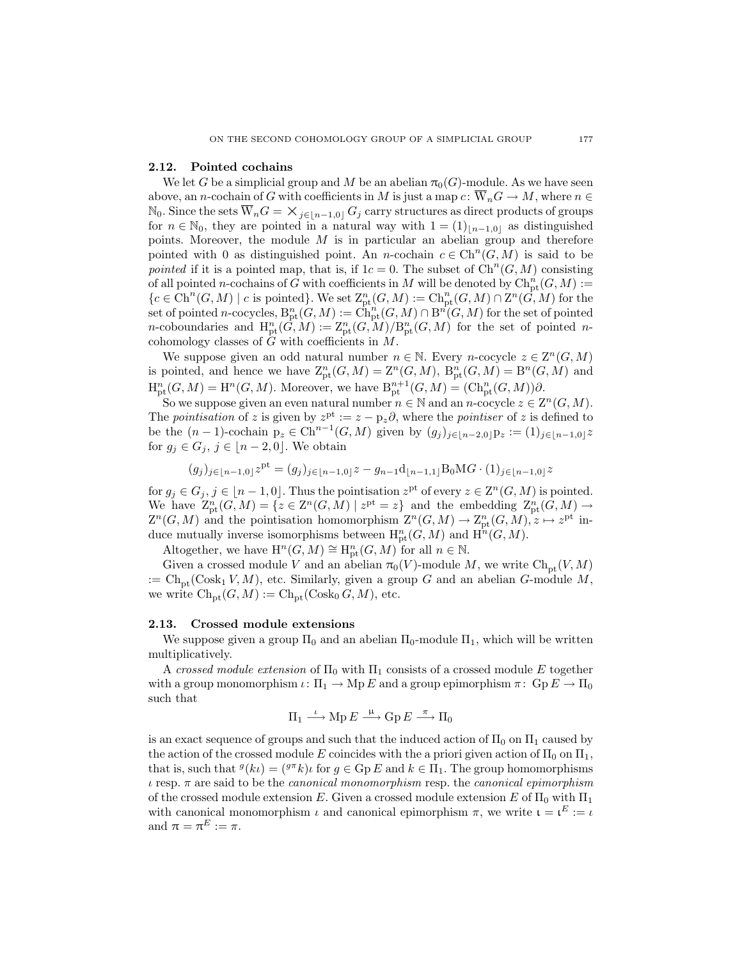# <span id="page-10-1"></span>2.12. Pointed cochains

We let G be a simplicial group and M be an abelian  $\pi_0(G)$ -module. As we have seen above, an *n*-cochain of G with coefficients in M is just a map  $c: \overline{W}_nG \to M$ , where  $n \in$  $\mathbb{N}_0$ . Since the sets  $\overline{W}_nG = \times_{j \in [n-1,0]} G_j$  carry structures as direct products of groups for  $n \in \mathbb{N}_0$ , they are pointed in a natural way with  $1 = (1)_{n-1,0}$  as distinguished points. Moreover, the module  $M$  is in particular an abelian group and therefore pointed with 0 as distinguished point. An n-cochain  $c \in \mathrm{Ch}^n(G, M)$  is said to be *pointed* if it is a pointed map, that is, if  $1c = 0$ . The subset of  $\mathrm{Ch}^n(G, M)$  consisting of all pointed n-cochains of G with coefficients in M will be denoted by  $\mathrm{Ch}_{\mathrm{pt}}^n(G,M):=$  ${c \in \mathrm{Ch}^n(G,M) \mid c \text{ is pointed}}$ . We set  $\mathbb{Z}_{pt}^n(G,M) := \mathrm{Ch}^n_{pt}(G,M) \cap \mathbb{Z}^n(\widetilde{G},M)$  for the  $\operatorname{set}$  of pointed n-cocycles,  $\mathrm{B}^n_{\mathrm{pt}}(G,M):=\mathrm{Ch}^n_{\mathrm{pt}}(G,M)\cap\mathrm{B}^n(G,M)$  for the set of pointed *n*-coboundaries and  $H_{pt}^n(\hat{G},M) := Z_{pt}^n(G,M)/B_{pt}^n(G,M)$  for the set of pointed *n*cohomology classes of  $\hat{G}$  with coefficients in  $M$ .

We suppose given an odd natural number  $n \in \mathbb{N}$ . Every n-cocycle  $z \in \mathbb{Z}^n(G,M)$ is pointed, and hence we have  $Z_{\text{pt}}^n(G,M) = Z^n(G,M)$ ,  $B_{\text{pt}}^n(G,M) = B^n(G,M)$  and  $H_{\rm pt}^n(G, M) = H^n(G, M)$ . Moreover, we have  $B_{\rm pt}^{n+1}(G, M) = (\mathrm{Ch}_{\rm pt}^n(G, M))\partial$ .

So we suppose given an even natural number  $n \in \mathbb{N}$  and an  $n$ -cocycle  $z \in \mathbb{Z}^n(G,M)$ . The *pointisation* of z is given by  $z^{pt} := z - p_z \partial$ , where the *pointiser* of z is defined to be the  $(n-1)$ -cochain  $p_z \in \text{Ch}^{n-1}(G,M)$  given by  $(g_j)_{j\in[n-2,0]}p_z := (1)_{j\in[n-1,0]}z$ for  $g_j \in G_j$ ,  $j \in [n-2, 0]$ . We obtain

$$
(g_j)_{j \in [n-1,0]} z^{\text{pt}} = (g_j)_{j \in [n-1,0]} z - g_{n-1} \mathbf{d}_{\lfloor n-1,1 \rfloor} \mathbf{B}_0 \mathbf{M} G \cdot (1)_{j \in \lfloor n-1,0 \rfloor} z
$$

for  $g_j \in G_j$ ,  $j \in [n-1,0]$ . Thus the pointisation  $z^{pt}$  of every  $z \in \mathbb{Z}^n(G,M)$  is pointed. We have  $Z_{\text{pt}}^n(G,M) = \{z \in Z^n(G,M) \mid z^{\text{pt}} = z\}$  and the embedding  $Z_{\text{pt}}^n(G,M) \to$  $Z^{n}(G, M)$  and the pointisation homomorphism  $Z^{n}(G, M) \to \mathbb{Z}_{pt}^{n}(G, M), z \mapsto z^{\text{pt}}$  induce mutually inverse isomorphisms between  $H_{pt}^n(G, M)$  and  $H^n(G, M)$ .

Altogether, we have  $\mathrm{H}^n(G,M) \cong \mathrm{H}^n_{\mathrm{pt}}(G,M)$  for all  $n \in \mathbb{N}$ .

Given a crossed module V and an abelian  $\pi_0(V)$ -module M, we write  $\text{Ch}_{\text{pt}}(V, M)$ :=  $\text{Ch}_{\text{nt}}(\text{Cosk}_1 V, M)$ , etc. Similarly, given a group G and an abelian G-module M, we write  $\text{Ch}_{\text{pt}}(G, M) := \text{Ch}_{\text{pt}}(\text{Cosk}_0 G, M)$ , etc.

### <span id="page-10-0"></span>2.13. Crossed module extensions

We suppose given a group  $\Pi_0$  and an abelian  $\Pi_0$ -module  $\Pi_1$ , which will be written multiplicatively.

A *crossed module extension* of  $\Pi_0$  with  $\Pi_1$  consists of a crossed module E together with a group monomorphism  $\iota: \Pi_1 \to \text{Mp } E$  and a group epimorphism  $\pi: \text{Gp } E \to \Pi_0$ such that

$$
\Pi_1 \stackrel{\iota}{\longrightarrow} {\rm Mp}\,E \stackrel{\mu}{\longrightarrow} {\rm Gp}\,E \stackrel{\pi}{\longrightarrow} \Pi_0
$$

is an exact sequence of groups and such that the induced action of  $\Pi_0$  on  $\Pi_1$  caused by the action of the crossed module E coincides with the a priori given action of  $\Pi_0$  on  $\Pi_1$ , that is, such that  $g(k\iota) = (g \pi k)\iota$  for  $g \in \text{Gp } E$  and  $k \in \Pi_1$ . The group homomorphisms ι resp. π are said to be the *canonical monomorphism* resp. the *canonical epimorphism* of the crossed module extension E. Given a crossed module extension E of  $\Pi_0$  with  $\Pi_1$ with canonical monomorphism  $\iota$  and canonical epimorphism  $\pi$ , we write  $\iota = \iota^E := \iota$ and  $\pi = \pi^E := \pi$ .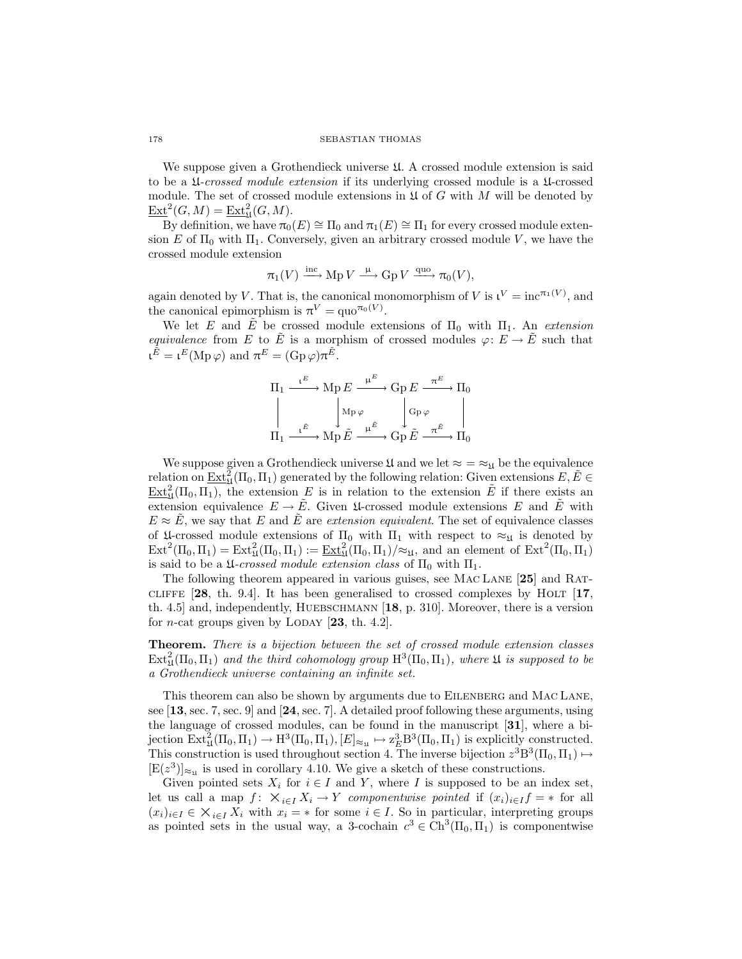We suppose given a Grothendieck universe  $\mathfrak{U}$ . A crossed module extension is said to be a U*-crossed module extension* if its underlying crossed module is a U-crossed module. The set of crossed module extensions in  $\mathfrak U$  of G with M will be denoted by  $\underline{\operatorname{Ext}}^2(G,M) = \underline{\operatorname{Ext}}^2_{\mathfrak{U}}(G,M).$ 

By definition, we have  $\pi_0(E) \cong \Pi_0$  and  $\pi_1(E) \cong \Pi_1$  for every crossed module extension E of  $\Pi_0$  with  $\Pi_1$ . Conversely, given an arbitrary crossed module V, we have the crossed module extension

$$
\pi_1(V) \xrightarrow{\text{inc}} \text{Mp } V \xrightarrow{\mu} \text{Gp } V \xrightarrow{\text{quo}} \pi_0(V),
$$

again denoted by V. That is, the canonical monomorphism of V is  $\iota^V = \text{inc}^{\pi_1(V)}$ , and the canonical epimorphism is  $\pi^V = \text{quo}^{\pi_0(V)}$ .

We let E and  $\tilde{E}$  be crossed module extensions of  $\Pi_0$  with  $\Pi_1$ . An *extension equivalence* from E to  $\tilde{E}$  is a morphism of crossed modules  $\varphi: E \to \tilde{E}$  such that  $\mathfrak{t}^{\tilde{E}} = \mathfrak{t}^E(\text{Mp}\,\varphi)$  and  $\pi^E = (\text{Gp}\,\varphi)\pi^{\tilde{E}}$ .

$$
\begin{array}{ccc}\n\Pi_1 & \xrightarrow{\iota^E} & \operatorname{Mp} E \xrightarrow{\mu^E} & \operatorname{Gp} E \xrightarrow{\pi^E} & \Pi_0 \\
\parallel & & \downarrow^{\operatorname{Mp}} \varphi & & \downarrow^{\operatorname{Gp}} \varphi & \parallel \\
\hline\n\Pi_1 & \xrightarrow{\iota^{\tilde{E}}} & \operatorname{Mp} \tilde{E} \xrightarrow{\mu^{\tilde{E}}} & \operatorname{Gp} \tilde{E} \xrightarrow{\pi^{\tilde{E}}} & \Pi_0\n\end{array}
$$

We suppose given a Grothendieck universe  $\mathfrak{U}$  and we let  $\approx$  =  $\approx_{\mathfrak{U}}$  be the equivalence relation on  $\underline{\mathrm{Ext}}^2_{\mathfrak{U}}(\Pi_0,\Pi_1)$  generated by the following relation: Given extensions  $E,\tilde{E}\in$  $\underline{\mathrm{Ext}}_{\mathfrak{U}}^2(\Pi_0, \Pi_1)$ , the extension E is in relation to the extension E if there exists an extension equivalence  $E \to \tilde{E}$ . Given  $\mathfrak{U}$ -crossed module extensions E and  $\tilde{E}$  with  $E \approx \tilde{E}$ , we say that E and  $\tilde{E}$  are *extension equivalent*. The set of equivalence classes of  $\mathfrak{U}$ -crossed module extensions of  $\Pi_0$  with  $\Pi_1$  with respect to  $\approx_{\mathfrak{U}}$  is denoted by  $\mathrm{Ext}^2(\Pi_0, \Pi_1) = \mathrm{Ext}^2_{\mathfrak{U}}(\Pi_0, \Pi_1) := \underline{\mathrm{Ext}}^2_{\mathfrak{U}}(\Pi_0, \Pi_1)/\approx_{\mathfrak{U}},$  and an element of  $\mathrm{Ext}^2(\Pi_0, \Pi_1)$ is said to be a  $\mathfrak{U}$ -crossed module extension class of  $\Pi_0$  with  $\Pi_1$ .

The following theorem appeared in various guises, see Mac Lane [[25](#page-43-9)] and Rat-CLIFFE  $[28, th. 9.4]$  $[28, th. 9.4]$  $[28, th. 9.4]$ . It has been generalised to crossed complexes by HOLT  $[17,$  $[17,$  $[17,$ th. 4.5] and, independently, HUEBSCHMANN  $[18, p. 310]$  $[18, p. 310]$  $[18, p. 310]$ . Moreover, there is a version for *n*-cat groups given by LODAY  $[23, th. 4.2]$  $[23, th. 4.2]$  $[23, th. 4.2]$ .

Theorem. *There is a bijection between the set of crossed module extension classes*  $Ext_{\mathfrak{U}}^{2}(\Pi_{0}, \Pi_{1})$  and the third cohomology group  $\mathrm{H}^{3}(\Pi_{0}, \Pi_{1})$ , where  $\mathfrak{U}$  is supposed to be *a Grothendieck universe containing an infinite set.*

This theorem can also be shown by arguments due to EILENBERG and MAC LANE, see [[13](#page-42-13), sec. 7, sec. 9] and [[24](#page-43-14), sec. 7]. A detailed proof following these arguments, using the language of crossed modules, can be found in the manuscript [[31](#page-43-0)], where a bijection  $\text{Ext}^2_{\mathfrak{U}}(\Pi_0, \Pi_1) \to \text{H}^3(\Pi_0, \Pi_1), [E]_{\approx_{\mathfrak{U}}} \mapsto \text{Z}_E^3 \text{B}^3(\Pi_0, \Pi_1)$  is explicitly constructed. This construction is used throughout section [4.](#page-24-0) The inverse bijection  $z^3B^3(\Pi_0,\Pi_1) \mapsto$  $[E(z^3)]_{\approx \mu}$  is used in corollary [4.10.](#page-36-0) We give a sketch of these constructions.

Given pointed sets  $X_i$  for  $i \in I$  and Y, where I is supposed to be an index set, let us call a map  $f: X_{i\in I}X_i \to Y$  *componentwise pointed* if  $(x_i)_{i\in I}f = *$  for all  $(x_i)_{i\in I} \in \mathsf{X}_{i\in I} X_i$  with  $x_i = *$  for some  $i \in I$ . So in particular, interpreting groups as pointed sets in the usual way, a 3-cochain  $c^3 \in Ch^3(\Pi_0, \Pi_1)$  is componentwise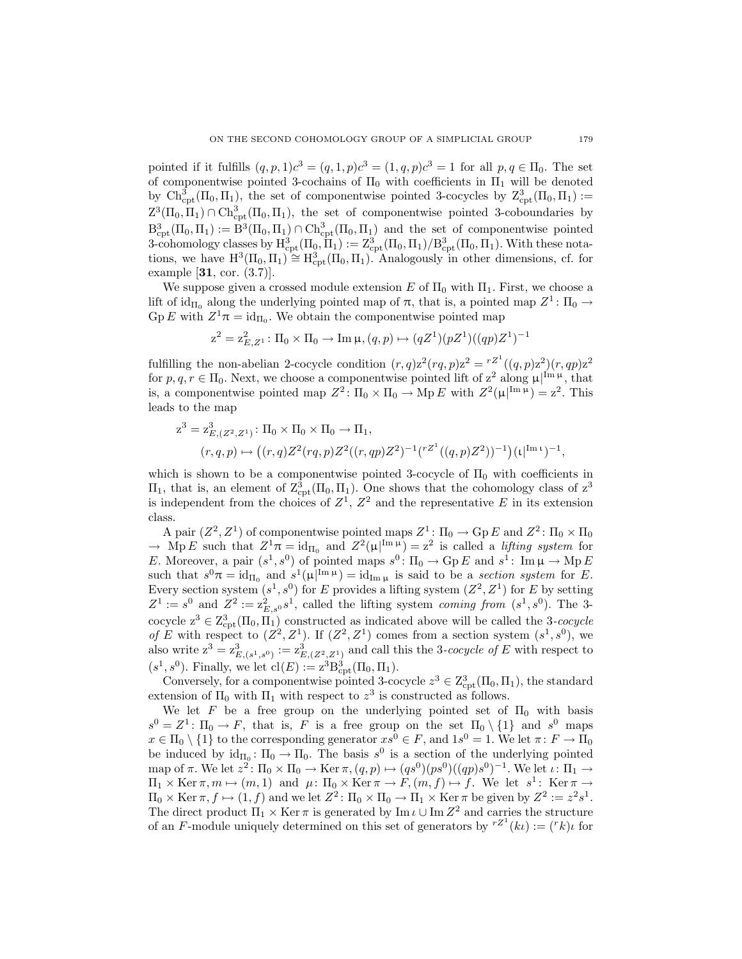pointed if it fulfills  $(q, p, 1)c^3 = (q, 1, p)c^3 = (1, q, p)c^3 = 1$  for all  $p, q \in \Pi_0$ . The set of componentwise pointed 3-cochains of  $\Pi_0$  with coefficients in  $\Pi_1$  will be denoted by  $\text{Ch}_{\text{cpt}}^3(\Pi_0, \Pi_1)$ , the set of componentwise pointed 3-cocycles by  $\text{Z}_{\text{cpt}}^3(\Pi_0, \Pi_1) :=$  $Z^3(\Pi_0, \Pi_1) \cap \text{Ch}^3_{\text{cpt}}(\Pi_0, \Pi_1)$ , the set of componentwise pointed 3-coboundaries by  $B^3_{\text{cpt}}(\Pi_0, \Pi_1) := \dot{B}^3(\Pi_0, \Pi_1) \cap \text{Ch}^3_{\text{cpt}}(\Pi_0, \Pi_1)$  and the set of componentwise pointed 3-cohomology classes by  $H^3_{\rm cpt}(\Pi_0, \Pi_1) := Z^3_{\rm cpt}(\Pi_0, \Pi_1)/B^3_{\rm cpt}(\Pi_0, \Pi_1)$ . With these notations, we have  $H^3(\Pi_0, \Pi_1) \cong H^3_{\text{cpt}}(\Pi_0, \Pi_1)$ . Analogously in other dimensions, cf. for example [[31](#page-43-0), cor. (3.7)].

We suppose given a crossed module extension E of  $\Pi_0$  with  $\Pi_1$ . First, we choose a lift of  $id_{\Pi_0}$  along the underlying pointed map of  $\pi$ , that is, a pointed map  $Z^1$ :  $\Pi_0 \rightarrow$  $\mathrm{Gp}\,E$  with  $Z^1\pi = \mathrm{id}_{\Pi_0}$ . We obtain the componentwise pointed map

$$
\mathbf{z}^2 = \mathbf{z}_{E,Z^1}^2 \colon \Pi_0 \times \Pi_0 \to \text{Im}\,\mathbf{\mu}, (q,p) \mapsto (q Z^1) (p Z^1) ((q p) Z^1)^{-1}
$$

fulfilling the non-abelian 2-cocycle condition  $(r, q)z^2 (rq, p)z^2 = r^{z^1}((q, p)z^2)(r, qp)z^2$ for  $p, q, r \in \Pi_0$ . Next, we choose a componentwise pointed lift of  $z^2$  along  $\mu|^{Im \mu}$ , that is, a componentwise pointed map  $Z^2$ :  $\Pi_0 \times \Pi_0 \to \text{Mp } E$  with  $Z^2(\mu |^{\text{Im }\mu}) = z^2$ . This leads to the map

$$
z^{3} = z_{E,(Z^{2},Z^{1})}^{3} : \Pi_{0} \times \Pi_{0} \times \Pi_{0} \to \Pi_{1},
$$
  

$$
(r,q,p) \mapsto ((r,q)Z^{2}(rq,p)Z^{2}((r,qp)Z^{2})^{-1}(r^{Z^{1}}((q,p)Z^{2}))^{-1})(\iota|^{Im \ t})^{-1},
$$

which is shown to be a componentwise pointed 3-cocycle of  $\Pi_0$  with coefficients in  $\Pi_1$ , that is, an element of  $\mathcal{Z}_{\text{cpt}}^3(\Pi_0, \Pi_1)$ . One shows that the cohomology class of  $z^3$ is independent from the choices of  $Z^1$ ,  $Z^2$  and the representative E in its extension class.

A pair  $(Z^2, Z^1)$  of componentwise pointed maps  $Z^1$ :  $\Pi_0 \to \text{Gp } E$  and  $Z^2$ :  $\Pi_0 \times \Pi_0$  $\rightarrow$  Mp E such that  $Z^1 \pi = \mathrm{id}_{\Pi_0}$  and  $Z^2(\mu|^{\text{Im}\,\mu}) = z^2$  is called a *lifting system* for E. Moreover, a pair  $(s^1, s^0)$  of pointed maps  $s^0$ :  $\Pi_0 \to \text{Gp } E$  and  $s^1$ : Im  $\mu \to \text{Mp } E$ such that  $s^0\pi = \mathrm{id}_{\Pi_0}$  and  $s^1(\mu|^{\text{Im}\,\mu}) = \mathrm{id}_{\text{Im}\,\mu}$  is said to be a *section system* for E. Every section system  $(s^1, s^0)$  for E provides a lifting system  $(Z^2, Z^1)$  for E by setting  $Z^1 := s^0$  and  $Z^2 := \mathbb{Z}_{E,s^0}^2 s^1$ , called the lifting system *coming from*  $(s^1, s^0)$ . The 3cocycle  $z^3 \in Z^3_{\text{cpt}}(\Pi_0, \Pi_1)$  constructed as indicated above will be called the 3-cocycle *of* E with respect to  $(Z^2, Z^1)$ . If  $(Z^2, Z^1)$  comes from a section system  $(s^1, s^0)$ , we also write  $z^3 = z_{E,(s^1,s^0)}^3 := z_{E,(Z^2,Z^1)}^3$  and call this the 3*-cocycle of* E with respect to  $(s^1, s^0)$ . Finally, we let  $cl(E) := z^3 B_{\rm cpt}^3(\Pi_0, \Pi_1)$ .

Conversely, for a componentwise pointed 3-cocycle  $z^3 \in \mathbb{Z}_{\text{cpt}}^3(\Pi_0, \Pi_1)$ , the standard extension of  $\Pi_0$  with  $\Pi_1$  with respect to  $z^3$  is constructed as follows.

We let F be a free group on the underlying pointed set of  $\Pi_0$  with basis  $s^0 = Z^1$ :  $\Pi_0 \to F$ , that is, F is a free group on the set  $\Pi_0 \setminus \{1\}$  and  $s^0$  maps  $x \in \Pi_0 \setminus \{1\}$  to the corresponding generator  $xs^0 \in F$ , and  $1s^0 = 1$ . We let  $\pi: F \to \Pi_0$ be induced by  $id_{\Pi_0} \colon \Pi_0 \to \Pi_0$ . The basis  $s^0$  is a section of the underlying pointed map of  $\pi$ . We let  $z^2$ :  $\Pi_0 \times \Pi_0 \to \text{Ker } \pi$ ,  $(q, p) \mapsto (qs^0)(ps^0)((qp)s^0)^{-1}$ . We let  $\iota$ :  $\Pi_1 \to$  $\Pi_1 \times \text{Ker } \pi, m \mapsto (m, 1) \text{ and } \mu: \Pi_0 \times \text{Ker } \pi \to F, (m, f) \mapsto f. \text{ We let } s^1: \text{Ker } \pi \to$  $\Pi_0 \times \text{Ker } \pi, f \mapsto (1, f)$  and we let  $Z^2$ :  $\Pi_0 \times \Pi_0 \to \Pi_1 \times \text{Ker } \pi$  be given by  $Z^2 := z^2 s^1$ . The direct product  $\Pi_1 \times \text{Ker } \pi$  is generated by  $\text{Im } \iota \cup \text{Im } Z^2$  and carries the structure of an F-module uniquely determined on this set of generators by  $^{rZ^1}(k\iota) := (r k) \iota$  for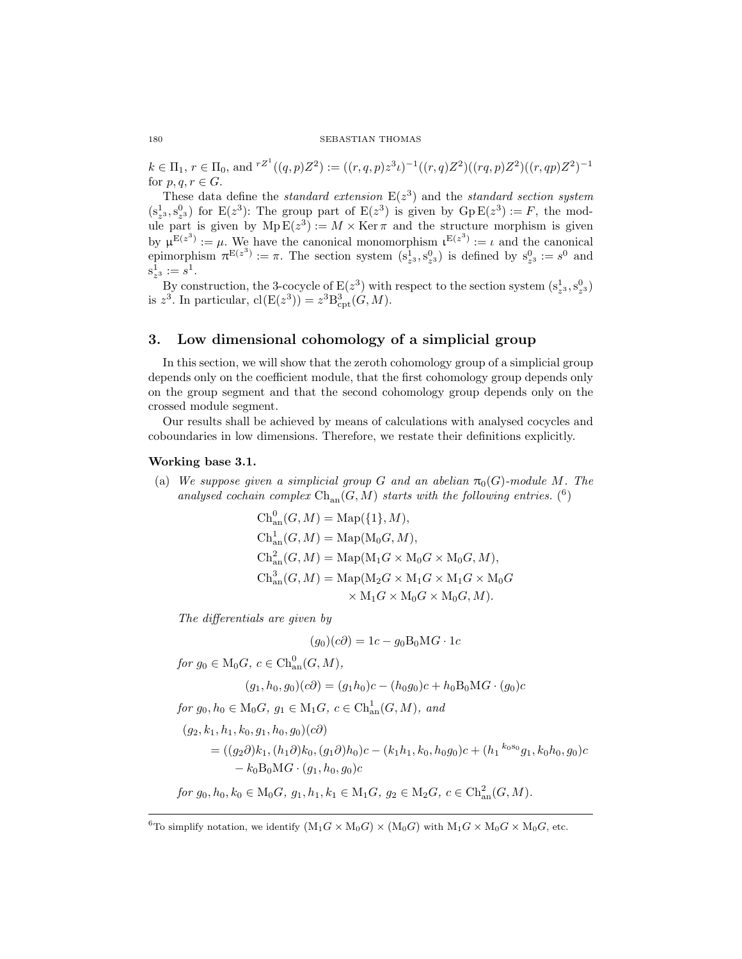$k \in \Pi_1$ ,  $r \in \Pi_0$ , and  $r^{Z^1}((q,p)Z^2) := ((r,q,p)z^3\iota)^{-1}((r,q)Z^2)((rq,p)Z^2)((r,qp)Z^2)^{-1}$ for  $p, q, r \in G$ .

These data define the *standard extension*  $E(z^3)$  and the *standard section system*  $(s_2^1, s_2^0)$  for  $E(z^3)$ : The group part of  $E(z^3)$  is given by  $GpE(z^3) := F$ , the module part is given by  $Mp E(z^3) := M \times \text{Ker} \pi$  and the structure morphism is given by  $\mu^{E(z^3)} := \mu$ . We have the canonical monomorphism  $\mu^{E(z^3)} := \iota$  and the canonical epimorphism  $\pi^{E(z^3)} := \pi$ . The section system  $(s_{z^3}^1, s_{z^3}^0)$  is defined by  $s_{z^3}^0 := s^0$  and  $s^1_{z^3} := s^1.$ 

By construction, the 3-cocycle of  $E(z^3)$  with respect to the section system  $(s^1_{z^3}, s^0_{z^3})$ is  $z^3$ . In particular,  $cl(E(z^3)) = z^3 B_{\rm cpt}^3(G, M)$ .

# <span id="page-13-0"></span>3. Low dimensional cohomology of a simplicial group

In this section, we will show that the zeroth cohomology group of a simplicial group depends only on the coefficient module, that the first cohomology group depends only on the group segment and that the second cohomology group depends only on the crossed module segment.

<span id="page-13-1"></span>Our results shall be achieved by means of calculations with analysed cocycles and coboundaries in low dimensions. Therefore, we restate their definitions explicitly.

#### <span id="page-13-3"></span>Working base 3.1.

(a) We suppose given a simplicial group G and an abelian  $\pi_0(G)$ -module M. The analysed cochain complex  $\mathrm{Ch}_{\mathrm{an}}(G,M)$  starts with the following entries. (<sup>[6](#page-13-2)</sup>)

$$
Chan0(G, M) = Map({1}, M),
$$
  
\n
$$
Chan1(G, M) = Map(M0G, M),
$$
  
\n
$$
Chan2(G, M) = Map(M1G × M0G × M0G, M),
$$
  
\n
$$
Chan3(G, M) = Map(M2G × M1G × M1G × M0G
$$
  
\n
$$
× M1G × M0G × M0G, M).
$$

*The differentials are given by*

$$
(g_0)(c\partial) = 1c - g_0 B_0 \text{M} G \cdot 1c
$$

 $for g_0 \in M_0G, c \in \text{Ch}_{an}^0(G, M),$ 

$$
(g_1, h_0, g_0)(c\partial) = (g_1 h_0)c - (h_0 g_0)c + h_0 B_0 MG \cdot (g_0)c
$$

*for*  $g_0, h_0 \in M_0G$ ,  $g_1 \in M_1G$ ,  $c \in \text{Ch}_{\text{an}}^1(G, M)$ , and

 $(g_2, k_1, h_1, k_0, g_1, h_0, g_0)(c\partial)$  $=( (g_2\partial)k_1,(h_1\partial)k_0,(g_1\partial)h_0)c - (k_1h_1,k_0,h_0g_0)c + (h_1{}^{k_0s_0}g_1,k_0h_0,g_0)c$  $-k_0B_0MG \cdot (q_1, h_0, q_0)c$ 

*for*  $g_0, h_0, k_0 \in M_0G$ ,  $g_1, h_1, k_1 \in M_1G$ ,  $g_2 \in M_2G$ ,  $c \in \text{Ch}_{\text{an}}^2(G, M)$ .

<span id="page-13-2"></span><sup>&</sup>lt;sup>6</sup>To simplify notation, we identify  $(M_1G \times M_0G) \times (M_0G)$  with  $M_1G \times M_0G \times M_0G$ , etc.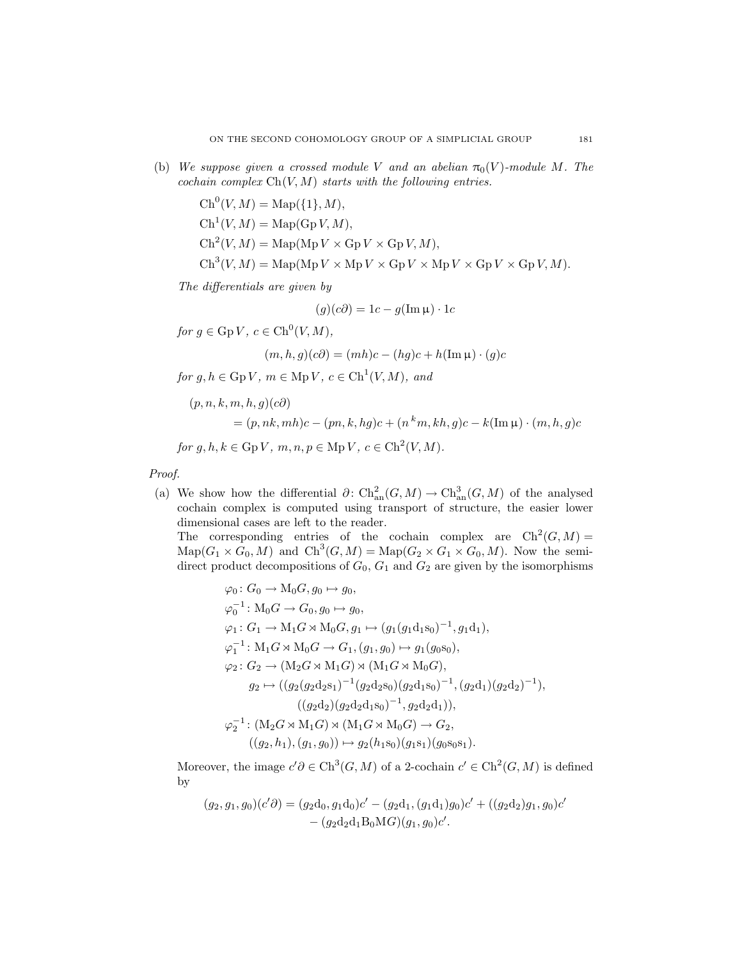(b) *We suppose given a crossed module* V and an abelian  $\pi_0(V)$ -module M. The *cochain complex* Ch(V, M) *starts with the following entries.*

> $Ch^{0}(V, M) = \text{Map}(\{1\}, M),$  $\mathrm{Ch}^1(V, M) = \mathrm{Map}(\mathrm{Gp}\,V, M),$  $\text{Ch}^2(V, M) = \text{Map}(\text{Mp } V \times \text{Gp } V \times \text{Gp } V, M),$  $\text{Ch}^3(V, M) = \text{Map}(\text{Mp } V \times \text{Mp } V \times \text{Gp } V \times \text{Gp } V \times \text{Gp } V, M).$

*The differentials are given by*

$$
(g)(c\partial) = 1c - g(\operatorname{Im}\mu) \cdot 1c
$$

 $for g \in \text{Gp } V, c \in \text{Ch}^0(V, M),$ 

$$
(m, h, g)(c\partial) = (mh)c - (hg)c + h(\text{Im}\,\mu) \cdot (g)c
$$

 $for g, h \in \text{Gp } V, m \in \text{Mp } V, c \in \text{Ch}^1(V, M), and$ 

$$
(p, n, k, m, h, g)(c\partial)
$$
  
=  $(p, nk, mh)c - (pn, k, hg)c + (n^k m, kh, g)c - k(\text{Im }\mu) \cdot (m, h, g)c$   
for  $g, h, k \in \text{Gp } V, m, n, p \in \text{Mp } V, c \in \text{Ch}^2(V, M)$ .

*Proof.*

(a) We show how the differential  $\partial: \mathrm{Ch}^2_{\mathrm{an}}(G, M) \to \mathrm{Ch}^3_{\mathrm{an}}(G, M)$  of the analysed cochain complex is computed using transport of structure, the easier lower dimensional cases are left to the reader. The corresponding entries of the cochain complex are  $\mathrm{Ch}^2(G,M)$ 

 $\text{Map}(G_1 \times G_0, M)$  and  $\text{Ch}^3(G, M) = \text{Map}(G_2 \times G_1 \times G_0, M)$ . Now the semidirect product decompositions of  $G_0$ ,  $G_1$  and  $G_2$  are given by the isomorphisms

$$
\varphi_0: G_0 \to M_0G, g_0 \mapsto g_0,
$$
  
\n
$$
\varphi_0^{-1}: M_0G \to G_0, g_0 \mapsto g_0,
$$
  
\n
$$
\varphi_1: G_1 \to M_1G \rtimes M_0G, g_1 \mapsto (g_1(g_1d_1s_0)^{-1}, g_1d_1),
$$
  
\n
$$
\varphi_1^{-1}: M_1G \rtimes M_0G \to G_1, (g_1, g_0) \mapsto g_1(g_0s_0),
$$
  
\n
$$
\varphi_2: G_2 \to (M_2G \rtimes M_1G) \rtimes (M_1G \rtimes M_0G),
$$
  
\n
$$
g_2 \mapsto ((g_2(g_2d_2s_1)^{-1}(g_2d_2s_0)(g_2d_1s_0)^{-1}, (g_2d_1)(g_2d_2)^{-1}),
$$
  
\n
$$
((g_2d_2)(g_2d_2d_1s_0)^{-1}, g_2d_2d_1)),
$$
  
\n
$$
\varphi_2^{-1}: (M_2G \rtimes M_1G) \rtimes (M_1G \rtimes M_0G) \to G_2,
$$
  
\n
$$
((g_2, h_1), (g_1, g_0)) \mapsto g_2(h_1s_0)(g_1s_1)(g_0s_0s_1).
$$

Moreover, the image  $c' \partial \in \mathrm{Ch}^3(G, M)$  of a 2-cochain  $c' \in \mathrm{Ch}^2(G, M)$  is defined by

$$
(g_2, g_1, g_0)(c'\partial) = (g_2d_0, g_1d_0)c' - (g_2d_1, (g_1d_1)g_0)c' + ((g_2d_2)g_1, g_0)c'
$$
  
- 
$$
(g_2d_2d_1B_0MG)(g_1, g_0)c'.
$$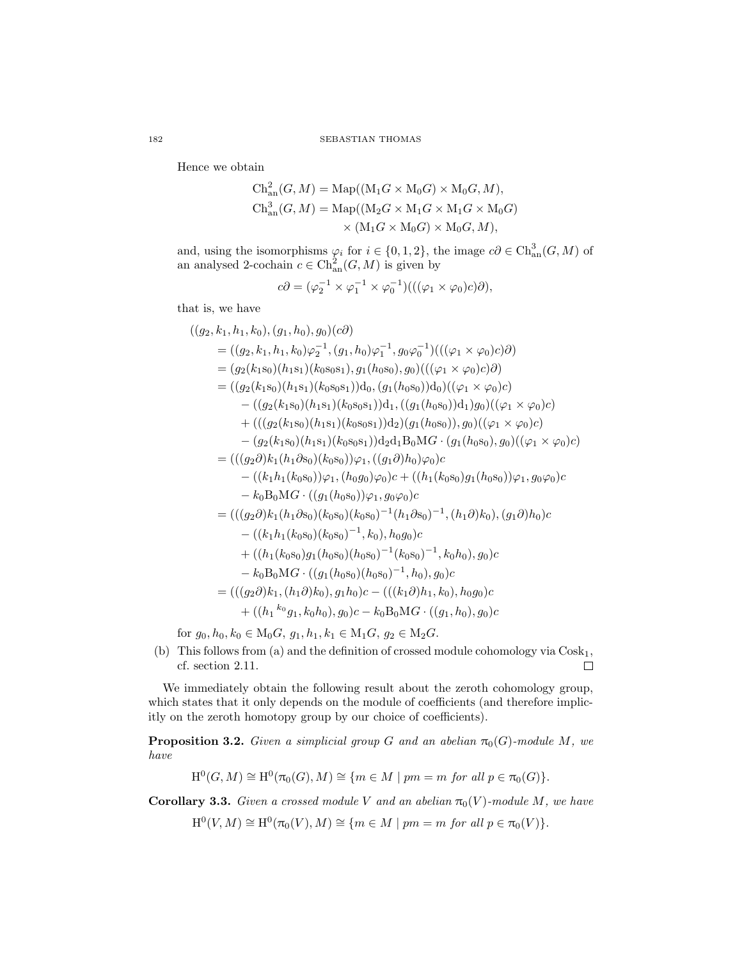Hence we obtain

$$
\mathrm{Ch}^2_{\mathrm{an}}(G, M) = \mathrm{Map}((\mathrm{M}_1 G \times \mathrm{M}_0 G) \times \mathrm{M}_0 G, M),
$$
  
\n
$$
\mathrm{Ch}^3_{\mathrm{an}}(G, M) = \mathrm{Map}((\mathrm{M}_2 G \times \mathrm{M}_1 G \times \mathrm{M}_1 G \times \mathrm{M}_0 G)
$$
  
\n
$$
\times (\mathrm{M}_1 G \times \mathrm{M}_0 G) \times \mathrm{M}_0 G, M),
$$

and, using the isomorphisms  $\varphi_i$  for  $i \in \{0, 1, 2\}$ , the image  $c\partial \in \mathrm{Ch}_{\mathrm{an}}^3(G, M)$  of an analysed 2-cochain  $c \in \text{Ch}_{\text{an}}^2(G, M)$  is given by

$$
c\partial = (\varphi_2^{-1} \times \varphi_1^{-1} \times \varphi_0^{-1})(((\varphi_1 \times \varphi_0)c)\partial),
$$

that is, we have

$$
((g_2, k_1, h_1, k_0), (g_1, h_0), g_0)(c\partial)
$$
  
= 
$$
((g_2, k_1, h_1, k_0)\varphi_2^{-1}, (g_1, h_0)\varphi_1^{-1}, g_0\varphi_0^{-1})(((\varphi_1 \times \varphi_0)c)\partial)
$$
  
= 
$$
(g_2(k_1s_0)(h_1s_1)(k_0s_0s_1), g_1(h_0s_0), g_0)(((\varphi_1 \times \varphi_0)c)\partial)
$$
  
= 
$$
((g_2(k_1s_0)(h_1s_1)(k_0s_0s_1))d_0, (g_1(h_0s_0))d_0)((\varphi_1 \times \varphi_0)c)
$$
  
- 
$$
((g_2(k_1s_0)(h_1s_1)(k_0s_0s_1))d_1, ((g_1(h_0s_0))d_1)g_0)((\varphi_1 \times \varphi_0)c)
$$
  
+ 
$$
(((g_2(k_1s_0)(h_1s_1)(k_0s_0s_1))d_2)(g_1(h_0s_0)), g_0)((\varphi_1 \times \varphi_0)c)
$$
  
- 
$$
(g_2(k_1s_0)(h_1s_1)(k_0s_0s_1))d_2d_1B_0MG \cdot (g_1(h_0s_0), g_0)((\varphi_1 \times \varphi_0)c)
$$
  
= 
$$
(((g_2\partial)k_1(h_1\partial s_0)(k_0s_0))\varphi_1, ((g_1\partial)h_0)\varphi_0)c
$$
  
- 
$$
k_0B_0MG \cdot ((g_1(h_0s_0))\varphi_1, g_0\varphi_0)c
$$
  
= 
$$
(((g_2\partial)k_1(h_1\partial s_0)(k_0s_0)^{-1}, k_0), h_0g_0)c
$$
  
= 
$$
(((k_1h_1(k_0s_0)g_1(h_0s_0)^{-1}, k_0), h_0g_0)c
$$
  
+ 
$$
((h_1(k_0s_0)g_1(h_0s_0)^{-1}, k_0), h_0g_0)c
$$
  
+ 
$$
((h_1(k_0s_0)g_1(h_0s_0)^{-1}, h
$$

for  $g_0, h_0, k_0 \in M_0G$ ,  $g_1, h_1, k_1 \in M_1G$ ,  $g_2 \in M_2G$ .

(b) This follows from [\(a\)](#page-13-3) and the definition of crossed module cohomology via  $\text{Cosk}_1$ , cf. section [2.11.](#page-9-0)  $\Box$ 

We immediately obtain the following result about the zeroth cohomology group, which states that it only depends on the module of coefficients (and therefore implicitly on the zeroth homotopy group by our choice of coefficients).

**Proposition 3.2.** *Given a simplicial group G and an abelian*  $\pi_0(G)$ *-module M*, we *have*

 $H^0(G, M) \cong H^0(\pi_0(G), M) \cong \{m \in M \mid pm = m \text{ for all } p \in \pi_0(G)\}.$ 

**Corollary 3.3.** *Given a crossed module* V *and an abelian*  $\pi_0(V)$ *-module* M, we have

 $H^0(V, M) \cong H^0(\pi_0(V), M) \cong \{m \in M \mid pm = m \text{ for all } p \in \pi_0(V)\}.$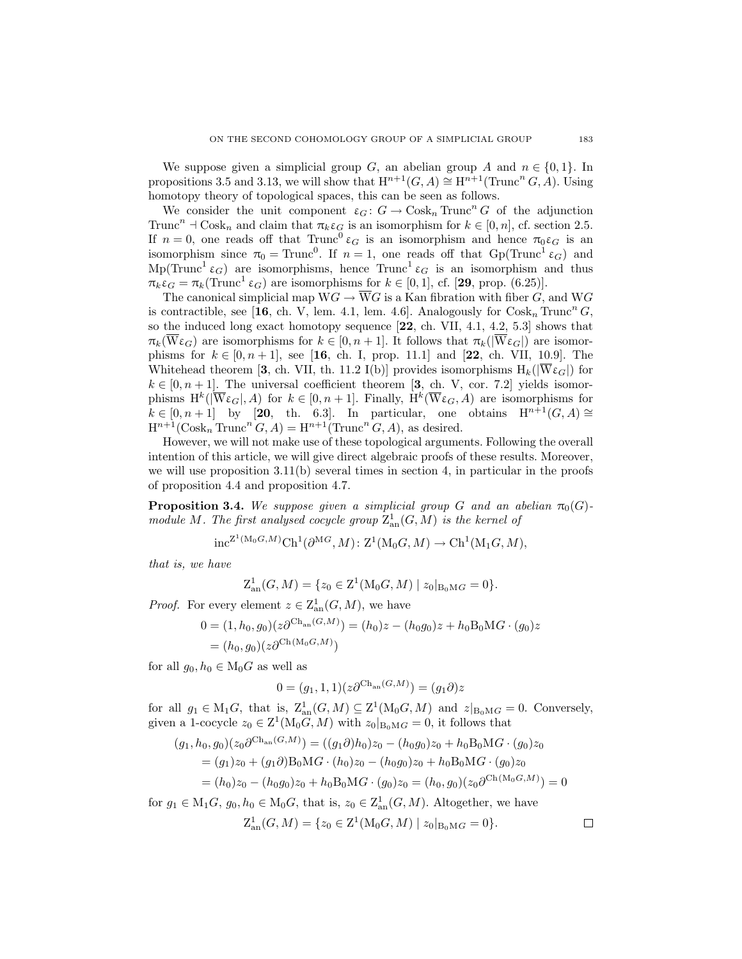We suppose given a simplicial group G, an abelian group A and  $n \in \{0, 1\}$ . In propositions [3.5](#page-17-0) and [3.13,](#page-23-0) we will show that  $H^{n+1}(G, A) \cong H^{n+1}(\text{Trunc}^n G, A)$ . Using homotopy theory of topological spaces, this can be seen as follows.

We consider the unit component  $\varepsilon_G : G \to \text{Cosk}_n \text{Trunc}^n G$  of the adjunction Trunc<sup>n</sup>  $\exists$  Cosk<sub>n</sub> and claim that  $\pi_k \varepsilon_G$  is an isomorphism for  $k \in [0, n]$ , cf. section [2.5.](#page-5-1) If  $n = 0$ , one reads off that Trunc<sup>0</sup>  $\varepsilon_G$  is an isomorphism and hence  $\pi_0 \varepsilon_G$  is an isomorphism since  $\pi_0 = \text{Trunc}^0$ . If  $n = 1$ , one reads off that  $Gp(\text{Trunc}^1 \varepsilon_G)$  and Mp(Trunc<sup>1</sup>  $\varepsilon_G$ ) are isomorphisms, hence Trunc<sup>1</sup>  $\varepsilon_G$  is an isomorphism and thus  $\pi_k \varepsilon_G = \pi_k(\text{Trunc}^1 \varepsilon_G)$  are isomorphisms for  $k \in [0, 1]$ , cf. [[29](#page-43-1), prop. (6.25)].

The canonical simplicial map  $WG \to \overline{W}G$  is a Kan fibration with fiber G, and WG is contractible, see [[16](#page-43-2), ch. V, lem. 4.1, lem. 4.6]. Analogously for  $\text{Cosk}_n \text{Trunc}^n G$ , so the induced long exact homotopy sequence [[22](#page-43-15), ch. VII, 4.1, 4.2, 5.3] shows that  $\pi_k(\overline{W}\varepsilon_G)$  are isomorphisms for  $k \in [0, n+1]$ . It follows that  $\pi_k(|\overline{W}\varepsilon_G|)$  are isomorphisms for  $k \in [0, n+1]$ , see [[16](#page-43-2), ch. I, prop. 11.1] and [[22](#page-43-15), ch. VII, 10.9]. The Whitehead theorem [[3](#page-42-14), ch. VII, th. 11.2 I(b)] provides isomorphisms  $H_k(|W_{\mathcal{E}_G}|)$  for  $k \in [0, n+1]$ . The universal coefficient theorem [[3](#page-42-14), ch. V, cor. 7.2] yields isomorphisms  $H^k(|\overline{W}\varepsilon_G|,A)$  for  $k\in[0,n+1]$ . Finally,  $H^k(\overline{W}\varepsilon_G,A)$  are isomorphisms for  $k \in [0, n+1]$  by [[20](#page-43-16), th. 6.3]. In particular, one obtains  $H^{n+1}(G, A) \cong$  $H^{n+1}(\text{Cosk}_n \text{Trunc}^n G, A) = H^{n+1}(\text{Trunc}^n G, A)$ , as desired.

However, we will not make use of these topological arguments. Following the overall intention of this article, we will give direct algebraic proofs of these results. Moreover, we will use proposition  $3.11(b)$  $3.11(b)$  several times in section [4,](#page-24-0) in particular in the proofs of proposition [4.4](#page-26-0) and proposition [4.7.](#page-30-0)

<span id="page-16-0"></span>**Proposition 3.4.** We suppose given a simplicial group G and an abelian  $\pi_0(G)$ *module* M. The first analysed cocycle group  $\mathcal{Z}_{\text{an}}^1(G, M)$  is the kernel of

$$
\mathrm{inc}^{\mathbf{Z}^1(\mathrm{M}_0G,M)}\mathrm{Ch}^1(\partial^{\mathrm{M}G},M)\colon \mathrm{Z}^1(\mathrm{M}_0G,M)\to \mathrm{Ch}^1(\mathrm{M}_1G,M),
$$

*that is, we have*

$$
Z_{\text{an}}^1(G, M) = \{ z_0 \in Z^1(M_0G, M) \mid z_0|_{B_0MG} = 0 \}.
$$

*Proof.* For every element  $z \in \mathcal{Z}_{\text{an}}^1(G, M)$ , we have

$$
0 = (1, h_0, g_0)(z\partial^{Ch_{an}(G,M)}) = (h_0)z - (h_0g_0)z + h_0B_0MG \cdot (g_0)z
$$
  
=  $(h_0, g_0)(z\partial^{Ch(M_0G,M)})$ 

for all  $g_0, h_0 \in M_0G$  as well as

$$
0 = (g_1, 1, 1)(z\partial^{\text{Ch}_{\text{an}}(G,M)}) = (g_1\partial)z
$$

for all  $g_1 \in M_1G$ , that is,  $\mathcal{Z}_{an}^1(G, M) \subseteq \mathcal{Z}^1(M_0G, M)$  and  $z|_{B_0MG} = 0$ . Conversely, given a 1-cocycle  $z_0 \in \mathcal{Z}^1(\mathcal{M}_0 G, M)$  with  $z_0|_{\mathcal{B}_0 \mathcal{M} G} = 0$ , it follows that

$$
(g_1, h_0, g_0)(z_0 \partial^{\text{Ch}_{\text{an}}(G,M)}) = ((g_1 \partial)h_0)z_0 - (h_0 g_0)z_0 + h_0 B_0 \text{M}G \cdot (g_0)z_0
$$
  
=  $(g_1)z_0 + (g_1 \partial)B_0 \text{M}G \cdot (h_0)z_0 - (h_0 g_0)z_0 + h_0 B_0 \text{M}G \cdot (g_0)z_0$   
=  $(h_0)z_0 - (h_0 g_0)z_0 + h_0 B_0 \text{M}G \cdot (g_0)z_0 = (h_0, g_0)(z_0 \partial^{\text{Ch}(\text{M}_0 G, M)}) = 0$ 

for  $g_1 \in M_1G$ ,  $g_0, h_0 \in M_0G$ , that is,  $z_0 \in Z^1_{\text{an}}(G, M)$ . Altogether, we have

$$
Z_{\text{an}}^1(G, M) = \{ z_0 \in Z^1(M_0G, M) \mid z_0|_{B_0MG} = 0 \}.
$$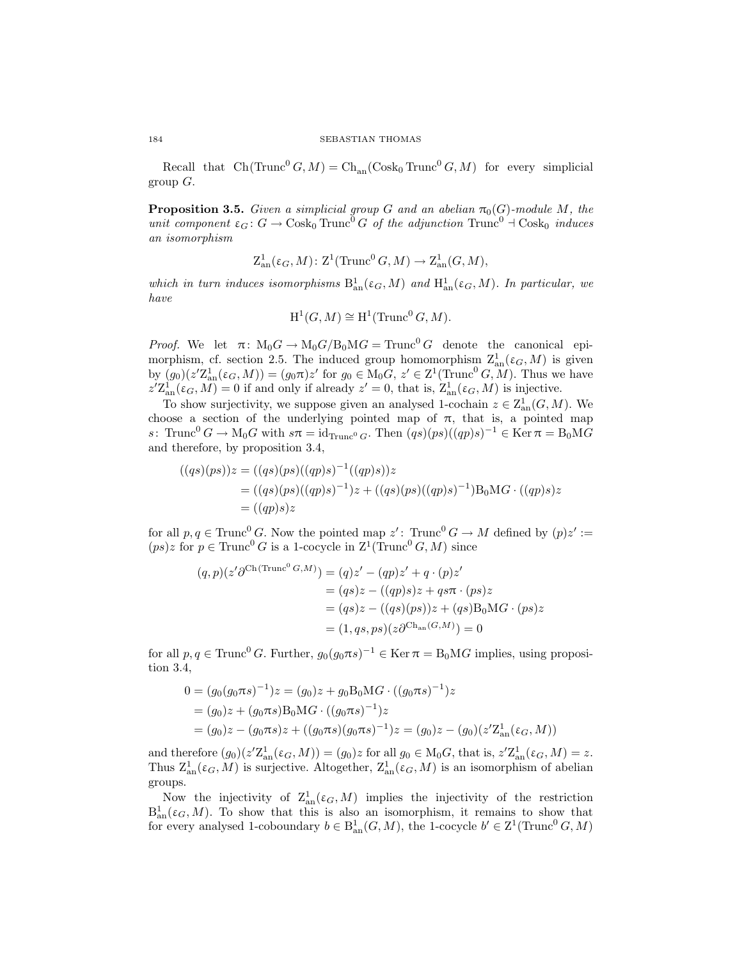<span id="page-17-0"></span>Recall that  $Ch(Trunc^{0} G, M) = Ch_{an}(Cosk_{0} Trunc^{0} G, M)$  for every simplicial group  $G$ .

**Proposition 3.5.** *Given a simplicial group G and an abelian*  $\pi_0(G)$ *-module M, the unit component*  $\varepsilon_G$ :  $G \to \text{Cosk}_0 \text{Trunc}^0 G$  *of the adjunction*  $\text{Trunc}^0 \to \text{Cosk}_0$  *induces an isomorphism*

$$
Z_{an}^1(\varepsilon_G, M) \colon Z^1(\text{Trunc}^0 G, M) \to Z_{an}^1(G, M),
$$

which in turn induces isomorphisms  $B_{an}^1(\varepsilon_G, M)$  and  $H_{an}^1(\varepsilon_G, M)$ . In particular, we *have*

$$
H^1(G, M) \cong H^1(\text{Trunc}^0 G, M).
$$

*Proof.* We let  $\pi$ :  $M_0G \rightarrow M_0G/B_0MG = \text{Trunc}^0 G$  denote the canonical epi-morphism, cf. section [2.5.](#page-5-1) The induced group homomorphism  $\mathbb{Z}_{\text{an}}^1(\varepsilon_G, M)$  is given by  $(g_0)(z'\mathbb{Z}_{\mathrm{an}}^1(\varepsilon_G, M)) = (g_0\pi)z'$  for  $g_0 \in M_0G$ ,  $z' \in \mathbb{Z}^1(\text{Trunc}^0 G, M)$ . Thus we have  $z' \mathcal{Z}_{\text{an}}^1(\varepsilon_G, M) = 0$  if and only if already  $z' = 0$ , that is,  $\mathcal{Z}_{\text{an}}^1(\varepsilon_G, M)$  is injective.

To show surjectivity, we suppose given an analysed 1-cochain  $z \in \mathbb{Z}_{\text{an}}^1(G, M)$ . We choose a section of the underlying pointed map of  $\pi$ , that is, a pointed map s: Trunc<sup>0</sup>  $G \to M_0 G$  with  $s\pi = id_{\text{Trunc}^0 G}$ . Then  $(qs)(ps)((qp)s)^{-1} \in \text{Ker } \pi = B_0 MG$ and therefore, by proposition [3.4,](#page-16-0)

$$
((qs)(ps))z = ((qs)(ps)((qp)s)^{-1}((qp)s))z
$$
  
= ((qs)(ps)((qp)s)^{-1})z + ((qs)(ps)((qp)s)^{-1})B<sub>0</sub>MG · ((qp)s)z  
= ((qp)s)z

for all  $p, q \in \text{Trunc}^0 G$ . Now the pointed map  $z'$ :  $\text{Trunc}^0 G \to M$  defined by  $(p)z' :=$  $(ps)z$  for  $p \in \text{Trunc}^0 G$  is a 1-cocycle in  $\mathbb{Z}^1(\text{Trunc}^0 G, M)$  since

$$
(q,p)(z'\partial^{Ch(Trunc^0 G,M)}) = (q)z' - (qp)z' + q \cdot (p)z'
$$
  

$$
= (qs)z - ((qp)s)z + qs\pi \cdot (ps)z
$$
  

$$
= (qs)z - ((qs)(ps))z + (qs)B_0MG \cdot (ps)z
$$
  

$$
= (1, qs, ps)(z\partial^{Ch_{an}(G,M)}) = 0
$$

for all  $p, q \in \text{Trunc}^0 G$ . Further,  $g_0(g_0 \pi s)^{-1} \in \text{Ker } \pi = \text{B}_0 \text{M} G$  implies, using proposition [3.4,](#page-16-0)

$$
0 = (g_0(g_0 \pi s)^{-1})z = (g_0)z + g_0 B_0 M G \cdot ((g_0 \pi s)^{-1})z
$$
  
=  $(g_0)z + (g_0 \pi s) B_0 M G \cdot ((g_0 \pi s)^{-1})z$   
=  $(g_0)z - (g_0 \pi s)z + ((g_0 \pi s)(g_0 \pi s)^{-1})z = (g_0)z - (g_0)(z' \mathbb{Z}_{an}^1(\varepsilon_G, M))$ 

and therefore  $(g_0)(z' \mathcal{Z}_{\text{an}}^1(\varepsilon_G, M)) = (g_0)z$  for all  $g_0 \in M_0G$ , that is,  $z' \mathcal{Z}_{\text{an}}^1(\varepsilon_G, M) = z$ . Thus  $Z^1_{\text{an}}(\varepsilon_G, M)$  is surjective. Altogether,  $Z^1_{\text{an}}(\varepsilon_G, M)$  is an isomorphism of abelian groups.

Now the injectivity of  $\mathcal{Z}_{\text{an}}^1(\varepsilon_G, M)$  implies the injectivity of the restriction  $B_{an}^1(\varepsilon_G, M)$ . To show that this is also an isomorphism, it remains to show that for every analysed 1-coboundary  $b \in B_{an}^1(G, M)$ , the 1-cocycle  $b' \in Z^1(\text{Trunc}^0 G, M)$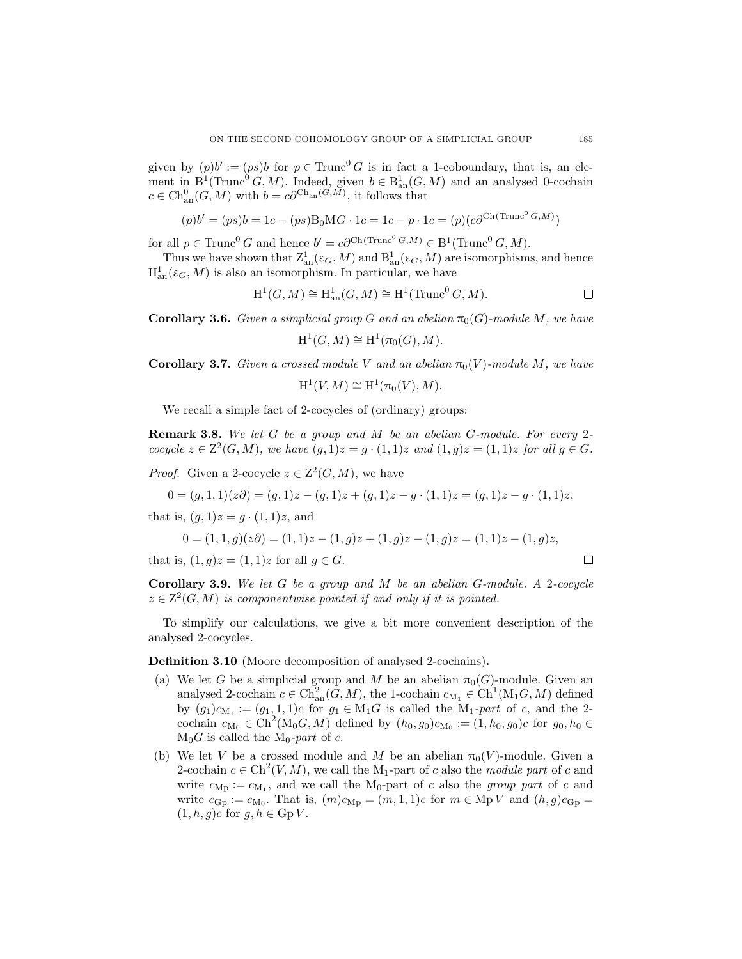given by  $(p)b' := (ps)b$  for  $p \in \text{Trunc}^0 G$  is in fact a 1-coboundary, that is, an element in  $B^1(\text{Trunc}^0 G, M)$ . Indeed, given  $b \in B^1_{an}(G, M)$  and an analysed 0-cochain  $c \in \mathrm{Ch}_{\mathrm{an}}^0(G, M)$  with  $b = c\partial^{\mathrm{Ch}_{\mathrm{an}}(G, M)}$ , it follows that

$$
(p)b' = (ps)b = 1c - (ps)B_0MG \cdot 1c = 1c - p \cdot 1c = (p)(c\partial^{Ch(Trunc^0 G,M)})
$$

for all  $p \in \text{Trunc}^0 G$  and hence  $b' = c \partial^{\text{Ch}(\text{Trunc}^0 G,M)} \in B^1(\text{Trunc}^0 G, M)$ .

Thus we have shown that  $\mathcal{Z}_{\text{an}}^1(\varepsilon_G, M)$  and  $\mathcal{B}_{\text{an}}^1(\varepsilon_G, M)$  are isomorphisms, and hence  $H^1_{\text{an}}(\varepsilon_G, M)$  is also an isomorphism. In particular, we have

$$
H^1(G, M) \cong H^1_{\text{an}}(G, M) \cong H^1(\text{Trunc}^0 G, M).
$$

**Corollary 3.6.** Given a simplicial group G and an abelian  $\pi_0(G)$ -module M, we have

$$
\mathrm{H}^1(G, M) \cong \mathrm{H}^1(\pi_0(G), M).
$$

**Corollary 3.7.** *Given a crossed module* V *and an abelian*  $\pi_0(V)$ *-module* M, we have

$$
\mathrm{H}^1(V, M) \cong \mathrm{H}^1(\pi_0(V), M).
$$

We recall a simple fact of 2-cocycles of (ordinary) groups:

<span id="page-18-0"></span>Remark 3.8. *We let* G *be a group and* M *be an abelian* G*-module. For every* 2 *cocycle*  $z \in \mathbb{Z}^2(G, M)$ *, we have*  $(g, 1)z = g \cdot (1, 1)z$  *and*  $(1, g)z = (1, 1)z$  *for all*  $g \in G$ *.* 

*Proof.* Given a 2-cocycle  $z \in \mathbb{Z}^2(G, M)$ , we have

$$
0 = (g, 1, 1)(z\partial) = (g, 1)z - (g, 1)z + (g, 1)z - g \cdot (1, 1)z = (g, 1)z - g \cdot (1, 1)z,
$$

that is,  $(g, 1)z = g \cdot (1, 1)z$ , and

$$
0 = (1, 1, g)(z\partial) = (1, 1)z - (1, g)z + (1, g)z - (1, g)z = (1, 1)z - (1, g)z,
$$
  
is,  $(1, g)z = (1, 1)z$  for all  $g \in G$ .

that is,  $(1, g)z = (1, 1)z$  for all  $g \in G$ .

Corollary 3.9. *We let* G *be a group and* M *be an abelian* G*-module. A* 2*-cocycle*  $z \in \mathbb{Z}^2(G, M)$  *is componentwise pointed if and only if it is pointed.* 

To simplify our calculations, we give a bit more convenient description of the analysed 2-cocycles.

Definition 3.10 (Moore decomposition of analysed 2-cochains).

- (a) We let G be a simplicial group and M be an abelian  $\pi_0(G)$ -module. Given an analysed 2-cochain  $c \in \text{Ch}_{\text{an}}^2(G, M)$ , the 1-cochain  $c_{M_1} \in \text{Ch}^1(M_1G, M)$  defined by  $(g_1)c_{M_1}:=(g_1,1,1)c$  for  $g_1 \in M_1G$  is called the  $M_1$ *-part* of c, and the 2cochain  $c_{M_0} \in \text{Ch}^2(M_0G, M)$  defined by  $(h_0, g_0)c_{M_0} := (1, h_0, g_0)c$  for  $g_0, h_0 \in$  $M_0G$  is called the  $M_0$ -part of c.
- (b) We let V be a crossed module and M be an abelian  $\pi_0(V)$ -module. Given a 2-cochain  $c \in \text{Ch}^2(V, M)$ , we call the M<sub>1</sub>-part of c also the *module part* of c and write  $c_{\text{Mp}} := c_{\text{M}_1}$ , and we call the M<sub>0</sub>-part of c also the *group part* of c and write  $c_{\text{Gp}} := c_{\text{M}_0}$ . That is,  $(m)c_{\text{Mp}} = (m, 1, 1)c$  for  $m \in \text{Mp } V$  and  $(h, g)c_{\text{Gp}} =$  $(1, h, g)c$  for  $g, h \in \text{Gp } V$ .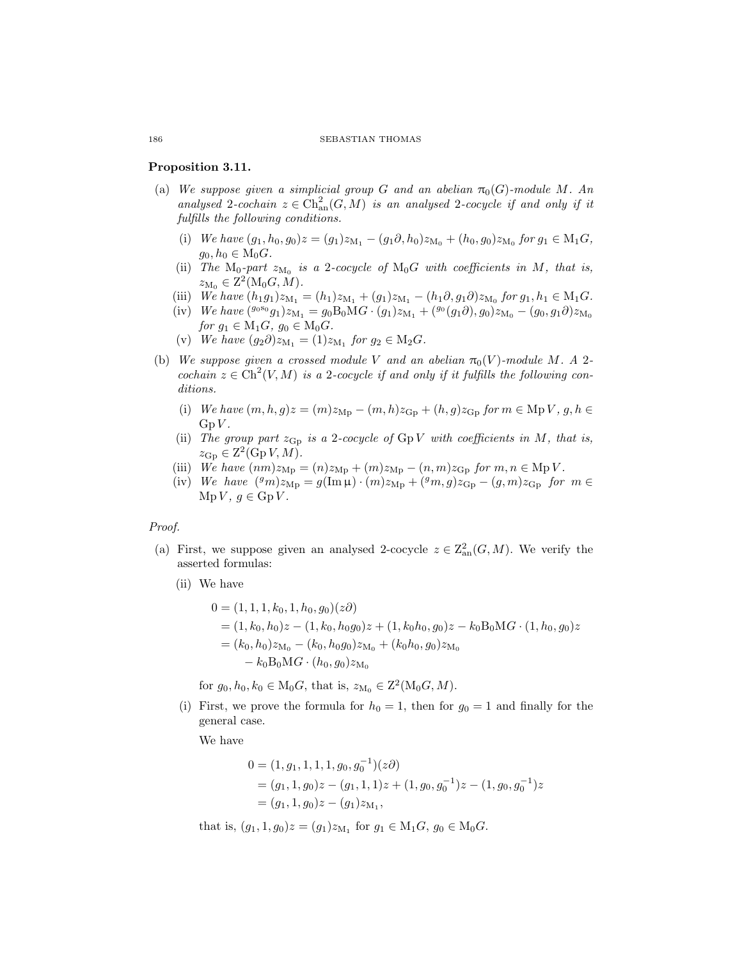#### <span id="page-19-5"></span>Proposition 3.11.

- <span id="page-19-3"></span><span id="page-19-2"></span>(a) We suppose given a simplicial group G and an abelian  $\pi_0(G)$ -module M. An *analysed* 2*-cochain*  $z \in \text{Ch}_{\text{an}}^2(G, M)$  *is an analysed* 2*-cocycle if and only if it fulfills the following conditions.*
	- (i) *We have*  $(g_1, h_0, g_0)z = (g_1)z_{M_1} (g_1 \partial, h_0)z_{M_0} + (h_0, g_0)z_{M_0}$  for  $g_1 \in M_1G$ ,  $g_0, h_0 \in M_0G$ .
	- (ii) The  $M_0$ -part  $z_{M_0}$  is a 2-cocycle of  $M_0G$  with coefficients in M, that is,  $z_{\mathrm{M}_0} \in \mathrm{Z}^2(\mathrm{M}_0 G, M).$
	- (iii) *We have*  $(h_1g_1)z_{M_1} = (h_1)z_{M_1} + (g_1)z_{M_1} (h_1\partial, g_1\partial)z_{M_0}$  *for*  $g_1, h_1 \in M_1G$ *.*
	- (iv) *We have*  $({}^{g_0s_0}g_1)z_{M_1} = g_0B_0MG \cdot (g_1)z_{M_1} + ({}^{g_0}(g_1\partial), g_0)z_{M_0} (g_0, g_1\partial)z_{M_0}$ *for*  $g_1 \in M_1G$ ,  $g_0 \in M_0G$ .
	- $(v)$  *We have*  $(g_2 \partial) z_{M_1} = (1) z_{M_1}$  *for*  $g_2 \in M_2 G$ *.*
- <span id="page-19-6"></span><span id="page-19-4"></span><span id="page-19-1"></span>(b) *We suppose given a crossed module V and an abelian*  $\pi_0(V)$ *-module M.* A 2*cochain*  $z \in \text{Ch}^2(V, M)$  *is a* 2*-cocycle if and only if it fulfills the following conditions.*
	- (i) *We have*  $(m, h, g)z = (m)z_{\text{Mp}} (m, h)z_{\text{Gp}} + (h, g)z_{\text{Gp}}$  *for*  $m \in \text{Mp } V$ ,  $g, h \in$  $GpV$ .
	- (ii) *The group part*  $z_{\text{Gp}}$  *is a* 2*-cocycle of*  $GpV$  *with coefficients in* M, that *is*,  $z_{\text{Gp}} \in \mathbb{Z}^2(\text{Gp }V, M).$
	- (iii) *We have*  $(nm)z_{Mp} = (n)z_{Mp} + (m)z_{Mp} (n, m)z_{Gp}$  *for*  $m, n \in Mp V$ *.*
	- (iv) We have  $({}^gm)z_{\rm Mp} = g(\text{Im}\,\mu) \cdot (m)z_{\rm Mp} + ({}^gm, g)z_{\rm Gp} (g, m)z_{\rm Gp}$  for  $m \in$  $Mp V, g \in Gp V.$

#### <span id="page-19-8"></span><span id="page-19-7"></span>*Proof.*

- (a) First, we suppose given an analysed 2-cocycle  $z \in \mathbb{Z}_{\text{an}}^2(G, M)$ . We verify the asserted formulas:
	- (ii) We have

$$
0 = (1, 1, 1, k_0, 1, h_0, g_0)(z\partial)
$$
  
= (1, k<sub>0</sub>, h<sub>0</sub>)z - (1, k<sub>0</sub>, h<sub>0</sub>g<sub>0</sub>)z + (1, k<sub>0</sub>h<sub>0</sub>, g<sub>0</sub>)z - k<sub>0</sub>B<sub>0</sub>MG · (1, h<sub>0</sub>, g<sub>0</sub>)z  
= (k<sub>0</sub>, h<sub>0</sub>)z<sub>M<sub>0</sub></sub> - (k<sub>0</sub>, h<sub>0</sub>g<sub>0</sub>)z<sub>M<sub>0</sub></sub> + (k<sub>0</sub>h<sub>0</sub>, g<sub>0</sub>)z<sub>M<sub>0</sub></sub>  
- k<sub>0</sub>B<sub>0</sub>MG · (h<sub>0</sub>, g<sub>0</sub>)z<sub>M<sub>0</sub></sub>

for  $g_0, h_0, k_0 \in M_0G$ , that is,  $z_{M_0} \in Z^2(M_0G, M)$ .

(i) First, we prove the formula for  $h_0 = 1$ , then for  $g_0 = 1$  and finally for the general case.

We have

$$
0 = (1, g_1, 1, 1, 1, g_0, g_0^{-1})(z\partial)
$$
  
=  $(g_1, 1, g_0)z - (g_1, 1, 1)z + (1, g_0, g_0^{-1})z - (1, g_0, g_0^{-1})z$   
=  $(g_1, 1, g_0)z - (g_1)z_{M_1}$ ,

that is,  $(g_1, 1, g_0)z = (g_1)z_{M_1}$  for  $g_1 \in M_1G$ ,  $g_0 \in M_0G$ .

<span id="page-19-0"></span>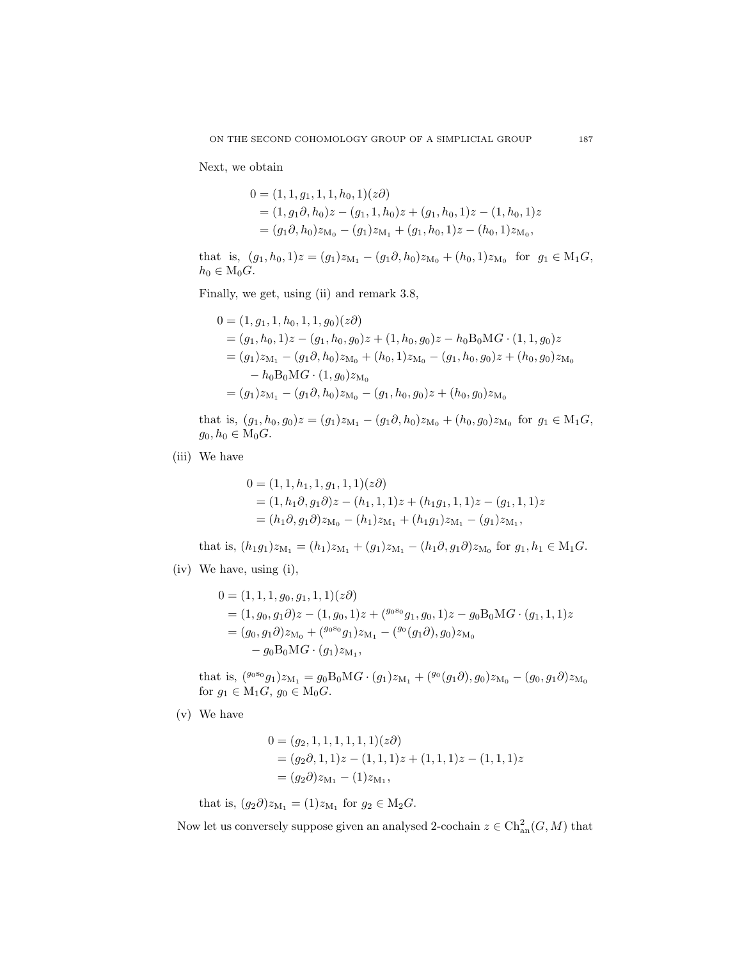Next, we obtain

$$
0 = (1, 1, g_1, 1, 1, h_0, 1)(z\partial)
$$
  
=  $(1, g_1 \partial, h_0) z - (g_1, 1, h_0) z + (g_1, h_0, 1) z - (1, h_0, 1) z$   
=  $(g_1 \partial, h_0) z_{M_0} - (g_1) z_{M_1} + (g_1, h_0, 1) z - (h_0, 1) z_{M_0},$ 

that is,  $(g_1, h_0, 1)z = (g_1)z_{M_1} - (g_1 \partial, h_0)z_{M_0} + (h_0, 1)z_{M_0}$  for  $g_1 \in M_1G$ ,  $h_0 \in M_0G$ .

Finally, we get, using [\(ii\)](#page-19-2) and remark [3.8,](#page-18-0)

$$
0 = (1, g_1, 1, h_0, 1, 1, g_0)(z\partial)
$$
  
=  $(g_1, h_0, 1)z - (g_1, h_0, g_0)z + (1, h_0, g_0)z - h_0B_0MG \cdot (1, 1, g_0)z$   
=  $(g_1)z_{M_1} - (g_1\partial, h_0)z_{M_0} + (h_0, 1)z_{M_0} - (g_1, h_0, g_0)z + (h_0, g_0)z_{M_0}$   
-  $h_0B_0MG \cdot (1, g_0)z_{M_0}$   
=  $(g_1)z_{M_1} - (g_1\partial, h_0)z_{M_0} - (g_1, h_0, g_0)z + (h_0, g_0)z_{M_0}$ 

that is,  $(g_1, h_0, g_0)z = (g_1)z_{M_1} - (g_1 \partial, h_0)z_{M_0} + (h_0, g_0)z_{M_0}$  for  $g_1 \in M_1G$ ,  $g_0, h_0 \in M_0G$ .

(iii) We have

$$
0 = (1, 1, h1, 1, g1, 1, 1)(z\partial)
$$
  
= (1, h<sub>1</sub>\partial, g<sub>1</sub>\partial)z - (h<sub>1</sub>, 1, 1)z + (h<sub>1</sub>g<sub>1</sub>, 1, 1)z - (g<sub>1</sub>, 1, 1)z  
= (h<sub>1</sub>\partial, g<sub>1</sub>\partial)z<sub>M<sub>0</sub></sub> - (h<sub>1</sub>)z<sub>M<sub>1</sub></sub> + (h<sub>1</sub>g<sub>1</sub>)z<sub>M<sub>1</sub></sub> - (g<sub>1</sub>)z<sub>M<sub>1</sub></sub>,

that is,  $(h_1g_1)z_{M_1} = (h_1)z_{M_1} + (g_1)z_{M_1} - (h_1\partial, g_1\partial)z_{M_0}$  for  $g_1, h_1 \in M_1G$ .

(iv) We have, using [\(i\),](#page-19-3)

$$
0 = (1, 1, 1, g_0, g_1, 1, 1)(z\partial)
$$
  
=  $(1, g_0, g_1 \partial)z - (1, g_0, 1)z + (g_0 g_1, g_0, 1)z - g_0 B_0 M G \cdot (g_1, 1, 1)z$   
=  $(g_0, g_1 \partial) z_{M_0} + (g_0 g_0 g_1) z_{M_1} - (g_0 (g_1 \partial), g_0) z_{M_0}$   
-  $g_0 B_0 M G \cdot (g_1) z_{M_1}$ ,

that is,  $({}^{g_0s_0}g_1)z_{\mathrm{M}_1}=g_0\mathrm{B}_0\mathrm{M}$  $G\cdot(g_1)z_{\mathrm{M}_1}+({}^{g_0}(g_1\partial),g_0)z_{\mathrm{M}_0}-(g_0,g_1\partial)z_{\mathrm{M}_0}$ for  $g_1 \in M_1G$ ,  $g_0 \in M_0G$ .

(v) We have

$$
0 = (g_2, 1, 1, 1, 1, 1, 1)(z\partial)
$$
  
=  $(g_2 \partial, 1, 1)z - (1, 1, 1)z + (1, 1, 1)z - (1, 1, 1)z$   
=  $(g_2 \partial) z_{M_1} - (1)z_{M_1}$ ,

that is,  $(g_2 \partial) z_{M_1} = (1) z_{M_1}$  for  $g_2 \in M_2 G$ .

Now let us conversely suppose given an analysed 2-cochain  $z \in \mathrm{Ch}_{\mathrm{an}}^2(G,M)$  that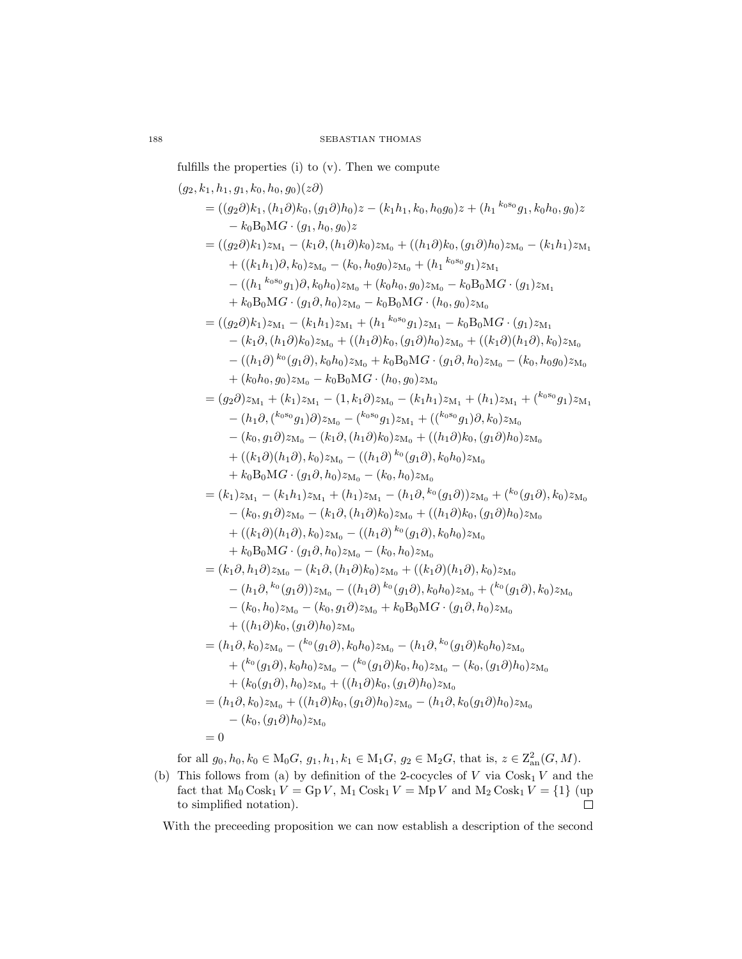fulfills the properties [\(i\)](#page-19-3) to [\(v\).](#page-19-4) Then we compute

$$
(g_2, k_1, h_1, g_1, k_0, h_0, g_0)(z\partial)
$$
  
=  $((g_2\partial)k_1, (h_1\partial)k_0, (g_1\partial)h_0)z - (k_1h_1, k_0, h_0g_0)z + (h_1 k_0s_0g_1, k_0h_0, g_0)z$   
-  $k_0B_0MG \cdot (g_1, h_0, g_0)z$   
=  $((g_2\partial)k_1)z_{M_1} - (k_1\partial, (h_1\partial)k_0)z_{M_0} + ((h_1\partial)k_0, (g_1\partial)h_0)z_{M_0} - (k_1h_1)z_{M_1}$   
+  $((k_1h_1)\partial, k_0)z_{M_0} - (k_0, h_0g_0)z_{M_0} + (h_1 k_0s_0g_1)z_{M_1}$   
-  $((h_1 k_0s_0g_1)\partial, k_0h_0)z_{M_0} + (k_0h_0, g_0)z_{M_0} - k_0B_0MG \cdot (g_1)z_{M_1}$   
+  $k_0B_0MG \cdot (g_1\partial, h_0)z_{M_0} - k_0B_0MG \cdot (h_0, g_0)z_{M_0}$   
=  $((g_2\partial)k_1)z_{M_1} - (k_1h_1)z_{M_1} + (h_1 k_0s_0g_1)z_{M_1} - k_0B_0MG \cdot (g_1)z_{M_1}$   
-  $(k_1\partial, (h_1\partial)k_0)z_{M_0} + (h_1\partial)k_0, (g_1\partial)h_0)z_{M_0} + ((k_1\partial)(h_1\partial), k_0)z_{M_0}$   
-  $((h_1\partial)^{k_0}(g_1\partial), k_0h_0)z_{M_0} + k_0B_0MG \cdot (g_1\partial, h_0)z_{M_0} - (k_0, h_0g_0)z_{M_0}$   
+  $(k_0h_0, g_0)z_{M_0} - k_0B_0MG \cdot (h_0, g_0)z_{M_0}$   
=  $(g_2\partial)z_{M_1} + (k_$ 

for all  $g_0, h_0, k_0 \in M_0G$ ,  $g_1, h_1, k_1 \in M_1G$ ,  $g_2 \in M_2G$ , that is,  $z \in \mathbb{Z}_{\text{an}}^2(G, M)$ .

(b) This follows from [\(a\)](#page-19-5) by definition of the 2-cocycles of  $V$  via  $\text{Cosk}_1 V$  and the fact that  $M_0 \text{Cosk}_1 V = \text{Gp } V$ ,  $M_1 \text{Cosk}_1 V = \text{Mp } V$  and  $M_2 \text{Cosk}_1 V = \{1\}$  (up to simplified notation).  $\Box$ 

With the preceeding proposition we can now establish a description of the second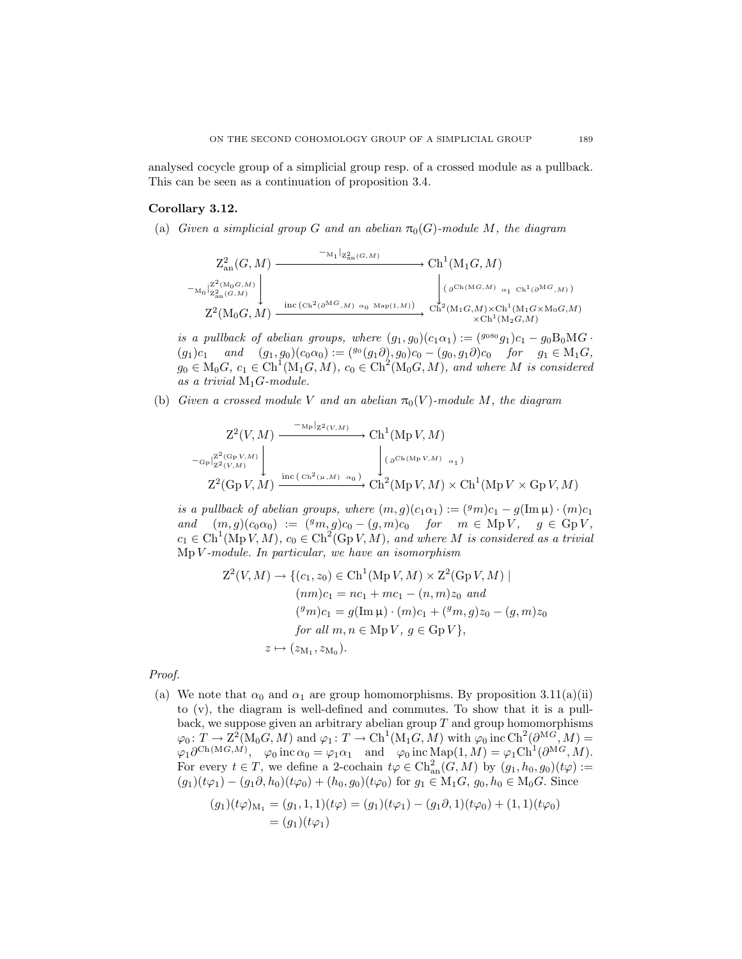<span id="page-22-0"></span>analysed cocycle group of a simplicial group resp. of a crossed module as a pullback. This can be seen as a continuation of proposition [3.4.](#page-16-0)

# Corollary 3.12.

(a) *Given a simplicial group G and an abelian*  $\pi_0(G)$ *-module M, the diagram* 

$$
Z_{\mathrm{an}}^2(G, M) \xrightarrow{\phantom{A_1}{}^{-M_1|}Z_{\mathrm{an}}^2(G, M)} \mathrm{Ch}^1(M_1G, M)
$$
  
\n
$$
-_{\mathrm{M}_0}{}^{Z^2(M_0G, M)}_{Z_{\mathrm{an}}^2(G, M)} \downarrow \qquad \qquad \downarrow \qquad \qquad \downarrow \qquad \qquad \downarrow \qquad \downarrow \qquad \downarrow \qquad \downarrow \qquad \downarrow \qquad \downarrow \qquad \downarrow \qquad \downarrow \qquad \downarrow \qquad \downarrow \qquad \downarrow \qquad \downarrow \qquad \downarrow \qquad \downarrow \qquad \downarrow \qquad \downarrow \qquad \downarrow \qquad \downarrow \qquad \downarrow \qquad \downarrow \qquad \downarrow \qquad \downarrow \qquad \downarrow \qquad \downarrow \qquad \downarrow \qquad \downarrow \qquad \downarrow \qquad \downarrow \qquad \downarrow \qquad \downarrow \qquad \downarrow \qquad \downarrow \qquad \downarrow \qquad \downarrow \qquad \downarrow \qquad \downarrow \qquad \downarrow \qquad \downarrow \qquad \downarrow \qquad \downarrow \qquad \downarrow \qquad \downarrow \qquad \downarrow \qquad \downarrow \qquad \downarrow \qquad \downarrow \qquad \downarrow \qquad \downarrow \qquad \downarrow \qquad \downarrow \qquad \downarrow \qquad \downarrow \qquad \downarrow \qquad \downarrow \qquad \downarrow \qquad \downarrow \qquad \downarrow \qquad \downarrow \qquad \downarrow \qquad \downarrow \qquad \downarrow \qquad \downarrow \qquad \downarrow \qquad \downarrow \qquad \downarrow \qquad \downarrow \qquad \downarrow \qquad \downarrow \qquad \downarrow \qquad \downarrow \qquad \downarrow \qquad \downarrow \qquad \downarrow \qquad \downarrow \qquad \downarrow \qquad \downarrow \qquad \downarrow \qquad \downarrow \qquad \downarrow \qquad \downarrow \qquad \downarrow \qquad \downarrow \qquad \downarrow \qquad \downarrow \qquad \downarrow \qquad \downarrow \qquad \downarrow \qquad \downarrow \qquad \downarrow \qquad \downarrow \qquad \downarrow \qquad \downarrow \qquad \downarrow \qquad \downarrow \qquad \downarrow \qquad \downarrow \qquad \downarrow \qquad \downarrow \qquad \downarrow \qquad \downarrow \qquad \downarrow \qquad \downarrow \qquad \downarrow \qquad \downarrow \qquad \downarrow
$$

*is a pullback of abelian groups, where*  $(g_1, g_0)(c_1\alpha_1) := (g_0 s_0 g_1)c_1 - g_0 B_0 MG$ .  $(g_1)c_1$  *and*  $(g_1, g_0)(c_0\alpha_0) := (g_0(g_1\partial), g_0)c_0 - (g_0, g_1\partial)c_0$  *for*  $g_1 \in M_1G$ ,  $g_0 \in M_0G$ ,  $c_1 \in \text{Ch}^1(M_1G, M)$ ,  $c_0 \in \text{Ch}^2(M_0G, M)$ , and where M is considered *as a trivial* M1G*-module.*

<span id="page-22-1"></span>(b) *Given a crossed module* V *and an abelian*  $\pi_0(V)$ *-module* M, the diagram

$$
Z^{2}(V, M) \xrightarrow{\text{Mp}|_{Z^{2}(V, M)}} Ch^{1}(\text{Mp }V, M)
$$
  
\n
$$
\left.\xrightarrow{C_{\text{p}}|_{Z^{2}(V, M)}} \right|_{Z^{2}(V, M)} \xrightarrow{\text{inc}(\text{Ch}^{2}(\mu, M) \ \alpha_{0})} \int_{\text{Ch}^{2}(\text{Mp }V, M)} (\partial^{\text{Ch}(\text{Mp }V, M)} \alpha_{1})
$$
  
\n
$$
Z^{2}(\text{Gp }V, M) \xrightarrow{\text{inc}(\text{Ch}^{2}(\mu, M) \ \alpha_{0})} Ch^{2}(\text{Mp }V, M) \times Ch^{1}(\text{Mp }V \times \text{Gp }V, M)
$$

*is a pullback of abelian groups, where*  $(m, g)(c_1\alpha_1) := ({}^g m)c_1 - g(\text{Im}\,\mu) \cdot (m)c_1$ *and*  $(m, g)(c_0\alpha_0) := ({}^gm, g)c_0 - (g, m)c_0$  *for*  $m \in \text{Mp } V$ *,*  $g \in \text{Gp } V$ *,*  $c_1 \in \text{Ch}^1(\text{Mp}\,V, M)$ ,  $c_0 \in \text{Ch}^2(\text{Gp}\,V, M)$ , and where M is considered as a trivial Mp V *-module. In particular, we have an isomorphism*

$$
Z^{2}(V, M) \rightarrow \{(c_{1}, z_{0}) \in \text{Ch}^{1}(\text{Mp } V, M) \times Z^{2}(\text{Gp } V, M) \mid
$$
  
\n
$$
(nm)c_{1} = nc_{1} + mc_{1} - (n, m)z_{0} \text{ and}
$$
  
\n
$$
(^{g}m)c_{1} = g(\text{Im }\mu) \cdot (m)c_{1} + (^{g}m, g)z_{0} - (g, m)z_{0}
$$
  
\nfor all  $m, n \in \text{Mp } V, g \in \text{Gp } V\},$   
\n $z \mapsto (z_{M_{1}}, z_{M_{0}}).$ 

*Proof.*

[\(a\)](#page-19-5) We note that  $\alpha_0$  and  $\alpha_1$  are group homomorphisms. By proposition [3.11](#page-19-0)(a)[\(ii\)](#page-19-2) to [\(v\),](#page-19-4) the diagram is well-defined and commutes. To show that it is a pullback, we suppose given an arbitrary abelian group  $T$  and group homomorphisms  $\varphi_0\colon T\to\text{Z}^2(\text{M}_0G,M) \text{ and } \varphi_1\colon T\to\text{Ch}^1(\text{M}_1G,M) \text{ with }\varphi_0\text{ inc }\text{Ch}^2(\partial^{\text{M}G},M)=$  $\varphi_1 \partial^{\mathrm{Ch}(MG,M)}, \quad \varphi_0 \: \text{inc} \: \alpha_0 = \varphi_1 \alpha_1 \quad \text{and} \quad \varphi_0 \: \text{inc} \: \text{Map}(1,M) = \varphi_1 \mathrm{Ch}^1(\partial^{MG},M).$ For every  $t \in T$ , we define a 2-cochain  $t\varphi \in \text{Ch}_{\text{an}}^2(G,M)$  by  $(g_1, h_0, g_0)(t\varphi) :=$  $(g_1)(t\varphi_1) - (g_1\partial, h_0)(t\varphi_0) + (h_0, g_0)(t\varphi_0)$  for  $g_1 \in M_1G$ ,  $g_0, h_0 \in M_0G$ . Since

$$
(g_1)(t\varphi)_{M_1} = (g_1, 1, 1)(t\varphi) = (g_1)(t\varphi_1) - (g_1\partial, 1)(t\varphi_0) + (1, 1)(t\varphi_0)
$$
  
=  $(g_1)(t\varphi_1)$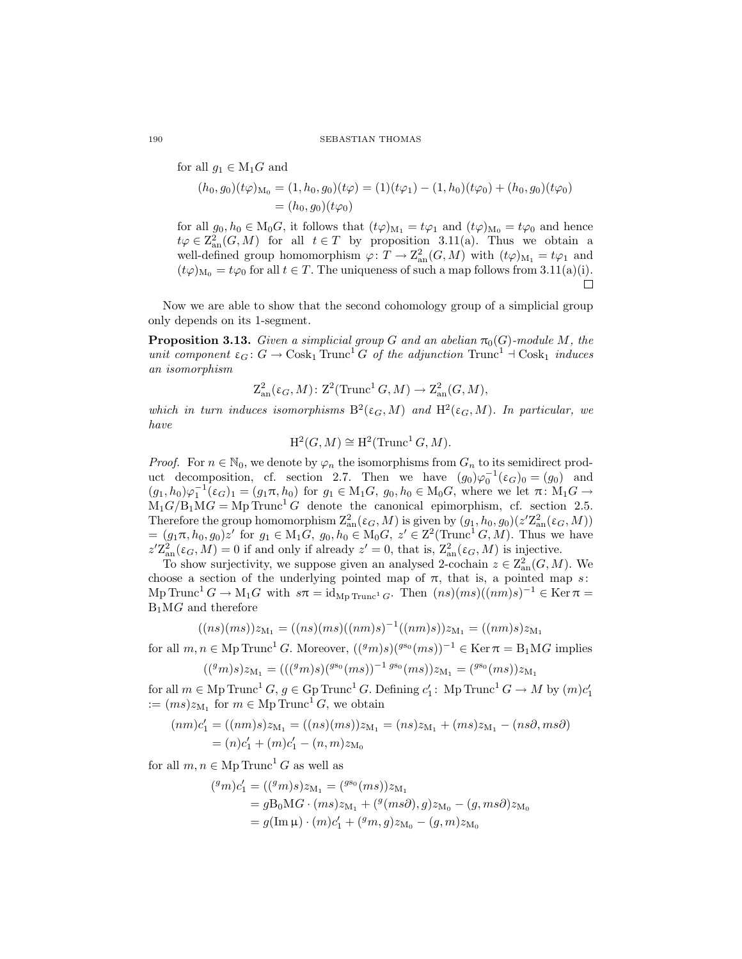for all  $g_1 \in M_1G$  and

$$
(h_0, g_0)(t\varphi)_{\mathcal{M}_0} = (1, h_0, g_0)(t\varphi) = (1)(t\varphi_1) - (1, h_0)(t\varphi_0) + (h_0, g_0)(t\varphi_0)
$$
  
=  $(h_0, g_0)(t\varphi_0)$ 

for all  $g_0, h_0 \in M_0G$ , it follows that  $(t\varphi)_{M_1} = t\varphi_1$  and  $(t\varphi)_{M_0} = t\varphi_0$  and hence  $t\varphi \in \mathbb{Z}_{\mathrm{an}}^2(G,M)$  for all  $t \in T$  by proposition [3.11](#page-19-0)[\(a\).](#page-19-5) Thus we obtain a well-defined group homomorphism  $\varphi \colon T \to \mathrm{Z}^2_{\mathrm{an}}(G, M)$  with  $(t\varphi)_{\mathrm{M}_1} = t\varphi_1$  and  $(t\varphi)_{M_0} = t\varphi_0$  for all  $t \in T$ . The uniqueness of such a map follows from [3.11](#page-19-0)[\(a\)](#page-19-5)[\(i\).](#page-19-3) П

<span id="page-23-0"></span>Now we are able to show that the second cohomology group of a simplicial group only depends on its 1-segment.

**Proposition 3.13.** *Given a simplicial group G and an abelian*  $\pi_0(G)$ *-module M, the unit component*  $\varepsilon_G$ :  $G \to \text{Cosk}_1 \text{Trunc}^1 G$  *of the adjunction*  $\text{Trunc}^1 \dashv \text{Cosk}_1$  *induces an isomorphism*

$$
Z_{\text{an}}^2(\varepsilon_G, M) \colon \mathbb{Z}^2(\text{Trunc}^1 G, M) \to \mathbb{Z}_{\text{an}}^2(G, M),
$$

which in turn induces isomorphisms  $B^2(\varepsilon_G, M)$  and  $H^2(\varepsilon_G, M)$ . In particular, we *have*

$$
H^2(G, M) \cong H^2(\text{Trunc}^1 G, M).
$$

*Proof.* For  $n \in \mathbb{N}_0$ , we denote by  $\varphi_n$  the isomorphisms from  $G_n$  to its semidirect prod-uct decomposition, cf. section [2.7.](#page-6-1) Then we have  $(g_0)\varphi_0^{-1}(\varepsilon_G)_0 = (g_0)$  and  $(g_1, h_0)\varphi_1^{-1}(\varepsilon_G)_1 = (g_1\pi, h_0)$  for  $g_1 \in M_1G$ ,  $g_0, h_0 \in M_0G$ , where we let  $\pi \colon M_1G \to$  $M_1G/B_1MG = Mp \text{Trunc}^1G$  denote the canonical epimorphism, cf. section [2.5.](#page-5-1) Therefore the group homomorphism  $Z_{an}^2(\varepsilon_G, M)$  is given by  $(g_1, h_0, g_0)(z'Z_{an}^2(\varepsilon_G, M))$  $=(g_1\pi, h_0, g_0)z'$  for  $g_1 \in M_1G$ ,  $g_0, h_0 \in M_0G$ ,  $z' \in Z^2(\text{Trunc}^1 G, M)$ . Thus we have  $z'Z_{an}^2(\varepsilon_G, M) = 0$  if and only if already  $z' = 0$ , that is,  $Z_{an}^2(\varepsilon_G, M)$  is injective.

To show surjectivity, we suppose given an analysed 2-cochain  $z \in \mathbb{Z}_{\text{an}}^2(G, M)$ . We choose a section of the underlying pointed map of  $\pi$ , that is, a pointed map s: Mp Trunc<sup>1</sup>  $G \to M_1 G$  with  $s\pi = id_{Mp \text{ Trunc}^1 G}$ . Then  $(ns)(ms)((nm)s)^{-1} \in \text{Ker } \pi =$  $B_1MG$  and therefore

$$
((ns)(ms))z_{M_1}=((ns)(ms)((nm)s)^{-1}((nm)s))z_{M_1}=((nm)s)z_{M_1}
$$

for all  $m, n \in \text{Mp Trunc}^1 G$ . Moreover,  $((^g m)s)(^{g s_0}(m s))^{-1} \in \text{Ker } \pi = B_1 MG$  implies

$$
(({}^{g}m)s)z_{M_1}=((({}^{g}m)s)({}^{g\mathbf{s}_0}(ms))^{-1} {}^{g\mathbf{s}_0}(ms))z_{M_1}=({}^{g\mathbf{s}_0}(ms))z_{M_1}
$$

for all  $m \in \text{Mp Trunc}^1 G$ ,  $g \in \text{Gp Trunc}^1 G$ . Defining  $c'_1$ : Mp Trunc<sup>1</sup>  $G \to M$  by  $(m)c'_1$  $:= (ms)z_{M_1}$  for  $m \in \text{Mp Trunc}^1 G$ , we obtain

$$
(nm)c'_1 = ((nm)s)z_{M_1} = ((ns)(ms))z_{M_1} = (ns)z_{M_1} + (ms)z_{M_1} - (ns\partial, ms\partial)
$$
  
=  $(n)c'_1 + (m)c'_1 - (n, m)z_{M_0}$ 

for all  $m, n \in \text{Mp Trunc}^1 G$  as well as

$$
({}^{g}m)c'_{1} = (({}^{g}m)s)z_{M_{1}} = ({}^{g_{50}}(ms))z_{M_{1}}
$$
  
=  $gB_{0}MG \cdot (ms)z_{M_{1}} + ({}^{g}(ms\partial), g)z_{M_{0}} - (g, ms\partial)z_{M_{0}}$   
=  $g(\text{Im }\mu) \cdot (m)c'_{1} + ({}^{g}m, g)z_{M_{0}} - (g, m)z_{M_{0}}$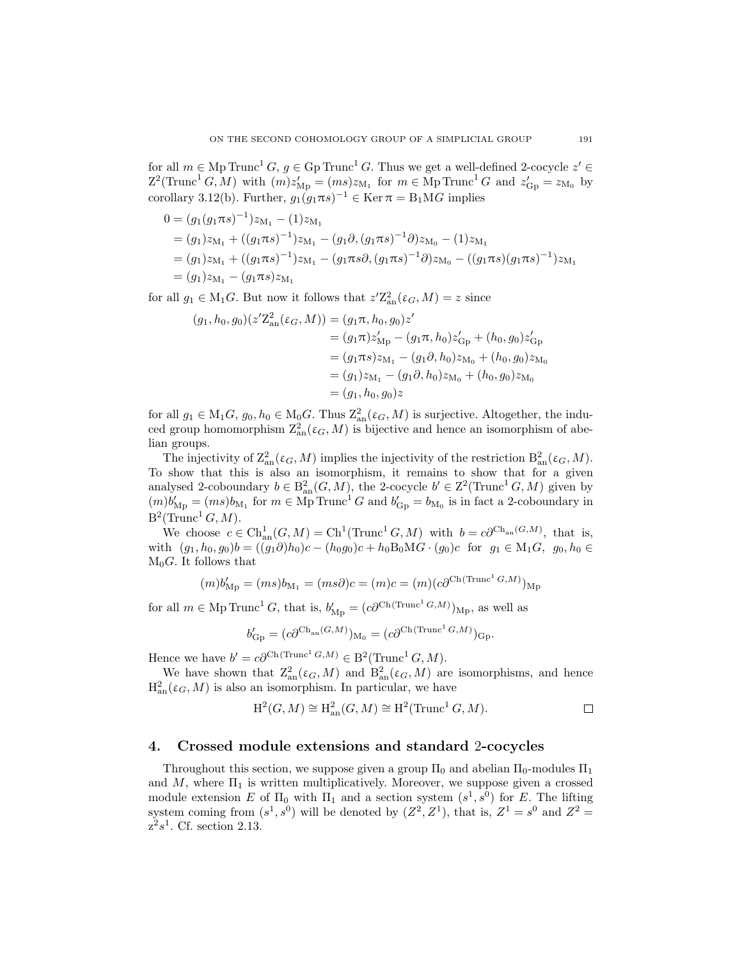for all  $m \in \text{Mp Trunc}^1 G$ ,  $g \in \text{Gp Trunc}^1 G$ . Thus we get a well-defined 2-cocycle  $z' \in$  $Z^2(\text{Trunc}^1 G, M)$  with  $(m)z'_{Mp} = (ms)z_{M_1}$  for  $m \in \text{Mp Trunc}^1 G$  and  $z'_{G_p} = z_{M_0}$  by corollary [3.12](#page-22-0)[\(b\).](#page-22-1) Further,  $g_1(g_1 \pi s)^{-1} \in \text{Ker } \pi = \text{B}_1 \text{M} G$  implies

$$
0 = (g_1(g_1 \pi s)^{-1})z_{M_1} - (1)z_{M_1}
$$
  
=  $(g_1)z_{M_1} + ((g_1 \pi s)^{-1})z_{M_1} - (g_1 \partial, (g_1 \pi s)^{-1} \partial)z_{M_0} - (1)z_{M_1}$   
=  $(g_1)z_{M_1} + ((g_1 \pi s)^{-1})z_{M_1} - (g_1 \pi s \partial, (g_1 \pi s)^{-1} \partial)z_{M_0} - ((g_1 \pi s)(g_1 \pi s)^{-1})z_{M_1}$   
=  $(g_1)z_{M_1} - (g_1 \pi s)z_{M_1}$ 

for all  $g_1 \in M_1G$ . But now it follows that  $z'\mathbb{Z}_{\text{an}}^2(\varepsilon_G, M) = z$  since

$$
(g_1, h_0, g_0)(z' \mathbb{Z}_{\text{an}}^2(\varepsilon_G, M)) = (g_1 \pi, h_0, g_0) z'
$$
  
\n
$$
= (g_1 \pi) z'_{\text{Mp}} - (g_1 \pi, h_0) z'_{\text{Gp}} + (h_0, g_0) z'_{\text{Gp}}
$$
  
\n
$$
= (g_1 \pi s) z_{\text{M}_1} - (g_1 \partial, h_0) z_{\text{M}_0} + (h_0, g_0) z_{\text{M}_0}
$$
  
\n
$$
= (g_1) z_{\text{M}_1} - (g_1 \partial, h_0) z_{\text{M}_0} + (h_0, g_0) z_{\text{M}_0}
$$
  
\n
$$
= (g_1, h_0, g_0) z
$$

for all  $g_1 \in M_1G$ ,  $g_0, h_0 \in M_0G$ . Thus  $\mathbb{Z}_{\text{an}}^2(\varepsilon_G, M)$  is surjective. Altogether, the induced group homomorphism  $Z_{an}^2(\varepsilon_G, M)$  is bijective and hence an isomorphism of abelian groups.

The injectivity of  $\mathbb{Z}_{\text{an}}^2(\varepsilon_G, M)$  implies the injectivity of the restriction  $\mathbb{B}_{\text{an}}^2(\varepsilon_G, M)$ . To show that this is also an isomorphism, it remains to show that for a given analysed 2-coboundary  $b \in B_{an}^2(G, M)$ , the 2-cocycle  $b' \in \mathbb{Z}^2(\text{Trunc}^1 G, M)$  given by  $(m)b'_{Mp} = (ms)b_{M_1}$  for  $m \in \overline{Mp}$  Trunc<sup>1</sup> G and  $b'_{Gp} = b_{M_0}$  is in fact a 2-coboundary in  $B^2(\text{Trunc}^1 G, M).$ 

We choose  $c \in \text{Ch}_{\text{an}}^1(G, M) = \text{Ch}^1(\text{Trunc}^1(G, M)$  with  $b = c\partial^{\text{Ch}_{\text{an}}(G, M)}$ , that is, with  $(g_1, h_0, g_0)b = ((g_1\partial)h_0)c - (h_0g_0)c + h_0B_0MG \cdot (g_0)c$  for  $g_1 \in M_1G$ ,  $g_0, h_0 \in$  $M_0G$ . It follows that

$$
(m)b'_{\text{Mp}} = (ms)b_{\text{M}_1} = (ms\partial)c = (m)c = (m)(c\partial^{\text{Ch}(\text{Trunc}^1 G, M)})_{\text{Mp}}
$$

for all  $m \in \text{Mp Trunc}^1 G$ , that is,  $b'_{\text{Mp}} = (c \partial^{\text{Ch}(Trunc^1 G, M)})_{\text{Mp}}$ , as well as

$$
b'_{\mathcal{G}\mathbf{p}} = (c\partial^{\mathcal{G}(\mathbf{h}_{\mathrm{an}}(G,M)}),_{\mathcal{M}_{0}} = (c\partial^{\mathcal{G}(\mathbf{h}(\mathbf{Trunc}^1 G,M)})_{\mathcal{G}\mathbf{p}}.
$$

Hence we have  $b' = c \partial^{\text{Ch}(\text{Trunc}^1 G,M)} \in \mathcal{B}^2(\text{Trunc}^1 G,M).$ 

We have shown that  $\mathcal{Z}_{\text{an}}^2(\varepsilon_G, M)$  and  $\mathcal{B}_{\text{an}}^2(\varepsilon_G, M)$  are isomorphisms, and hence  $H_{\text{an}}^2(\varepsilon_G, M)$  is also an isomorphism. In particular, we have

$$
H^2(G, M) \cong H^2_{an}(G, M) \cong H^2(\text{Trunc}^1 G, M).
$$

# <span id="page-24-0"></span>4. Crossed module extensions and standard 2-cocycles

Throughout this section, we suppose given a group  $\Pi_0$  and abelian  $\Pi_0$ -modules  $\Pi_1$ and M, where  $\Pi_1$  is written multiplicatively. Moreover, we suppose given a crossed module extension E of  $\Pi_0$  with  $\Pi_1$  and a section system  $(s^1, s^0)$  for E. The lifting system coming from  $(s^1, s^0)$  will be denoted by  $(Z^2, Z^1)$ , that is,  $Z^1 = s^0$  and  $Z^2 =$  $z^2s^1$ . Cf. section [2.13.](#page-10-0)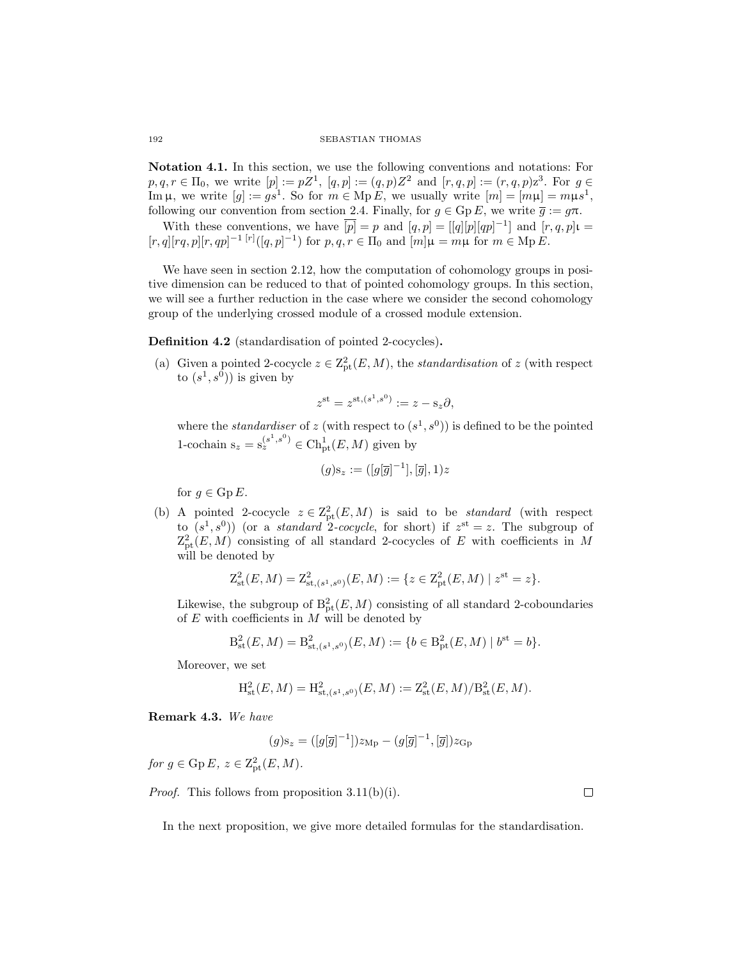Notation 4.1. In this section, we use the following conventions and notations: For  $p, q, r \in \Pi_0$ , we write  $[p] := pZ^1$ ,  $[q, p] := (q, p)Z^2$  and  $[r, q, p] := (r, q, p)z^3$ . For  $g \in$ Im  $\mu$ , we write  $[g] := gs^1$ . So for  $m \in \text{Mp } E$ , we usually write  $[m] = [m\mu] = m\mu s^1$ , following our convention from section [2.4.](#page-4-1) Finally, for  $g \in \text{Gp } E$ , we write  $\overline{g} := g\pi$ .

With these conventions, we have  $\overline{[p]} = p$  and  $[q, p] = [[q][p][qp]^{-1}]$  and  $[r, q, p]$ t =  $[r, q][rq, p][r, qp]^{-1} [r]([q, p]^{-1})$  for  $p, q, r \in \Pi_0$  and  $[m]\mu = m\mu$  for  $m \in \text{Mp } E$ .

We have seen in section [2.12,](#page-10-1) how the computation of cohomology groups in positive dimension can be reduced to that of pointed cohomology groups. In this section, we will see a further reduction in the case where we consider the second cohomology group of the underlying crossed module of a crossed module extension.

<span id="page-25-0"></span>Definition 4.2 (standardisation of pointed 2-cocycles).

(a) Given a pointed 2-cocycle  $z \in \mathbb{Z}_{pt}^2(E,M)$ , the *standardisation* of z (with respect to  $(s^1, s^0)$  is given by

$$
z^{\text{st}} = z^{\text{st},(s^1,s^0)} := z - \text{s}_z \partial,
$$

where the *standardiser* of z (with respect to  $(s^1, s^0)$ ) is defined to be the pointed 1-cochain  $s_z = s_z^{(s^1, s^0)} \in \text{Ch}^1_{\text{pt}}(E, M)$  given by

$$
(g) \mathbf{s}_z := ([g[\overline{g}]^{-1}], [\overline{g}], 1)z
$$

for  $g \in \mathrm{Gp}\,E$ .

<span id="page-25-1"></span>(b) A pointed 2-cocycle  $z \in \mathbb{Z}_{pt}^2(E, M)$  is said to be *standard* (with respect to  $(s^1, s^0)$  (or a *standard* 2-cocycle, for short) if  $z^{st} = z$ . The subgroup of  $Z_{\text{pt}}^2(E, M)$  consisting of all standard 2-cocycles of E with coefficients in M will be denoted by

$$
Z_{\rm st}^2(E,M) = Z_{\rm st, (s^1, s^0)}^2(E,M) := \{ z \in Z_{\rm pt}^2(E,M) \mid z^{\rm st} = z \}.
$$

Likewise, the subgroup of  $B_{\text{pt}}^2(E, M)$  consisting of all standard 2-coboundaries of  $E$  with coefficients in  $M$  will be denoted by

$$
B_{\mathrm{st}}^{2}(E, M) = B_{\mathrm{st},(s^{1},s^{0})}^{2}(E, M) := \{b \in B_{\mathrm{pt}}^{2}(E, M) \mid b^{\mathrm{st}} = b\}.
$$

Moreover, we set

$$
H_{\mathrm{st}}^{2}(E, M) = H_{\mathrm{st}, (s^{1}, s^{0})}^{2}(E, M) := Z_{\mathrm{st}}^{2}(E, M) / B_{\mathrm{st}}^{2}(E, M).
$$

Remark 4.3. *We have*

$$
(g) \mathbf{s}_z = ([g[\overline{g}]^{-1}]) z_{\mathbf{Mp}} - (g[\overline{g}]^{-1}, [\overline{g}]) z_{\mathbf{Gp}}
$$

 $for g \in \text{Gp } E, z \in \text{Z}_{\text{pt}}^2(E, M).$ 

*Proof.* This follows from proposition [3.11](#page-19-0)[\(b\)](#page-19-1)[\(i\).](#page-19-6)

In the next proposition, we give more detailed formulas for the standardisation.

 $\Box$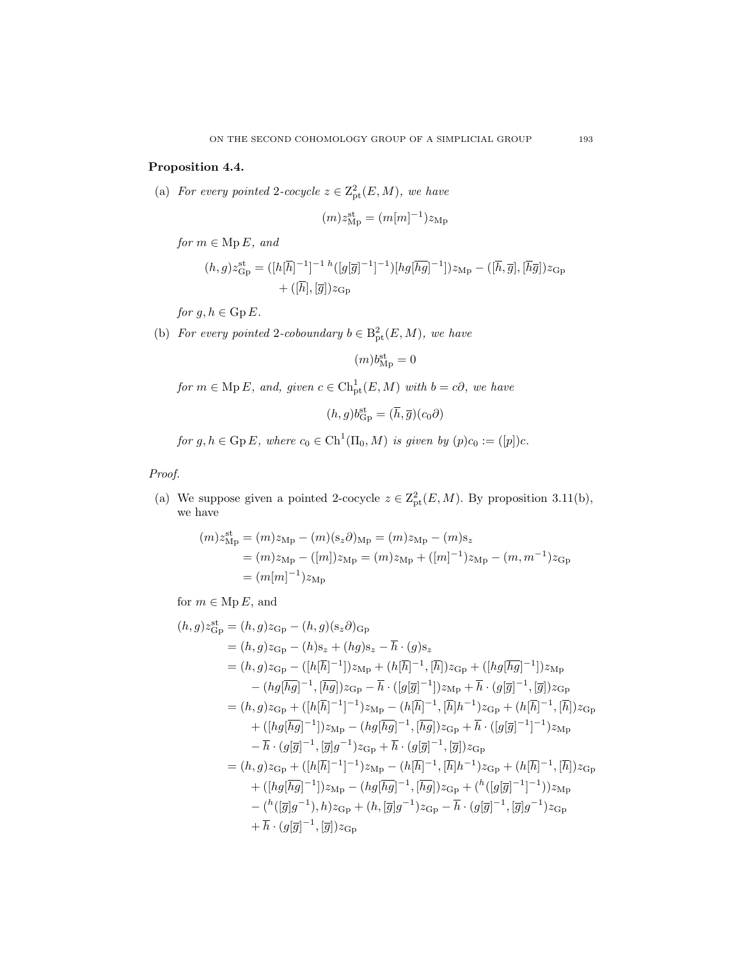# <span id="page-26-1"></span><span id="page-26-0"></span>Proposition 4.4.

(a) *For every pointed* 2-cocycle  $z \in Z_{pt}^2(E, M)$ *, we have* 

$$
(m)z_{\rm Mp}^{\rm st}=(m[m]^{-1})z_{\rm Mp}
$$

*for*  $m \in \text{Mp } E$ *, and* 

$$
(h,g)z_{\rm Gp}^{\rm st} = ([h[\overline{h}]^{-1}]^{-1} h([g[\overline{g}]^{-1}]^{-1})[hg[\overline{hg}]^{-1}])z_{\rm Mp} - ([\overline{h},\overline{g}], [\overline{h}\overline{g}])z_{\rm Gp} + ([\overline{h}],[\overline{g}])z_{\rm Gp}
$$

*for*  $g, h \in \text{Gp } E$ *.* 

<span id="page-26-2"></span>(b) *For every pointed* 2-coboundary  $b \in B_{pt}^2(E, M)$ *, we have* 

$$
(m)b_{\rm Mp}^{\rm st}=0
$$

 $for m \in \text{Mp } E$ *, and, given*  $c \in \text{Ch}^1_{\text{pt}}(E, M)$  *with*  $b = c\partial$ *, we have* 

$$
(h,g)b^{\text{st}}_{\text{Gp}} = (\overline{h}, \overline{g})(c_0\partial)
$$

*for*  $g, h \in \text{Gp } E$ , where  $c_0 \in \text{Ch}^1(\Pi_0, M)$  *is given by*  $(p)c_0 := ([p])c$ *.* 

*Proof.*

(a) We suppose given a pointed 2-cocycle  $z \in \mathbb{Z}_{pt}^2(E, M)$ . By proposition [3.11](#page-19-0)[\(b\),](#page-19-1) we have

$$
(m)z_{\rm Mp}^{\rm st} = (m)z_{\rm Mp} - (m)(s_z\partial)_{\rm Mp} = (m)z_{\rm Mp} - (m)s_z
$$
  
=  $(m)z_{\rm Mp} - ([m])z_{\rm Mp} = (m)z_{\rm Mp} + ([m]^{-1})z_{\rm Mp} - (m, m^{-1})z_{\rm Gp}$   
=  $(m[m]^{-1})z_{\rm Mp}$ 

for  $m \in \text{Mp } E$ , and

$$
(h,g) z_{\text{Gp}}^{\text{st}} = (h,g) z_{\text{Gp}} - (h,g) (s_z \partial)_{\text{Gp}}
$$
  
\n
$$
= (h,g) z_{\text{Gp}} - (h) s_z + (hg) s_z - \overline{h} \cdot (g) s_z
$$
  
\n
$$
= (h,g) z_{\text{Gp}} - ([h[\overline{h}]^{-1}]) z_{\text{Mp}} + (h[\overline{h}]^{-1}, [\overline{h}]) z_{\text{Gp}} + ([hg[\overline{h}g]^{-1}]) z_{\text{Mp}}
$$
  
\n
$$
- (hg[\overline{h}g]^{-1}, [\overline{h}g]) z_{\text{Gp}} - \overline{h} \cdot ([g[\overline{g}]^{-1}]) z_{\text{Mp}} + \overline{h} \cdot (g[\overline{g}]^{-1}, [\overline{g}]) z_{\text{Gp}}
$$
  
\n
$$
= (h,g) z_{\text{Gp}} + ([h[\overline{h}]^{-1}]^{-1}) z_{\text{Mp}} - (h[\overline{h}]^{-1}, [\overline{h}]\overline{h}^{-1}) z_{\text{Gp}} + (h[\overline{h}]^{-1}, [\overline{h}]) z_{\text{Gp}}
$$
  
\n
$$
+ ([hg[\overline{h}g]^{-1}]) z_{\text{Mp}} - (hg[\overline{h}g]^{-1}, [\overline{h}g]) z_{\text{Gp}} + \overline{h} \cdot ([g[\overline{g}]^{-1}]^{-1}) z_{\text{Mp}}
$$
  
\n
$$
- \overline{h} \cdot (g[\overline{g}]^{-1}, [\overline{g}]g^{-1}) z_{\text{Gp}} + \overline{h} \cdot (g[\overline{g}]^{-1}, [\overline{g}]) z_{\text{Gp}}
$$
  
\n
$$
+ ([hg[\overline{h}g]^{-1}]) z_{\text{Mp}} - (h[\overline{h}g]^{-1}, [\overline{h}g]) z_{\text{Gp}} + (h[\overline{h}]^{-1}, [\overline{h}]) z_{\text{Gp}}
$$
  
\n
$$
+ ([hg[\overline{h}g]^{-1}]) z_{\text{Mp}} - (hg[\overline{h}g]^{-1}, [\overline{h}g]) z_{\text{Gp}} + (h([\overline{g}g]^{-1}]^{-1})) z_{\text{Mp}}
$$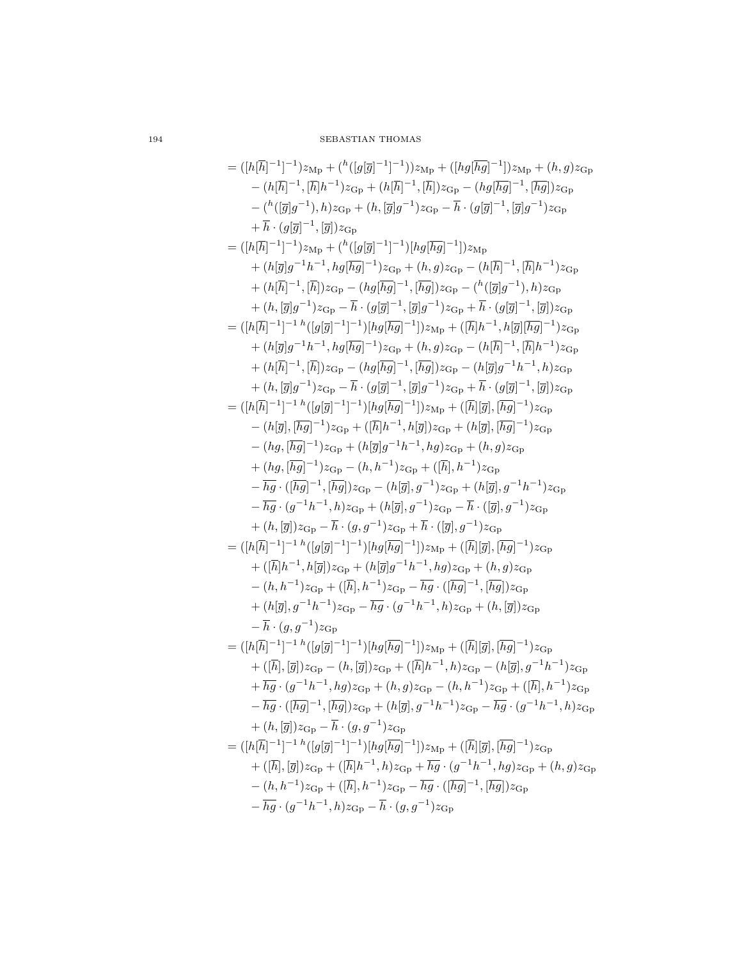$$
= (\vert h[\overline{h}]^{-1}]^{-1}) z_{\text{Mp}} + ( {}^{h}([g[\overline{g}]^{-1}]^{-1}]) z_{\text{Mp}} + ({}\overline{h}g[\overline{h}g]^{-1}]) z_{\text{Mp}} + (h,g) z_{\text{Gp}}
$$
  
\n
$$
- (h[\overline{h}]^{-1},[\overline{h}]h^{-1}) z_{\text{Gp}} + (h[\overline{h}]^{-1},[\overline{h}]) z_{\text{Gp}} - (hg[\overline{h}g]^{-1},[\overline{h}g]) z_{\text{Gp}}
$$
  
\n
$$
- ({}^{h}([\overline{g}]g^{-1}),h) z_{\text{Gp}} + (h,[\overline{g}]g^{-1}) z_{\text{Gp}} - \overline{h} \cdot (g[\overline{g}]^{-1},[\overline{g}]g^{-1}) z_{\text{Gp}}
$$
  
\n
$$
+ \overline{h} \cdot (g[\overline{g}]^{-1},[\overline{g}]) z_{\text{Gp}}
$$
  
\n
$$
= ([h[\overline{h}]^{-1}]^{-1}) z_{\text{Mp}} + ({}^{h}([\overline{g}g]^{-1}) z_{\text{Gp}} - \overline{h} \cdot (g[\overline{g}]^{-1},[\overline{g}]g^{-1}) z_{\text{Gp}}
$$
  
\n
$$
+ (h[\overline{g}]g^{-1}h^{-1},hg[\overline{h}g]^{-1}) z_{\text{Gp}} + (h,g) z_{\text{Gp}} - (h[\overline{h}]^{-1},[\overline{h}]h^{-1}) z_{\text{Gp}}
$$
  
\n
$$
+ (h[\overline{h}]^{-1}]^{-1} h ([g[\overline{g}]^{-1}]^{-1}) [hg[\overline{h}g]^{-1}]) z_{\text{Qp}} - ({}^{h}([\overline{g}]g^{-1}),h) z_{\text{Gp}}
$$
  
\n
$$
+ (h,[\overline{g}]g^{-1}) z_{\text{Gp}} - \overline{h} \cdot (g[\overline{g}]^{-1},[\overline{g}]g^{-1}) z_{\text{Gp}} - ({}^{h}[\overline{g}]g^{-1},h) z_{\text{Gp}}
$$
  
\n
$$
+ (h[\overline{h}]^{-1}]^{-1} h ([g[\overline{g}]^{-1}]^{-1}) [hg[\overline{h}g]^{-
$$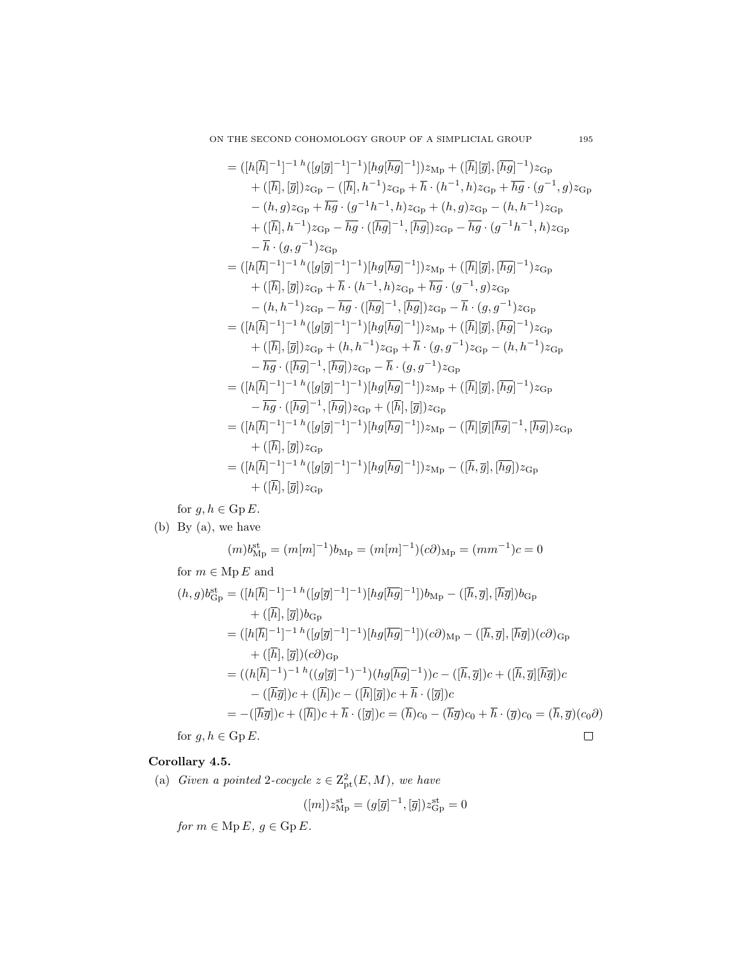$$
= ([h[\overline{h}]^{-1}]^{-1} h ([g[\overline{g}]^{-1}]^{-1}) [hg[\overline{hg}]^{-1}]) z_{Mp} + ([\overline{h}][\overline{g}], [\overline{hg}]^{-1}) z_{Gp}
$$
  
+ ([\overline{h}], [\overline{g}]) z\_{Gp} - ([\overline{h}], h^{-1}) z\_{Gp} + \overline{h} \cdot (h^{-1}, h) z\_{Gp} + \overline{hg} \cdot (g^{-1}, g) z\_{Gp}  
- (h, g) z\_{Gp} + \overline{hg} \cdot (g^{-1}h^{-1}, h) z\_{Gp} + (h, g) z\_{Gp} - (h, h^{-1}) z\_{Gp}  
+ ([\overline{h}], h^{-1}) z\_{Gp} - \overline{hg} \cdot ([\overline{hg}]^{-1}, [\overline{hg}]) z\_{Gp} - \overline{hg} \cdot (g^{-1}h^{-1}, h) z\_{Gp}  
-  $\overline{h} \cdot (g, g^{-1}) z_{Gp}$   
= ([h[\overline{h}]^{-1}]^{-1} h ([g[\overline{g}]^{-1}]^{-1}) [hg[\overline{hg}]^{-1}]) z\_{Mp} + ([\overline{h}][\overline{g}], [\overline{hg}]^{-1}) z\_{Gp}  
+ ([\overline{h}], [\overline{g}]) z\_{Gp} + \overline{h} \cdot (h^{-1}, h) z\_{Gp} + \overline{hg} \cdot (g^{-1}, g) z\_{Gp}  
- (h, h^{-1}) z\_{Gp} - \overline{hg} \cdot ([\overline{hg}]^{-1}, [\overline{hg}]) z\_{Gp} - \overline{h} \cdot (g, g^{-1}) z\_{Gp}  
= ([h[\overline{h}]^{-1}]^{-1} h ([g[\overline{g}]^{-1}]^{-1}) [hg[\overline{hg}]^{-1}]) z\_{Mp} + ([\overline{h}][\overline{g}], [\overline{hg}]^{-1}) z\_{Gp}  
+ ([\overline{h}], [\overline{g}]) z\_{Gp} + (h, h^{-1}) z\_{Gp} + \overline{h} \cdot (g, g^{-1}) z\_{Gp} - (h, h^{-1}) z\_{Gp}  
 $-\overline{hg} \cdot ([\overline{hg}]^{-1}, [\overline{hg}]) z_{Gp} - \overline{h} \cdot (g, g^{-1}) z_{Gp}$   
= ([h[\overline{h}]^{-1}]^{-1} h ([g

for  $g, h \in \operatorname{Gp} E.$ 

(b) By [\(a\),](#page-26-1) we have

$$
(m)b^{\rm st}_{\rm Mp}=(m[m]^{-1})b_{\rm Mp}=(m[m]^{-1})(c\partial)_{\rm Mp}=(mm^{-1})c=0
$$

for  $m\in \mathop{\mathrm{Mp}}\nolimits E$  and

$$
(h,g)b_{\rm Gp}^{\rm st} = ([h[\overline{h}]^{-1}]^{-1} h ([g[\overline{g}]^{-1}]^{-1}) [hg[\overline{hg}]^{-1}])b_{\rm Mp} - ([\overline{h}, \overline{g}], [\overline{h}\overline{g}])b_{\rm Gp}
$$
  
+ 
$$
+ ([\overline{h}], [\overline{g}])b_{\rm Gp}
$$
  
= 
$$
([h[\overline{h}]^{-1}]^{-1} h ([g[\overline{g}]^{-1}]^{-1}) [hg[\overline{hg}]^{-1}])(c\partial)_{\rm Mp} - ([\overline{h}, \overline{g}], [\overline{h}\overline{g}])(c\partial)_{\rm Gp}
$$
  
+ 
$$
([h], [\overline{g}])(c\partial)_{\rm Gp}
$$
  
= 
$$
((h[\overline{h}]^{-1})^{-1} h ((g[\overline{g}]^{-1})^{-1}) (hg[\overline{h}\overline{g}]^{-1}))c - ([\overline{h}, \overline{g}])c + ([\overline{h}, \overline{g}][\overline{h}\overline{g}])c
$$
  
- 
$$
-([\overline{h}\overline{g}])c + ([\overline{h}])c - ([\overline{h}][\overline{g}])c + \overline{h} \cdot ([\overline{g}])c
$$
  
= 
$$
-([\overline{h}\overline{g}])c + ([\overline{h}])c + \overline{h} \cdot ([\overline{g}])c = (\overline{h})c_0 - (\overline{h}\overline{g})c_0 + \overline{h} \cdot (\overline{g})c_0 = (\overline{h}, \overline{g})(c_0\partial)
$$
  
for  $g, h \in \text{Gp } E.$ 

for  $g, h \in \mathrm{Gp}\,E$ .

# <span id="page-28-1"></span><span id="page-28-0"></span>Corollary 4.5.

(a) *Given a pointed* 2-cocycle  $z \in \mathbb{Z}_{pt}^2(E, M)$ *, we have* 

$$
([m])z_{\rm Mp}^{\rm st}=(g[\overline{g}]^{-1},[\overline{g}])z_{\rm Gp}^{\rm st}=0
$$

*for*  $m \in \text{Mp } E$ *,*  $g \in \text{Gp } E$ *.*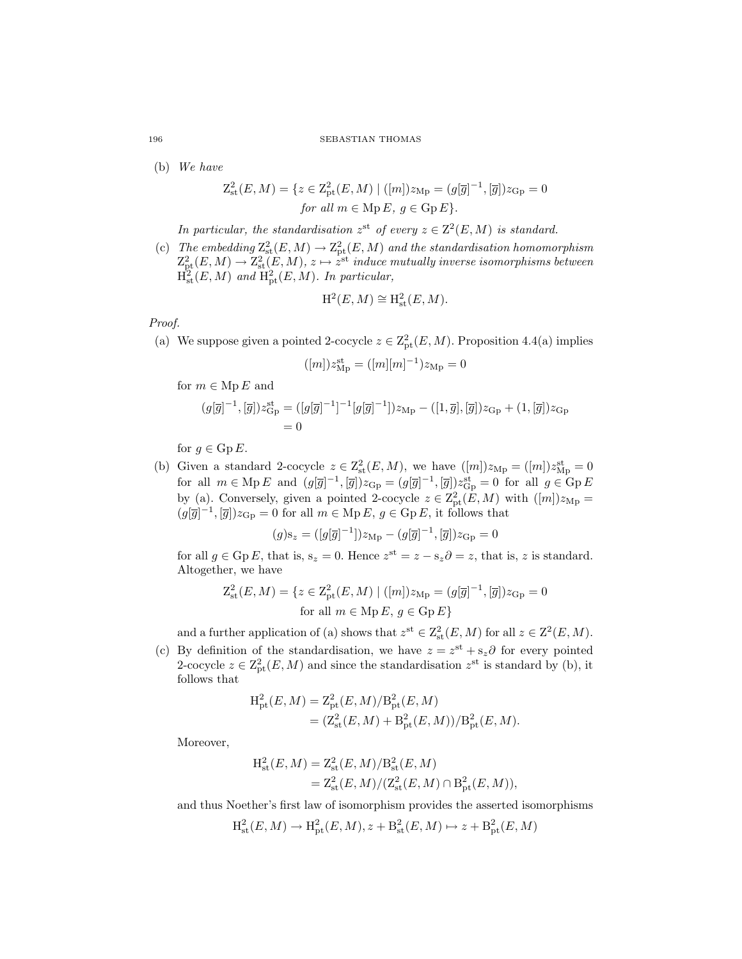(b) *We have*

$$
Z_{\rm st}^2(E, M) = \{ z \in Z_{\rm pt}^2(E, M) \mid ([m])z_{\rm Mp} = (g[\overline{g}]^{-1}, [\overline{g}])z_{\rm Gp} = 0
$$
  
for all  $m \in \text{Mp } E, g \in \text{Gp } E \}.$ 

In particular, the standardisation  $z^{\text{st}}$  of every  $z \in \mathbb{Z}^2(E, M)$  is standard.

<span id="page-29-1"></span>(c) The embedding  $Z_{\text{st}}^2(E, M) \to Z_{\text{pt}}^2(E, M)$  and the standardisation homomorphism  $\mathrm{Z}_{\mathrm{pt}}^2(E,M) \rightarrow \mathrm{Z}_{\mathrm{st}}^2(E,M),$   $z \mapsto \hat{z}^{\mathrm{st}}$  *induce mutually inverse isomorphisms between*  $\overline{H}_{\rm st}^2(E,M)$  and  $\overline{H}_{\rm pt}^2(E,M)$ *. In particular,* 

$$
\mathrm{H}^2(E, M) \cong \mathrm{H}^2_{\mathrm{st}}(E, M).
$$

*Proof.*

[\(a\)](#page-26-1) We suppose given a pointed 2-cocycle  $z \in \mathbb{Z}_{pt}^2(E, M)$ . Proposition [4.4](#page-26-0)(a) implies

$$
([m])z_{\rm Mp}^{\rm st}=([m][m]^{-1})z_{\rm Mp}=0
$$

for  $m \in \text{Mp } E$  and

$$
(g[\overline{g}]^{-1}, [\overline{g}]) z_{\rm Gp}^{\rm st} = ([g[\overline{g}]^{-1}]^{-1} [g[\overline{g}]^{-1}]) z_{\rm Mp} - ([1, \overline{g}], [\overline{g}]) z_{\rm Gp} + (1, [\overline{g}]) z_{\rm Gp} = 0
$$

for  $g \in \text{Gp } E$ .

(b) Given a standard 2-cocycle  $z \in \mathbb{Z}_{\text{st}}^2(E, M)$ , we have  $([m])z_{\text{Mp}} = ([m])z_{\text{Mp}}^{\text{st}} = 0$ for all  $m \in \text{Mp } E$  and  $(g[\overline{g}]^{-1}, [\overline{g}]) z_{\text{Gp}} = (g[\overline{g}]^{-1}, [\overline{g}]) z_{\text{Gp}}^{\text{st}} = 0$  for all  $g \in \text{Gp } E$ by [\(a\).](#page-28-0) Conversely, given a pointed 2-cocycle  $z \in \mathbb{Z}_{pt}^2(E, M)$  with  $([m])z_{Mp} =$  $(g[\overline{g}]^{-1}, [\overline{g}])z_{\text{Gp}} = 0$  for all  $m \in \text{Mp } E$ ,  $g \in \text{Gp } E$ , it follows that

$$
(g) \mathbf{s}_z = ([g[\overline{g}]^{-1}]) z_{\mathrm{Mp}} - (g[\overline{g}]^{-1}, [\overline{g}]) z_{\mathrm{Gp}} = 0
$$

for all  $g \in \text{Gp } E$ , that is,  $s_z = 0$ . Hence  $z^{\text{st}} = z - s_z \partial = z$ , that is, z is standard. Altogether, we have

$$
Z_{\rm st}^2(E, M) = \{ z \in Z_{\rm pt}^2(E, M) \mid ([m])z_{\rm Mp} = (g[\overline{g}]^{-1}, [\overline{g}])z_{\rm Gp} = 0
$$
  
for all  $m \in \text{Mp } E, g \in \text{Gp } E \}$ 

and a further application of [\(a\)](#page-28-0) shows that  $z^{\text{st}} \in \text{Z}_{\text{st}}^2(E, M)$  for all  $z \in \text{Z}^2(E, M)$ .

(c) By definition of the standardisation, we have  $z = z^{st} + s_z \partial$  for every pointed 2-cocycle  $z \in \mathbb{Z}_{pt}^2(E,M)$  and since the standardisation  $z^{st}$  is standard by [\(b\),](#page-29-0) it follows that

$$
H_{\rm pt}^2(E, M) = Z_{\rm pt}^2(E, M) / B_{\rm pt}^2(E, M)
$$
  
=  $(Z_{\rm st}^2(E, M) + B_{\rm pt}^2(E, M)) / B_{\rm pt}^2(E, M).$ 

Moreover,

$$
H_{\rm st}^{2}(E, M) = Z_{\rm st}^{2}(E, M)/B_{\rm st}^{2}(E, M)
$$
  
=  $Z_{\rm st}^{2}(E, M)/(Z_{\rm st}^{2}(E, M) \cap B_{\rm pt}^{2}(E, M)),$ 

and thus Noether's first law of isomorphism provides the asserted isomorphisms

$$
H_{\rm st}^2(E, M) \to H_{\rm pt}^2(E, M), z + B_{\rm st}^2(E, M) \mapsto z + B_{\rm pt}^2(E, M)
$$

<span id="page-29-0"></span>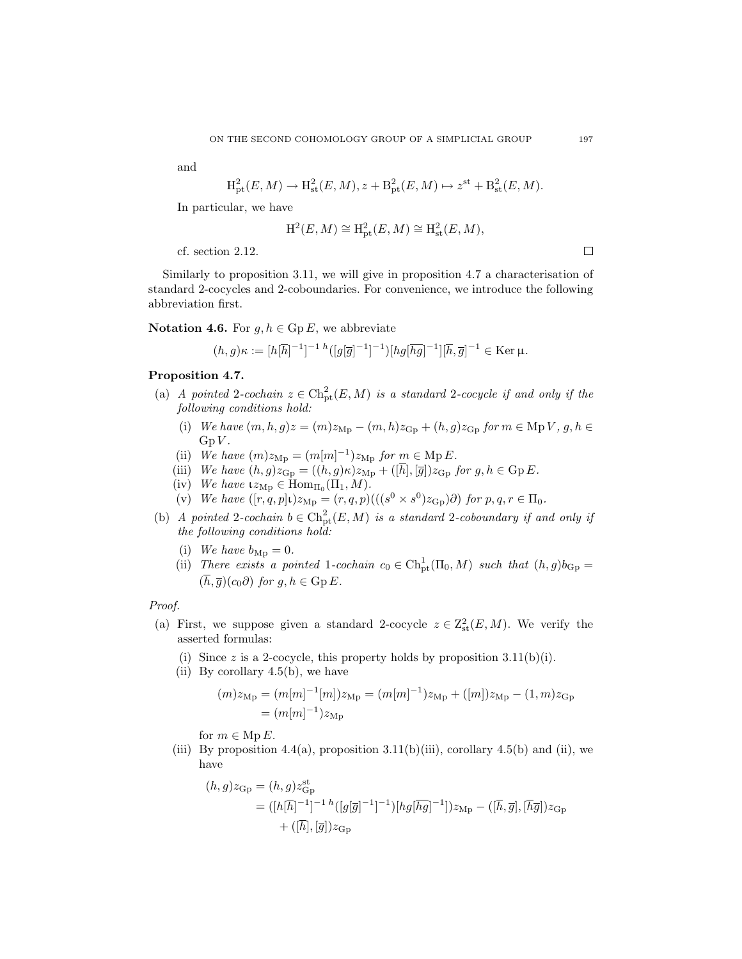and

$$
H_{\rm pt}^2(E, M) \to H_{\rm st}^2(E, M), z + B_{\rm pt}^2(E, M) \mapsto z^{\rm st} + B_{\rm st}^2(E, M).
$$

In particular, we have

$$
H^2(E, M) \cong H^2_{pt}(E, M) \cong H^2_{st}(E, M),
$$

cf. section [2.12.](#page-10-1)

Similarly to proposition [3.11,](#page-19-0) we will give in proposition [4.7](#page-30-0) a characterisation of standard 2-cocycles and 2-coboundaries. For convenience, we introduce the following abbreviation first.

Notation 4.6. For  $q, h \in \text{Gp } E$ , we abbreviate

$$
(h,g)\kappa := [h[\overline{h}]^{-1}]^{-1}{}^{h}([g[\overline{g}]^{-1}]^{-1})[hg[\overline{h}g]^{-1}][\overline{h},\overline{g}]^{-1} \in \text{Ker}\,\mu.
$$

## <span id="page-30-4"></span><span id="page-30-2"></span><span id="page-30-0"></span>Proposition 4.7.

- <span id="page-30-1"></span>(a) *A pointed* 2*-cochain*  $z \in \text{Ch}_{pt}^{2}(E, M)$  *is a standard* 2*-cocycle if and only if the following conditions hold:*
	- (i) *We have*  $(m, h, g)z = (m)z_{\text{Mp}} (m, h)z_{\text{Gp}} + (h, g)z_{\text{Gp}}$  *for*  $m \in \text{Mp } V$ ,  $g, h \in$  $GpV$ .
	- (ii) *We have*  $(m)z_{Mp} = (m[m]^{-1})z_{Mp}$  *for*  $m \in \text{Mp } E$ *.*
	- (iii) *We have*  $(h, g)z_{\text{GP}} = ((h, g)\kappa)z_{\text{Mp}} + ([\overline{h}], [\overline{g}])z_{\text{GP}}$  *for*  $g, h \in \text{Gp } E$ *.*
	- (iv) We have  $\iota z_{Mp} \in \text{Hom}_{\Pi_0}(\Pi_1, M)$ .
	- (v) *We have*  $([r, q, p] \iota) z_{Mp} = (r, q, p) (((s^0 \times s^0) z_{Gp}) \partial)$  *for*  $p, q, r \in \Pi_0$ *.*
- <span id="page-30-6"></span><span id="page-30-5"></span><span id="page-30-3"></span>(b) *A pointed* 2*-cochain*  $b \in Ch_{pt}^{2}(E, M)$  *is a standard* 2*-coboundary if and only if the following conditions hold:*
	- (i) *We have*  $b_{Mp} = 0$ *.*
	- (ii) *There exists a pointed* 1-cochain  $c_0 \in \text{Ch}^1_{\text{pt}}(\Pi_0, M)$  *such that*  $(h, g)b_{\text{Gp}} =$  $(\overline{h}, \overline{q})(c_0\partial)$  *for*  $q, h \in \text{Gp } E$ .

#### *Proof.*

- (a) First, we suppose given a standard 2-cocycle  $z \in \mathbb{Z}_{\text{st}}^2(E, M)$ . We verify the asserted formulas:
	- (i) Since z is a 2-cocycle, this property holds by proposition  $3.11(b)(i)$  $3.11(b)(i)$  $3.11(b)(i)$ .
	- (ii) By corollary  $4.5(b)$ , we have

$$
(m)z_{\rm Mp} = (m[m]^{-1}[m])z_{\rm Mp} = (m[m]^{-1})z_{\rm Mp} + ([m])z_{\rm Mp} - (1,m)z_{\rm Gp}
$$
  
=  $(m[m]^{-1})z_{\rm Mp}$ 

for  $m \in \text{Mp } E$ .

(iii) By proposition [4.4](#page-26-0)[\(a\),](#page-26-1) proposition [3.11](#page-19-0)[\(b\)](#page-29-0)[\(iii\),](#page-19-7) corollary [4.5](#page-28-1)(b) and [\(ii\),](#page-30-1) we have

$$
(h,g)z_{\mathcal{G}_{\mathcal{P}}} = (h,g)z_{\mathcal{G}_{\mathcal{P}}}^{\mathsf{st}}
$$
  
= 
$$
([h[\overline{h}]^{-1}]^{-1}h([g[\overline{g}]^{-1}]^{-1})[hg[\overline{hg}]^{-1}])z_{\mathcal{M}_{\mathcal{P}}} - ([\overline{h},\overline{g}],[\overline{h}\overline{g}])z_{\mathcal{G}_{\mathcal{P}}}
$$
  
+ 
$$
([\overline{h}],[\overline{g}])z_{\mathcal{G}_{\mathcal{P}}}
$$

 $\Box$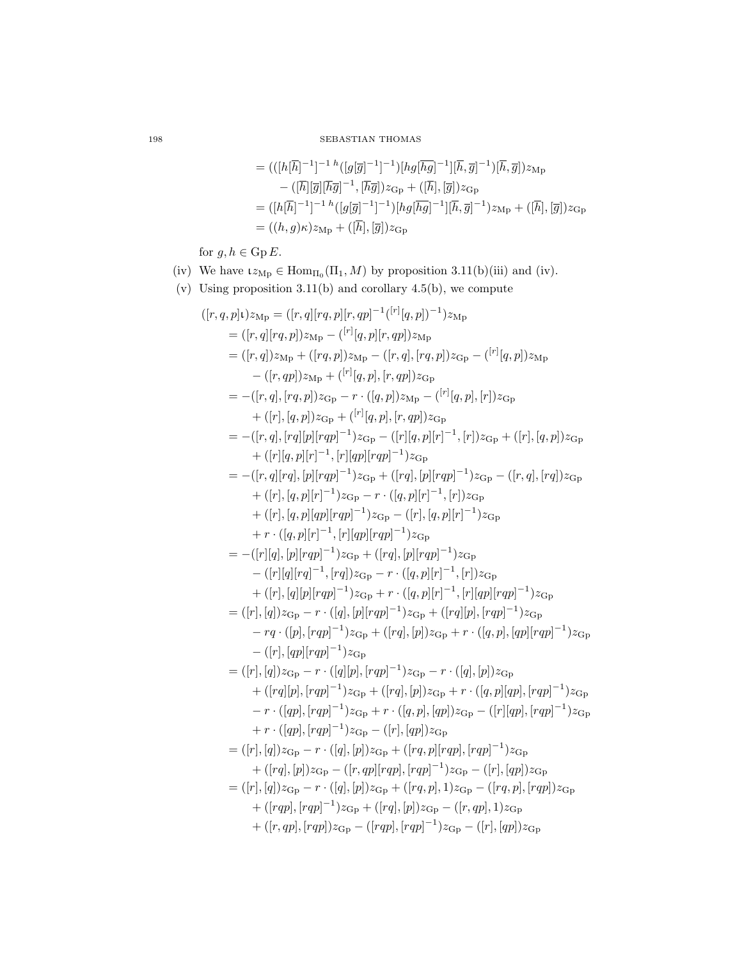$$
= (([h[\overline{h}]^{-1}]^{-1} h ([g[\overline{g}]^{-1}]^{-1}) [hg[\overline{h}g]^{-1}][\overline{h}, \overline{g}]^{-1}) [\overline{h}, \overline{g}]) z_{Mp} - ([\overline{h}][\overline{g}][\overline{h}\overline{g}]^{-1}, [\overline{h}\overline{g}]) z_{G_P} + ([\overline{h}],[\overline{g}]) z_{G_P} = ([h[\overline{h}]^{-1}]^{-1} h ([g[\overline{g}]^{-1}]^{-1}) [hg[\overline{h}\overline{g}]^{-1}][\overline{h}, \overline{g}]^{-1}) z_{Mp} + ([\overline{h}],[\overline{g}]) z_{G_P} = ((h, g) \kappa) z_{Mp} + ([\overline{h}],[\overline{g}]) z_{G_P}
$$

for  $g, h \in \mathrm{Gp}\,E$ .

- (iv) We have  $\iota_{\mathcal{Z}_{\mathcal{M}\mathcal{P}}} \in \text{Hom}_{\Pi_0}(\Pi_1, M)$  by proposition [3.11](#page-19-0)[\(b\)](#page-19-1)[\(iii\)](#page-19-7) and [\(iv\).](#page-19-8)
- (v) Using proposition [3.11](#page-19-0)[\(b\)](#page-19-1) and corollary [4.5](#page-28-1)[\(b\),](#page-29-0) we compute

$$
([r, q, p]_t)_{2Mp} = ([r, q][rq, p]_t, qp]^{-1} (r![q, p])^{-1})_{2Mp}
$$
  
\n
$$
= ([r, q][rq, p])_{2Mp} - (r![q, p][r, qp])_{2Mp}
$$
  
\n
$$
= ([r, q])_{2Mp} + ([rq, p])_{2Mp} - ([r, q], [rq, p])_{2Gp} - (r![q, p])_{2Mp}
$$
  
\n
$$
- ([r, qp])_{2Mp} + (r![q, p], [r, qp])_{2Gp}
$$
  
\n
$$
= -([r, q], [rq, p])_{2Gp} - r \cdot ([q, p])_{2Gp} - (r![q, p], [r])_{2Gp}
$$
  
\n
$$
+ ([r],[q, p])_{2Gp} + (r![q, p], [r, qp])_{2Gp}
$$
  
\n
$$
= -([r, q], [rq][p][rqp]^{-1})_{2Gp} - ([r][q, p][r]^{-1}, [r])_{2Gp} + ([r], [q, p])_{2Gp}
$$
  
\n
$$
+ ([r][q, p][r]^{-1}, [r][qp][rqp]^{-1})_{2Gp}
$$
  
\n
$$
= -([r, q][rq], [p][rqp]^{-1})_{2Gp} + ([rq], [p][rqp]^{-1})_{2Gp} - ([r, q], [rq])_{2Gp}
$$
  
\n
$$
+ ([r], [q, p][qr]^{-1})_{2Gp} - r \cdot ([q, p][r]^{-1}, [r])_{2Gp}
$$
  
\n
$$
+ r \cdot ([q, p][r]^{-1}, [r][qp][rqp]^{-1})_{2Gp}
$$
  
\n
$$
+ r \cdot ([q, p][r]^{-1}, [r][qp][rqp]^{-1})_{2Gp}
$$
  
\n
$$
= -([r][q], [p][rqp]^{-1})_{2Gp} - r \cdot ([q, p][r]^{-1}, [r])_{2Gp}
$$
  
\n
$$
- ([r],[q][p][rqp]^{-1})_{2Gp} - r \cdot ([q, p][r]^{-1}, [r])_{2Gp}
$$
  
\n
$$
+ ([r], [q][p][rqp]^{-1})_{2Gp} - r \cdot ([q, p][r]^{-1}, [r])_{2G
$$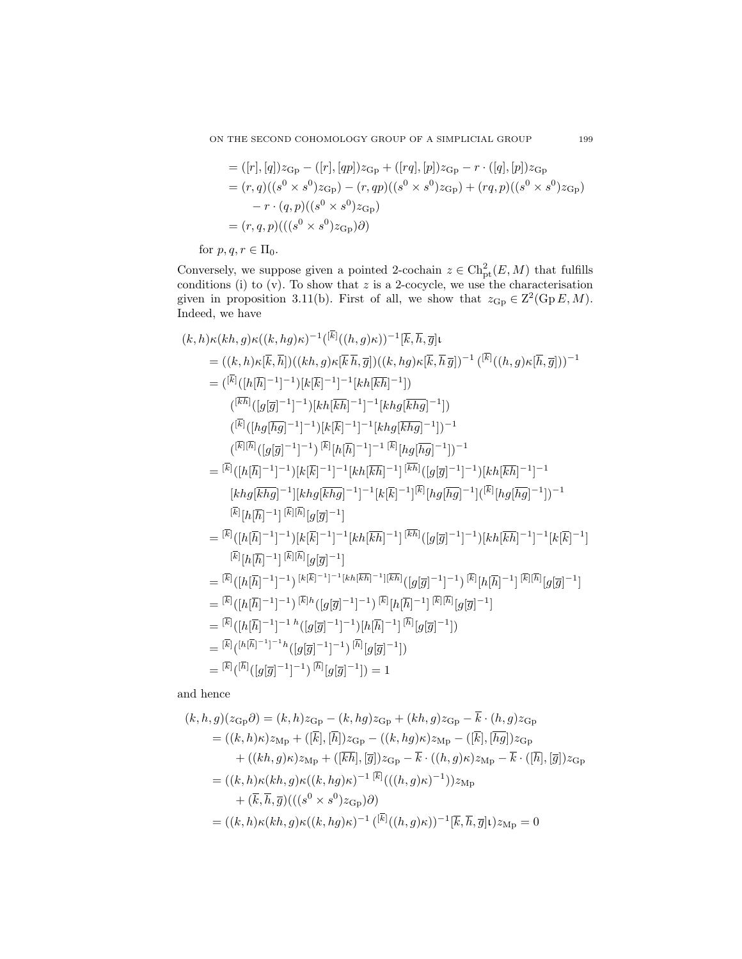= 
$$
([r], [q])z_{\text{Gp}} - ([r], [qp])z_{\text{Gp}} + ([rq], [p])z_{\text{Gp}} - r \cdot ([q], [p])z_{\text{Gp}}
$$
  
\n=  $(r, q)((s^0 \times s^0)z_{\text{Gp}}) - (r, qp)((s^0 \times s^0)z_{\text{Gp}}) + (rq, p)((s^0 \times s^0)z_{\text{Gp}})$   
\n-  $r \cdot (q, p)((s^0 \times s^0)z_{\text{Gp}})$   
\n=  $(r, q, p)((s^0 \times s^0)z_{\text{Gp}})\partial$ 

for  $p, q, r \in \Pi_0$ .

Conversely, we suppose given a pointed 2-cochain  $z \in \text{Ch}_{\text{pt}}^2(E, M)$  that fulfills conditions [\(i\)](#page-30-2) to [\(v\).](#page-30-3) To show that  $z$  is a 2-cocycle, we use the characterisation given in proposition [3.11](#page-19-0)[\(b\).](#page-19-1) First of all, we show that  $z_{\text{Gp}} \in \mathbb{Z}^2(\text{Gp } E, M)$ . Indeed, we have

$$
(k, h) \kappa(kh, g) \kappa((k, hg)\kappa)^{-1}(\overline{k})(h, g) \kappa)^{-1}[\overline{k}, \overline{h}, \overline{g}] \iota
$$
  
\n
$$
= ((k, h) \kappa[\overline{k}, \overline{h}])((kh, g) \kappa[\overline{k}, \overline{h}, \overline{g}])((k, hg) \kappa[\overline{k}, \overline{h}, \overline{g}])^{-1}(\overline{k}][(h, g) \kappa[\overline{h}, \overline{g}])^{-1}
$$
  
\n
$$
= (\overline{k})(h\overline{h})^{-1}]^{-1})[k\overline{k}\overline{h}^{-1}]^{-1}[kh\overline{k}\overline{h}\overline{g}]^{-1}])
$$
  
\n
$$
((\overline{k})([hg\overline{g}]^{-1}]^{-1})[k\overline{k}\overline{h}^{-1}]^{-1}[khg[\overline{k}\overline{h}g]^{-1}])^{-1}
$$
  
\n
$$
((\overline{k})([hg\overline{g}]^{-1}]^{-1})[k[\overline{k}]^{-1}]^{-1}[khg[\overline{k}\overline{h}g]^{-1}])^{-1}
$$
  
\n
$$
= (\overline{k})([hf\overline{h}]^{-1}]^{-1})[k[\overline{k}]^{-1}]^{-1}[kh[g\overline{k}\overline{h}g]^{-1}])^{-1}
$$
  
\n
$$
= [\overline{k}((h\overline{h})^{-1})^{-1})[k\overline{k}]^{-1}]^{-1}[kh[\overline{k}\overline{h}]^{-1}]^{-1}[k\overline{k}](g[\overline{g}]^{-1}]]^{-1}
$$
  
\n
$$
[khg[\overline{k}\overline{h}g]^{-1}][khg[\overline{k}\overline{h}g]^{-1}]^{-1}[k[\overline{k}]^{-1}]^{1}[\overline{k}][hg[\overline{h}g]^{-1}][\overline{k}\overline{h}](g[\overline{g}]^{-1}]]^{-1}
$$
  
\n
$$
= [\overline{k}((h\overline{h})^{-1})^{-1})[k[\overline{k}]^{-1}]^{-1}[kh[\overline{k}\overline{h}]^{-1}]^{-1}[\overline{k}\overline{h}](g[\overline{g}]^{-1}][h[\overline{h}g]^{-1}]]^{-1}
$$
  
\n
$$
= [\overline{k}((h\overline{h})^{-
$$

and hence

$$
(k, h, g)(z_{\text{Gp}}\partial) = (k, h)z_{\text{Gp}} - (k, hg)z_{\text{Gp}} + (kh, g)z_{\text{Gp}} - k \cdot (h, g)z_{\text{Gp}}
$$
  
\n
$$
= ((k, h)\kappa)z_{\text{Mp}} + ([\overline{k}], [\overline{h}])z_{\text{Gp}} - ((k, hg)\kappa)z_{\text{Mp}} - ([\overline{k}], [\overline{hg}])z_{\text{Gp}}
$$
  
\n
$$
+ ((kh, g)\kappa)z_{\text{Mp}} + ([\overline{k}\overline{h}], [\overline{g}])z_{\text{Gp}} - \overline{k} \cdot ((h, g)\kappa)z_{\text{Mp}} - \overline{k} \cdot ([\overline{h}], [\overline{g}])z_{\text{Gp}}
$$
  
\n
$$
= ((k, h)\kappa(kh, g)\kappa((k, hg)\kappa)^{-1} \overline{k} + (\overline{k}, \overline{h}, \overline{g})(((s^0 \times s^0)z_{\text{Gp}})\partial)
$$
  
\n
$$
= ((k, h)\kappa(kh, g)\kappa((k, hg)\kappa)^{-1} \overline{k} + (\overline{k}, \overline{h}, \overline{g}] \iota)z_{\text{Mp}} = 0
$$

 $\equiv$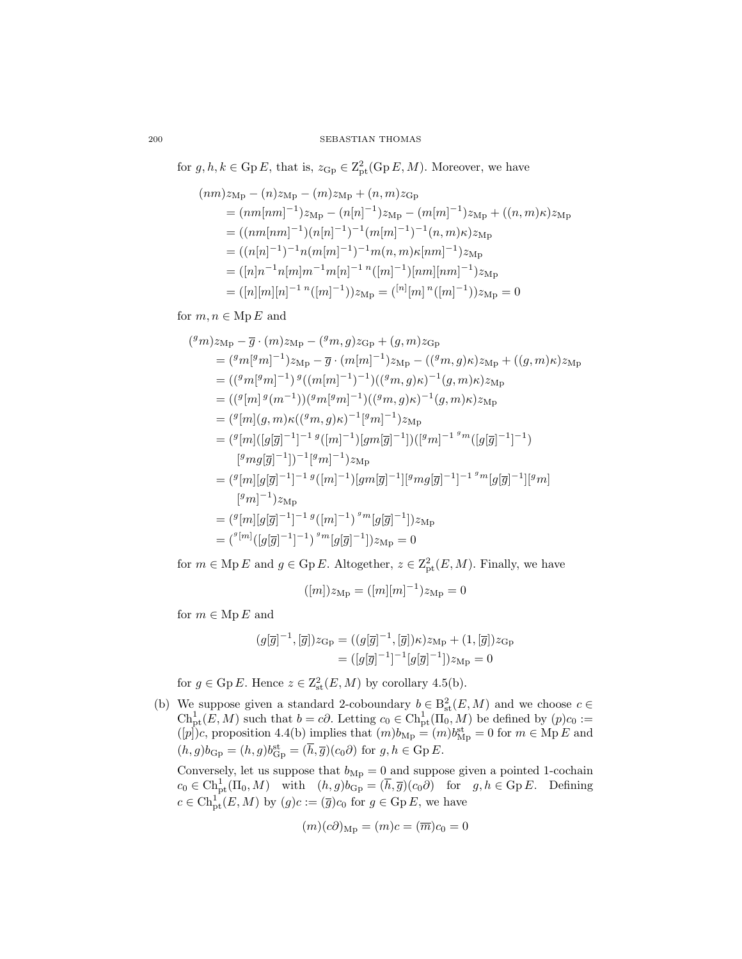for  $g, h, k \in \text{Gp } E$ , that is,  $z_{\text{Gp}} \in \text{Z}_{\text{pt}}^2(\text{Gp } E, M)$ . Moreover, we have

$$
(nm)z_{\rm Mp} - (n)z_{\rm Mp} - (m)z_{\rm Mp} + (n, m)z_{\rm Gp}
$$
  
=  $(nm[nm]^{-1})z_{\rm Mp} - (n[n]^{-1})z_{\rm Mp} - (m[m]^{-1})z_{\rm Mp} + ((n, m)\kappa)z_{\rm Mp}$   
=  $((nm[nm]^{-1})(n[n]^{-1})^{-1}(m[m]^{-1})^{-1}(n, m)\kappa)z_{\rm Mp}$   
=  $((n[n]^{-1})^{-1}n(m[m]^{-1})^{-1}m(n, m)\kappa[nm]^{-1})z_{\rm Mp}$   
=  $([n]n^{-1}n[m]m^{-1}m[n]^{-1}n([m]^{-1})[nm][nm]^{-1})z_{\rm Mp}$   
=  $([n][m][n]^{-1}{}^{n}([m]^{-1}))z_{\rm Mp} = (^{n}[m]{}^{n}([m]^{-1}))z_{\rm Mp} = 0$ 

for  $m, n \in \mathop{\rm Mp} E$  and

$$
(^{g}m)z_{\mathrm{Mp}} - \overline{g} \cdot (m)z_{\mathrm{Mp}} - (^{g}m, g)z_{\mathrm{Gp}} + (g, m)z_{\mathrm{Gp}}
$$
  
\n
$$
= (^{g}m[^{g}m]^{-1})z_{\mathrm{Mp}} - \overline{g} \cdot (m[m]^{-1})z_{\mathrm{Mp}} - ((^{g}m, g)\kappa)z_{\mathrm{Mp}} + ((g, m)\kappa)z_{\mathrm{Mp}}
$$
  
\n
$$
= ((^{g}m[^{g}m]^{-1})^{g}((m[m]^{-1})^{-1})((^{g}m, g)\kappa)^{-1}(g, m)\kappa)z_{\mathrm{Mp}}
$$
  
\n
$$
= ((^{g}[m]^{g}(m^{-1}))({^{g}m[^{g}m]^{-1}})((^{g}m, g)\kappa)^{-1}(g, m)\kappa)z_{\mathrm{Mp}}
$$
  
\n
$$
= (^{g}[m] (g, m)\kappa((^{g}m, g)\kappa)^{-1}[^{g}m]^{-1})z_{\mathrm{Mp}}
$$
  
\n
$$
= (^{g}[m]([g[\overline{g}]^{-1}])^{-1}[^{g}m[\overline{g}]^{-1}])([^{g}m]^{-1}{}^{s}m([g[\overline{g}]^{-1}])^{-1})
$$
  
\n
$$
= (^{g}[m][g[\overline{g}]^{-1}]^{-1}{}^{g}([m]^{-1})[gm[\overline{g}]^{-1}][^{g}mg[\overline{g}]^{-1}]^{-1}{}^{g}m[g[\overline{g}]^{-1}][^{g}m]
$$
  
\n
$$
= (^{g}[m][g[\overline{g}]^{-1}]^{-1}{}^{g}([m]^{-1})^{g}m[g[\overline{g}]^{-1}])z_{\mathrm{Mp}}
$$
  
\n
$$
= (^{g}[m][g[\overline{g}]^{-1}]^{-1}{}^{g}([m]^{-1})^{g}m[g[\overline{g}]^{-1}])z_{\mathrm{Mp}}
$$
  
\n
$$
= (^{g}[m]([g[\overline{g}]^{-1}]-^{1})^{g}{}^{m}[g[\overline{g}]^{-1}])z_{\mathrm{Mp}} = 0
$$

for  $m \in \text{Mp } E$  and  $g \in \text{Gp } E$ . Altogether,  $z \in \text{Z}_{pt}^2(E, M)$ . Finally, we have

$$
([m])z_{\rm Mp} = ([m][m]^{-1})z_{\rm Mp} = 0
$$

for  $m \in \mathcal{M}$  p E and

$$
(g[\overline{g}]^{-1}, [\overline{g}])z_{\mathrm{Gp}} = ((g[\overline{g}]^{-1}, [\overline{g}])\kappa)z_{\mathrm{Mp}} + (1, [\overline{g}])z_{\mathrm{Gp}}
$$

$$
= ([g[\overline{g}]^{-1}]^{-1}[g[\overline{g}]^{-1}])z_{\mathrm{Mp}} = 0
$$

for  $g \in \text{Gp } E$ . Hence  $z \in \text{Z}_{\text{st}}^2(E, M)$  by corollary [4.5](#page-28-1)[\(b\).](#page-29-0)

(b) We suppose given a standard 2-coboundary  $b \in B^2_{st}(E, M)$  and we choose  $c \in$  $\mathrm{Ch}^1_{\mathrm{pt}}(E,M)$  such that  $b=c\partial$ . Letting  $c_0\in \mathrm{Ch}^1_{\mathrm{pt}}(\Pi_0,M)$  be defined by  $(p)c_0:=$  $([p])c$ , proposition [4.4](#page-26-0)[\(b\)](#page-26-2) implies that  $(m)b_{Mp} = (m)b_{Mp}^{st} = 0$  for  $m \in Mp E$  and  $(h, g)b_{\text{Gp}} = (h, g)b_{\text{Gp}}^{\text{st}} = (\overline{h}, \overline{g})(c_0\partial)$  for  $g, h \in \text{Gp } E$ .

Conversely, let us suppose that  $b_{Mp} = 0$  and suppose given a pointed 1-cochain  $c_0 \in \text{Ch}^1_{\text{pt}}(\Pi_0, M)$  with  $(h, g)b_{\text{Gp}} = (\overline{h}, \overline{g})(c_0\partial)$  for  $g, h \in \text{Gp } E$ . Defining  $c \in \text{Ch}_{\text{pt}}^1(E, M)$  by  $(g)c := (\overline{g})c_0$  for  $g \in \text{Gp } E$ , we have

$$
(m)(c\partial)_{\rm Mp} = (m)c = (\overline{m})c_0 = 0
$$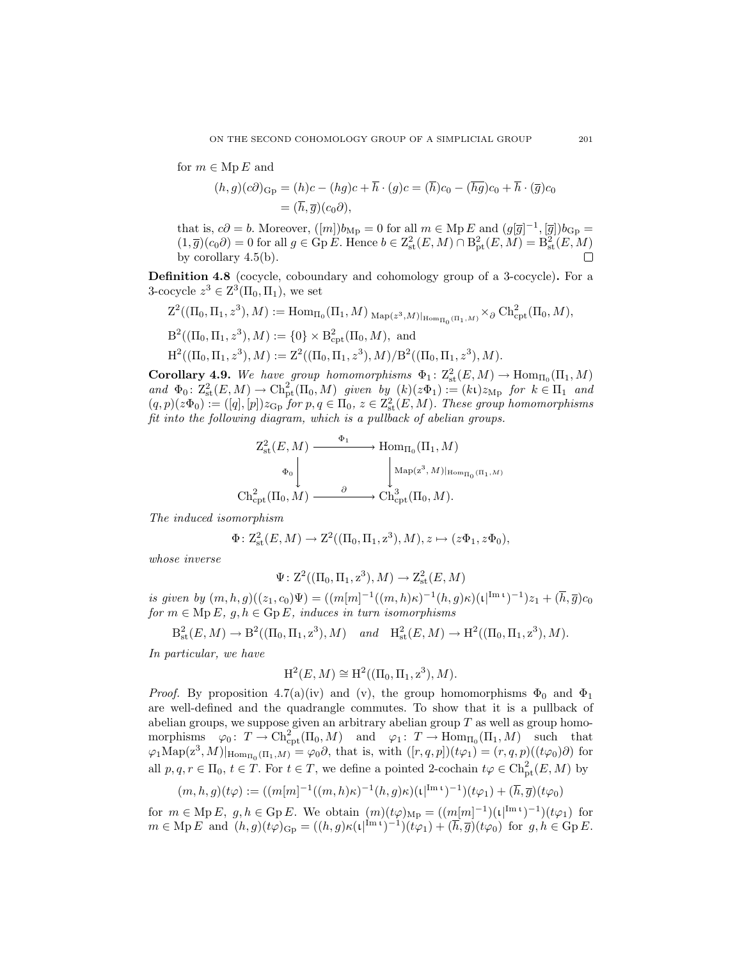for  $m \in \text{Mp } E$  and

$$
(h,g)(c\partial)_{\mathcal{G}_P} = (h)c - (hg)c + \overline{h} \cdot (g)c = (\overline{h})c_0 - (\overline{hg})c_0 + \overline{h} \cdot (\overline{g})c_0
$$
  
=  $(\overline{h}, \overline{g})(c_0\partial),$ 

that is,  $c\partial = b$ . Moreover,  $([m])b_{\text{Mp}} = 0$  for all  $m \in \text{Mp } E$  and  $(g[\overline{g}]^{-1}, [\overline{g}])b_{\text{Gp}} =$  $(1,\overline{g})(c_0\partial) = 0$  for all  $g \in \text{Gp } E$ . Hence  $b \in \mathbb{Z}_{\text{st}}^2(E,M) \cap \mathbb{B}_{\text{pt}}^2(E,M) = \mathbb{B}_{\text{st}}^2(E,M)$ by corollary [4.5](#page-28-1)[\(b\).](#page-29-0)

Definition 4.8 (cocycle, coboundary and cohomology group of a 3-cocycle). For a 3-cocycle  $z^3 \in \mathbb{Z}^3(\Pi_0, \Pi_1)$ , we set

$$
Z^2((\Pi_0, \Pi_1, z^3), M) := \text{Hom}_{\Pi_0}(\Pi_1, M)_{\text{ Map}(z^3, M)|_{\text{Hom}_{\Pi_0}(\Pi_1, M)}} \times_{\partial} \text{Ch}^2_{\text{cpt}}(\Pi_0, M),
$$
  
\n
$$
B^2((\Pi_0, \Pi_1, z^3), M) := \{0\} \times B^2_{\text{cpt}}(\Pi_0, M), \text{ and}
$$
  
\n
$$
H^2((\Pi_0, \Pi_1, z^3), M) := Z^2((\Pi_0, \Pi_1, z^3), M)/B^2((\Pi_0, \Pi_1, z^3), M).
$$

<span id="page-34-0"></span>Corollary 4.9. We have group homomorphisms  $\Phi_1: Z^2_{\rm st}(E,M) \to \text{Hom}_{\Pi_0}(\Pi_1,M)$  $and \Phi_0: Z^2_{st}(E, M) \to \text{Ch}_{pt}^2(\Pi_0, M)$  *given* by  $(k)(z\Phi_1) := (k\iota)z_{Mp}$  *for*  $k \in \Pi_1$  *and*  $(q, p)(z\Phi_0) := ([q], [p])z_{\text{Gp}}$  *for*  $p, q \in \Pi_0$ ,  $z \in \mathbb{Z}_{\text{st}}^2(E, M)$ *. These group homomorphisms fit into the following diagram, which is a pullback of abelian groups.*

$$
Z_{\rm st}^2(E, M) \xrightarrow{\Phi_1} \text{Hom}_{\Pi_0}(\Pi_1, M)
$$

$$
\Phi_0 \downarrow \qquad \qquad \downarrow \text{Map}(z^3, M)|_{\text{Hom}_{\Pi_0}(\Pi_1, M)}
$$

$$
\text{Ch}_{\rm cpt}^2(\Pi_0, M) \xrightarrow{\partial} \text{Ch}_{\rm cpt}^3(\Pi_0, M).
$$

*The induced isomorphism*

$$
\Phi\colon \mathrm{Z}^2_{\mathrm{st}}(E,M) \to \mathrm{Z}^2((\Pi_0,\Pi_1,z^3),M), z \mapsto (z\Phi_1,z\Phi_0),
$$

*whose inverse*

$$
\Psi: Z^2((\Pi_0, \Pi_1, z^3), M) \to Z^2_{st}(E, M)
$$

*is given by*  $(m, h, g)((z_1, c_0)\Psi) = ((m[m]^{-1}((m, h)\kappa)^{-1}(h, g)\kappa)(\iota^{[\text{Im }\iota]})^{-1})z_1 + (\overline{h}, \overline{g})c_0$ *for*  $m \in \text{Mp } E$ ,  $g, h \in \text{Gp } E$ , *induces in turn isomorphisms* 

$$
B_{\rm st}^2(E, M) \to B^2((\Pi_0, \Pi_1, z^3), M)
$$
 and  $H_{\rm st}^2(E, M) \to H^2((\Pi_0, \Pi_1, z^3), M)$ .

*In particular, we have*

$$
H^{2}(E, M) \cong H^{2}((\Pi_{0}, \Pi_{1}, z^{3}), M).
$$

*Proof.* By proposition [4.7](#page-30-0)[\(a\)](#page-30-4)[\(iv\)](#page-30-5) and [\(v\),](#page-30-3) the group homomorphisms  $\Phi_0$  and  $\Phi_1$ are well-defined and the quadrangle commutes. To show that it is a pullback of abelian groups, we suppose given an arbitrary abelian group  $T$  as well as group homomorphisms  $\varphi_0: T \to \text{Ch}^2_{\text{cpt}}(\Pi_0, M)$  and  $\varphi_1: T \to \text{Hom}_{\Pi_0}(\Pi_1, M)$  such that  $\varphi_1 \text{Map}(z^3, M)|_{\text{Hom}_{\Pi_0}(\Pi_1, M)} = \varphi_0 \partial$ , that is, with  $([r, q, p])(t\varphi_1) = (r, q, p)((t\varphi_0)\partial)$  for all  $p, q, r \in \Pi_0, t \in T$ . For  $t \in T$ , we define a pointed 2-cochain  $t\varphi \in \text{Ch}_{\text{pt}}^2(E, M)$  by

$$
(m,h,g)(t\varphi) := ((m[m]^{-1}((m,h)\kappa)^{-1}(h,g)\kappa)(\iota^{(Im \ t})^{-1})(t\varphi_1) + (\overline{h},\overline{g})(t\varphi_0))
$$

for  $m \in \text{Mp } E$ ,  $g, h \in \text{Gp } E$ . We obtain  $(m)(t\varphi)_{\text{Mp}} = ((m[m]^{-1})(t^{\text{Im } t})^{-1})(t\varphi_1)$  for  $m \in \text{Mp } E \text{ and } (h, g)(t\varphi)_{\text{Gp}} = ((h, g)\kappa(\iota)^{\text{Im } \iota})^{-1}(\iota \varphi_1) + (\overline{h}, \overline{g})(t\varphi_0) \text{ for } g, h \in \text{Gp } E.$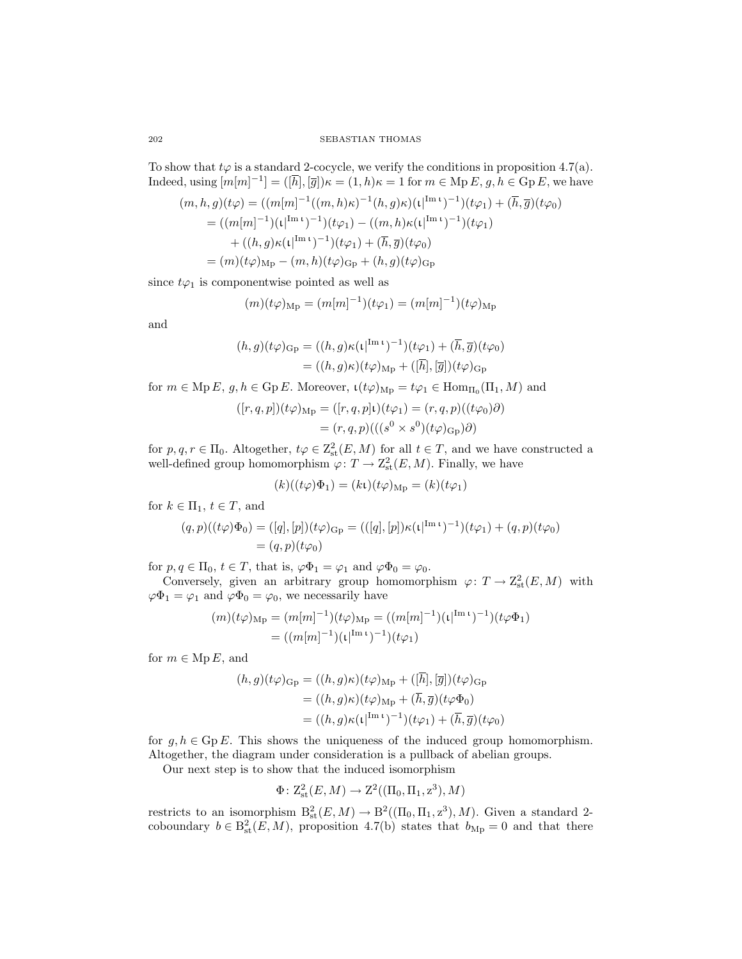To show that  $t\varphi$  is a standard 2-cocycle, we verify the conditions in proposition [4.7](#page-30-0)[\(a\).](#page-30-4) Indeed, using  $[m[m]^{-1}] = ([\overline{h}], [\overline{g}])\kappa = (1, h)\kappa = 1$  for  $m \in \text{Mp } E$ ,  $g, h \in \text{Gp } E$ , we have

$$
(m, h, g)(t\varphi) = ((m[m]^{-1}((m, h)\kappa)^{-1}(h, g)\kappa)(\iota|^{Im \ t})^{-1})(t\varphi_1) + (\overline{h}, \overline{g})(t\varphi_0)
$$
  
=  $((m[m]^{-1})(\iota|^{Im \ t})^{-1})(t\varphi_1) - ((m, h)\kappa(\iota|^{Im \ t})^{-1})(t\varphi_1)$   
+  $((h, g)\kappa(\iota|^{Im \ t})^{-1})(t\varphi_1) + (\overline{h}, \overline{g})(t\varphi_0)$   
=  $(m)(t\varphi)_{Mp} - (m, h)(t\varphi)_{Gp} + (h, g)(t\varphi)_{Gp}$ 

since  $t\varphi_1$  is componentwise pointed as well as

$$
(m)(t\varphi)_{\rm Mp} = (m[m]^{-1})(t\varphi_1) = (m[m]^{-1})(t\varphi)_{\rm Mp}
$$

and

$$
(h,g)(t\varphi)_{\text{Gp}} = ((h,g)\kappa(\mathfrak{t}|^{\text{Im }\mathfrak{t}})^{-1})(t\varphi_1) + (\overline{h},\overline{g})(t\varphi_0)
$$
  
= 
$$
((h,g)\kappa)(t\varphi)_{\text{Mp}} + ([\overline{h}], [\overline{g}])(t\varphi)_{\text{Gp}}
$$

for  $m \in \text{Mp } E$ ,  $g, h \in \text{Gp } E$ . Moreover,  $\iota(t\varphi)_{\text{Mp}} = t\varphi_1 \in \text{Hom}_{\Pi_0}(\Pi_1, M)$  and

$$
([r, q, p])(t\varphi)_{\mathrm{Mp}} = ([r, q, p]\iota)(t\varphi_1) = (r, q, p)((t\varphi_0)\partial)
$$
  
=  $(r, q, p)(( (s^0 \times s^0)(t\varphi)_{\mathrm{Gp}})\partial)$ 

for  $p, q, r \in \Pi_0$ . Altogether,  $t\varphi \in \mathbb{Z}_{\text{st}}^2(E, M)$  for all  $t \in T$ , and we have constructed a well-defined group homomorphism  $\varphi \colon T \to \mathrm{Z}^2_{\mathrm{st}}(E,M)$ . Finally, we have

$$
(k)((t\varphi)\Phi_1) = (k\iota)(t\varphi)_{\rm Mp} = (k)(t\varphi_1)
$$

for  $k \in \Pi_1, t \in T$ , and

$$
(q,p)((t\varphi)\Phi_0) = ([q],[p])(t\varphi)_{\mathcal{G}_P} = (([q],[p])\kappa(\iota^{\mathrm{Im}\, \iota})^{-1})(t\varphi_1) + (q,p)(t\varphi_0) = (q,p)(t\varphi_0)
$$

for  $p, q \in \Pi_0, t \in T$ , that is,  $\varphi \Phi_1 = \varphi_1$  and  $\varphi \Phi_0 = \varphi_0$ .

Conversely, given an arbitrary group homomorphism  $\varphi: T \to \mathbb{Z}^2_{\text{st}}(E, M)$  with  $\varphi \Phi_1 = \varphi_1$  and  $\varphi \Phi_0 = \varphi_0$ , we necessarily have

$$
(m)(t\varphi)_{\rm Mp} = (m[m]^{-1})(t\varphi)_{\rm Mp} = ((m[m]^{-1})(t|^{\rm Im} \, t)^{-1})(t\varphi \Phi_1)
$$
  
= 
$$
((m[m]^{-1})(t|^{\rm Im} \, t)^{-1})(t\varphi_1)
$$

for  $m \in \text{Mp } E$ , and

$$
(h,g)(t\varphi)_{\text{Gp}} = ((h,g)\kappa)(t\varphi)_{\text{Mp}} + ([\overline{h}], [\overline{g}])(t\varphi)_{\text{Gp}} = ((h,g)\kappa)(t\varphi)_{\text{Mp}} + (\overline{h}, \overline{g})(t\varphi\Phi_0) = ((h,g)\kappa(\iota)^{\text{Im }\iota})^{-1})(t\varphi_1) + (\overline{h}, \overline{g})(t\varphi_0)
$$

for  $g, h \in \text{Gp } E$ . This shows the uniqueness of the induced group homomorphism. Altogether, the diagram under consideration is a pullback of abelian groups.

Our next step is to show that the induced isomorphism

$$
\Phi\colon \mathrm{Z}^2_{\mathrm{st}}(E,M)\rightarrow \mathrm{Z}^2((\Pi_0,\Pi_1,z^3),M)
$$

restricts to an isomorphism  $B^2_{st}(E,M) \to B^2((\Pi_0,\Pi_1,z^3),M)$ . Given a standard 2coboundary  $b \in B_{\text{st}}^2(E, M)$ , proposition [4.7](#page-30-0)[\(b\)](#page-30-6) states that  $b_{\text{Mp}} = 0$  and that there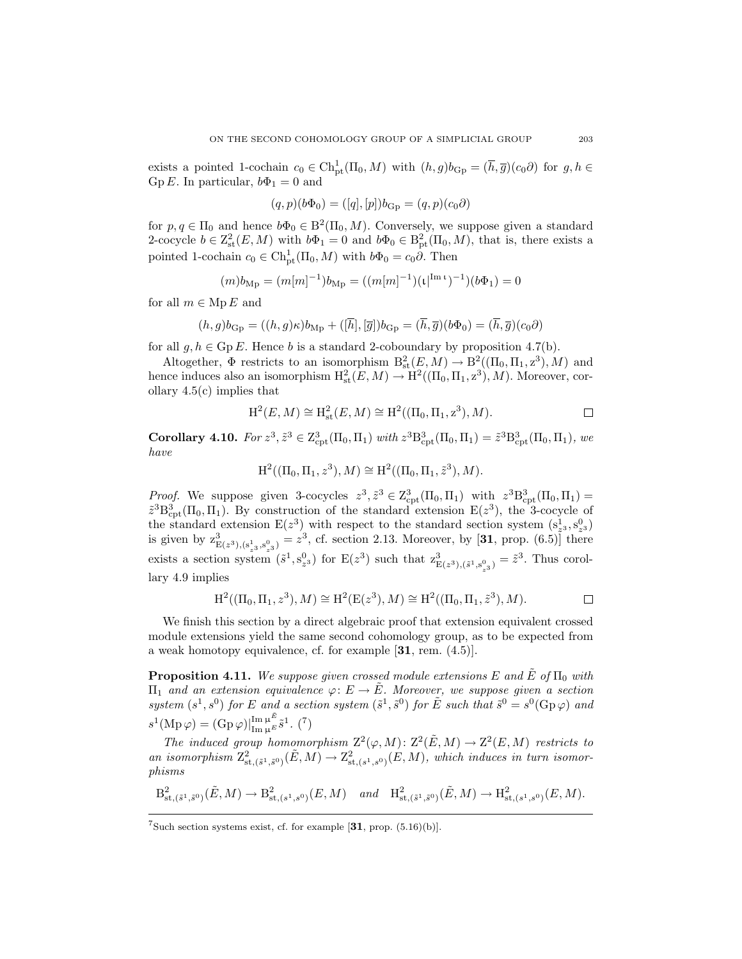exists a pointed 1-cochain  $c_0 \in \text{Ch}^1_{\text{pt}}(\Pi_0, M)$  with  $(h, g)b_{\text{Gp}} = (\overline{h}, \overline{g})(c_0\partial)$  for  $g, h \in$ Gp E. In particular,  $b\Phi_1 = 0$  and

$$
(q, p)(b\Phi_0) = ([q], [p])b_{\text{Gp}} = (q, p)(c_0\partial)
$$

for  $p, q \in \Pi_0$  and hence  $b\Phi_0 \in B^2(\Pi_0, M)$ . Conversely, we suppose given a standard 2-cocycle  $b \in \mathbb{Z}_{\text{st}}^2(E, M)$  with  $b\Phi_1 = 0$  and  $b\Phi_0 \in \mathbb{B}_{\text{pt}}^2(\Pi_0, M)$ , that is, there exists a pointed 1-cochain  $c_0 \in \text{Ch}^1_{\text{pt}}(\Pi_0, M)$  with  $b\Phi_0 = c_0 \partial$ . Then

$$
(m)b_{\rm Mp} = (m[m]^{-1})b_{\rm Mp} = ((m[m]^{-1})(\mathfrak{t}|^{\rm Im\,}\mathfrak{t})^{-1})(b\Phi_1) = 0
$$

for all  $m \in \text{Mp } E$  and

$$
(h,g)b_{\text{Gp}} = ((h,g)\kappa)b_{\text{Mp}} + ([\overline{h}], [\overline{g}])b_{\text{Gp}} = (\overline{h}, \overline{g})(b\Phi_0) = (\overline{h}, \overline{g})(c_0\partial)
$$

for all  $g, h \in \text{Gp } E$ . Hence b is a standard 2-coboundary by proposition [4.7](#page-30-0)[\(b\).](#page-30-6)

Altogether,  $\Phi$  restricts to an isomorphism  $B^2_{st}(E, M) \to B^2((\Pi_0, \Pi_1, z^3), M)$  and hence induces also an isomorphism  $H^2_{st}(E, M) \to H^2((\Pi_0, \Pi_1, z^3), M)$ . Moreover, corollary [4.5](#page-28-1)[\(c\)](#page-29-1) implies that

$$
H^2(E, M) \cong H^2_{st}(E, M) \cong H^2((\Pi_0, \Pi_1, z^3), M).
$$

<span id="page-36-0"></span>**Corollary 4.10.** *For*  $z^3$ ,  $\tilde{z}^3 \in Z_{\text{cpt}}^3(\Pi_0, \Pi_1)$  *with*  $z^3 B_{\text{cpt}}^3(\Pi_0, \Pi_1) = \tilde{z}^3 B_{\text{cpt}}^3(\Pi_0, \Pi_1)$ , *we have*

$$
H^2((\Pi_0, \Pi_1, z^3), M) \cong H^2((\Pi_0, \Pi_1, \tilde{z}^3), M).
$$

*Proof.* We suppose given 3-cocycles  $z^3$ ,  $\tilde{z}^3 \in \mathbb{Z}_{\text{cpt}}^3(\Pi_0, \Pi_1)$  with  $z^3 \mathbb{B}_{\text{cpt}}^3(\Pi_0, \Pi_1) =$  $\tilde{z}^3 B_{\rm cpt}^3(\Pi_0, \Pi_1)$ . By construction of the standard extension  $E(z^3)$ , the 3-cocycle of the standard extension  $E(z^3)$  with respect to the standard section system  $(s_{z^3}^1, s_{z^3}^0)$ is given by  $z_{E(z^3),(s_{z^3}^1,s_{z^3}^0)}^3 = z^3$ , cf. section [2.13.](#page-10-0) Moreover, by [[31](#page-43-0), prop. (6.5)] there exists a section system  $(\tilde{s}^1, s^0_{z^3})$  for  $E(z^3)$  such that  $z^3_{E(z^3), (\tilde{s}^1, s^0_{z^3})} = \tilde{z}^3$ . Thus corollary [4.9](#page-34-0) implies

$$
H^2((\Pi_0, \Pi_1, z^3), M) \cong H^2(E(z^3), M) \cong H^2((\Pi_0, \Pi_1, \tilde{z}^3), M).
$$

We finish this section by a direct algebraic proof that extension equivalent crossed module extensions yield the same second cohomology group, as to be expected from a weak homotopy equivalence, cf. for example [[31](#page-43-0), rem. (4.5)].

**Proposition 4.11.** We suppose given crossed module extensions E and  $\tilde{E}$  of  $\Pi_0$  with Π<sup>1</sup> *and an extension equivalence* ϕ: E → E˜*. Moreover, we suppose given a section*  $system(s^1, s^0)$  *for* E and a section system  $(\tilde{s}^1, \tilde{s}^0)$  *for* E such that  $\tilde{s}^0 = s^0(\text{Gp}\,\varphi)$  and  $s^{1}(\text{Mp}\,\varphi) = (\text{Gp}\,\varphi)|_{\text{Im}\,\mu^{E}}^{\text{Im}\,\mu^{E}} \tilde{s}^{1}.$  (<sup>[7](#page-36-1)</sup>)

The induced group homomorphism  $Z^2(\varphi, M): Z^2(\tilde{E}, M) \to Z^2(E, M)$  restricts to an isomorphism  $Z^2_{st,(s^1,s^0)}(\tilde{E},M) \to Z^2_{st,(s^1,s^0)}(E,M)$ , which induces in turn isomor*phisms*

$$
\mathrm{B}^2_{\mathrm{st},(\tilde{s}^1,\tilde{s}^0)}(\tilde{E},M) \to \mathrm{B}^2_{\mathrm{st},(s^1,s^0)}(E,M) \quad \text{and} \quad \mathrm{H}^2_{\mathrm{st},(\tilde{s}^1,\tilde{s}^0)}(\tilde{E},M) \to \mathrm{H}^2_{\mathrm{st},(s^1,s^0)}(E,M).
$$

<span id="page-36-1"></span><sup>&</sup>lt;sup>7</sup>Such section systems exist, cf. for example  $[31, \text{prop. } (5.16)(b)].$  $[31, \text{prop. } (5.16)(b)].$  $[31, \text{prop. } (5.16)(b)].$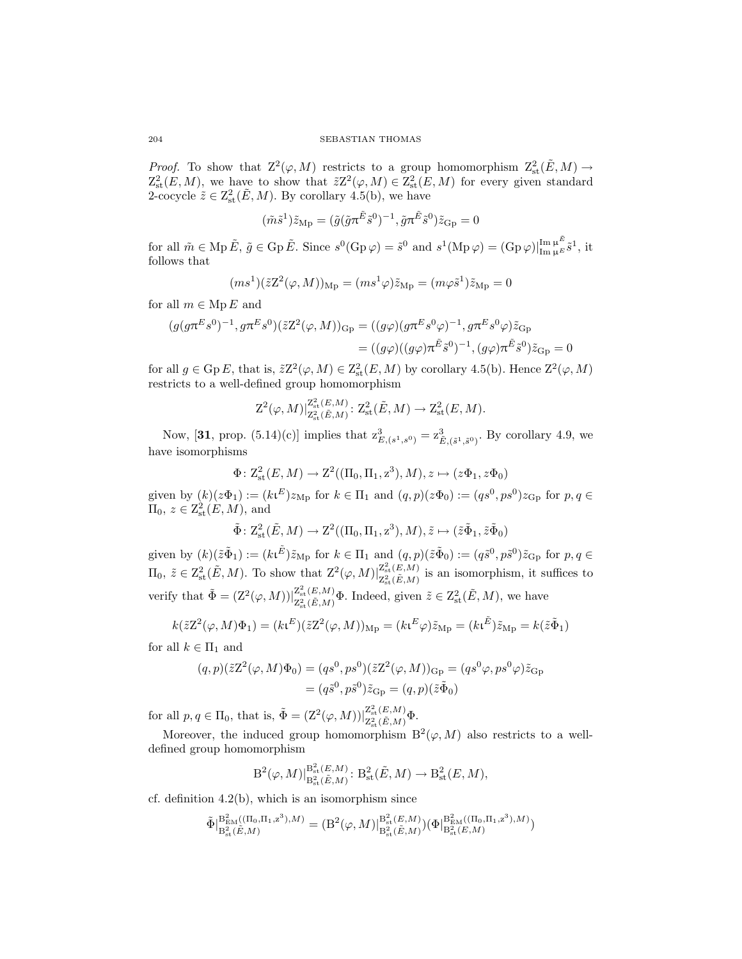*Proof.* To show that  $Z^2(\varphi, M)$  restricts to a group homomorphism  $Z^2_{st}(\tilde{E}, M) \to$  $Z_{st}^{2}(E,M)$ , we have to show that  $\tilde{z}Z^{2}(\varphi,M) \in Z_{st}^{2}(E,M)$  for every given standard 2-cocycle  $\tilde{z} \in \mathbb{Z}_{\text{st}}^2(\tilde{E}, M)$ . By corollary [4.5](#page-28-1)[\(b\),](#page-29-0) we have

$$
(\tilde{m}\tilde{s}^1)\tilde{z}_{\mathrm{Mp}} = (\tilde{g}(\tilde{g}\pi^{\tilde{E}}\tilde{s}^0)^{-1}, \tilde{g}\pi^{\tilde{E}}\tilde{s}^0)\tilde{z}_{\mathrm{Gp}} = 0
$$

for all  $\tilde{m} \in \text{Mp } \tilde{E}, \ \tilde{g} \in \text{Gp } \tilde{E}.$  Since  $s^0(\text{Gp }\varphi) = \tilde{s}^0$  and  $s^1(\text{Mp }\varphi) = (\text{Gp }\varphi)|_{\text{Im }\mu^E}^{\text{Im }\mu^{\tilde{E}}}\tilde{s}^1$ , it follows that

$$
(ms1)(\tilde{z}Z2(\varphi, M))Mp = (ms1\varphi)\tilde{z}Mp = (m\varphi\tilde{s}1)\tilde{z}Mp = 0
$$

for all  $m \in \text{Mp } E$  and

$$
(g(g\pi^{E}s^{0})^{-1}, g\pi^{E}s^{0})(\tilde{z}Z^{2}(\varphi, M))_{\text{Gp}} = ((g\varphi)(g\pi^{E}s^{0}\varphi)^{-1}, g\pi^{E}s^{0}\varphi)\tilde{z}_{\text{Gp}}
$$

$$
= ((g\varphi)((g\varphi)\pi^{\tilde{E}}\tilde{s}^{0})^{-1}, (g\varphi)\pi^{\tilde{E}}\tilde{s}^{0})\tilde{z}_{\text{Gp}} = 0
$$

for all  $g \in \text{Gp } E$ , that is,  $\tilde{z}Z^2(\varphi, M) \in \text{Z}_{\text{st}}^2(E, M)$  by corollary [4.5](#page-28-1)[\(b\).](#page-29-0) Hence  $\text{Z}^2(\varphi, M)$ restricts to a well-defined group homomorphism

$$
\mathsf{Z}^2(\varphi,M)\vert_{\mathsf{Z}_{\mathrm{st}}^2(\tilde{E},M)}^{\mathsf{Z}^2_{\mathrm{st}}(\tilde{E},M)}\colon \mathsf{Z}^2_{\mathrm{st}}(\tilde{E},M)\to \mathsf{Z}^2_{\mathrm{st}}(E,M).
$$

Now, [[31](#page-43-0), prop.  $(5.14)(c)$ ] implies that  $z_{E,(s^1,s^0)}^3 = z_{\tilde{E},(\tilde{s}^1,\tilde{s}^0)}^3$ . By corollary [4.9,](#page-34-0) we have isomorphisms

$$
\Phi \colon \mathcal{Z}^2_{\mathrm{st}}(E,M) \to \mathcal{Z}^2((\Pi_0,\Pi_1,z^3),M), z \mapsto (z\Phi_1,z\Phi_0)
$$

given by  $(k)(z\Phi_1) := (k\mathfrak{t}^E)z_{\mathrm{Mp}}$  for  $k \in \Pi_1$  and  $(q,p)(z\Phi_0) := (qs^0, ps^0)z_{\mathrm{Gp}}$  for  $p, q \in$  $\Pi_0, z \in \mathcal{Z}_{\text{st}}^2(E, M)$ , and

$$
\tilde{\Phi}: \mathcal{Z}_{\mathrm{st}}^2(\tilde{E}, M) \to \mathcal{Z}^2((\Pi_0, \Pi_1, z^3), M), \tilde{z} \mapsto (\tilde{z}\tilde{\Phi}_1, \tilde{z}\tilde{\Phi}_0)
$$

given by  $(k)(\tilde{z}\tilde{\Phi}_1) := (k\iota^{\tilde{E}})\tilde{z}_{\text{Mp}}$  for  $k \in \Pi_1$  and  $(q, p)(\tilde{z}\tilde{\Phi}_0) := (q\tilde{s}^0, p\tilde{s}^0)\tilde{z}_{\text{Gp}}$  for  $p, q \in$  $\Pi_0, \,\tilde{z} \in \mathbb{Z}_{\text{st}}^2(\tilde{E},M)$ . To show that  $\mathbb{Z}^2(\varphi,M)|_{\mathbb{Z}_+^2(\tilde{E},M)}^{\mathbb{Z}_\text{st}^2(E,M)}$  $Z_{st}^{(E,M)}(\tilde{E},M)$  is an isomorphism, it suffices to verify that  $\tilde{\Phi} = (Z^2(\varphi, M))\vert_{Z^2(\tilde{E} M)}^{Z^2_{\text{st}}(E,M)}$  $Z_{st}^{2}(\tilde{E},M)$  **6**. Indeed, given  $\tilde{z} \in Z_{st}^{2}(\tilde{E},M)$ , we have

$$
k(\tilde{z}Z^2(\varphi, M)\Phi_1) = (k\mathfrak{t}^E)(\tilde{z}Z^2(\varphi, M))_{\text{Mp}} = (k\mathfrak{t}^E\varphi)\tilde{z}_{\text{Mp}} = (k\mathfrak{t}^E)\tilde{z}_{\text{Mp}} = k(\tilde{z}\tilde{\Phi}_1)
$$

for all  $k \in \Pi_1$  and

$$
(q,p)(\tilde{z}Z^{2}(\varphi,M)\Phi_{0}) = (qs^{0},ps^{0})(\tilde{z}Z^{2}(\varphi,M))_{\text{Gp}} = (qs^{0}\varphi,ps^{0}\varphi)\tilde{z}_{\text{Gp}}
$$

$$
= (q\tilde{s}^{0},p\tilde{s}^{0})\tilde{z}_{\text{Gp}} = (q,p)(\tilde{z}\tilde{\Phi}_{0})
$$

for all  $p, q \in \Pi_0$ , that is,  $\tilde{\Phi} = (Z^2(\varphi, M))|_{Z^2(\tilde{\mathcal{L}} \cap M)}^{Z^2(\tilde{\mathcal{L}} \cap M)}$  $\frac{Z_{\rm st}(E,M)}{Z_{\rm st}^2(\tilde{E},M)}\Phi.$ 

Moreover, the induced group homomorphism  $B^2(\varphi, M)$  also restricts to a welldefined group homomorphism

$$
B^2(\varphi, M)|_{B^2_{st}(\tilde{E}, M)}^{B^2_{st}(E, M)}: B^2_{st}(\tilde{E}, M) \to B^2_{st}(E, M),
$$

cf. definition  $4.2(b)$ , which is an isomorphism since

$$
\tilde{\Phi}|_{B^2_{\text{st}}(\tilde{E},M)}^{B^2_{\text{EM}}((\Pi_0,\Pi_1,z^3),M)} = (B^2(\varphi,M)|_{B^2_{\text{st}}(\tilde{E},M)}^{B^2_{\text{st}}(E,M)})(\Phi|_{B^2_{\text{st}}(E,M)}^{B^2_{\text{EM}}((\Pi_0,\Pi_1,z^3),M)})
$$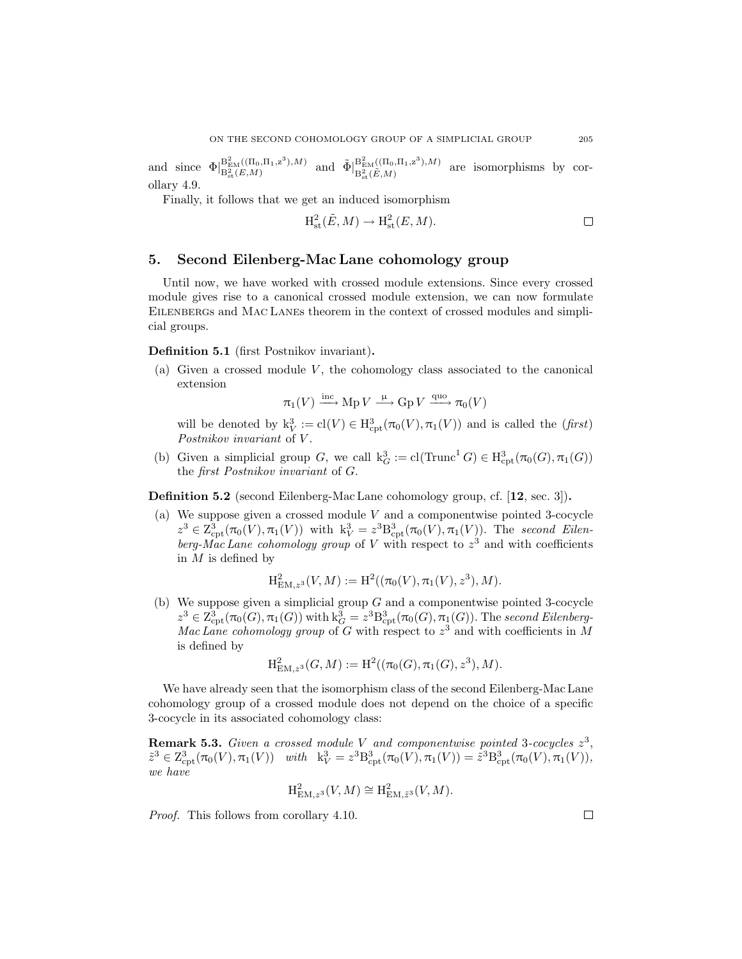and since  $\Phi|_{\mathcal{B}^2(F,M)}^{\mathcal{B}^2_{\text{EM}}((\Pi_0,\Pi_1,z^3),M)}$  $B_{\text{EM}}^2((\Pi_0, \Pi_1, z^3), M)$  and  $\tilde{\Phi}|_{B_{\text{sk}}^2(\tilde{E}, M)}^{B_{\text{EM}}^2((\Pi_0, \Pi_1, z^3), M)}$  $B_{\text{EM}}^{D_{\text{EM}}((10,11),2)}, m$  are isomorphisms by corollary [4.9.](#page-34-0)

Finally, it follows that we get an induced isomorphism

$$
H_{\text{st}}^2(\tilde{E}, M) \to H_{\text{st}}^2(E, M). \square
$$

# <span id="page-38-0"></span>5. Second Eilenberg-Mac Lane cohomology group

Until now, we have worked with crossed module extensions. Since every crossed module gives rise to a canonical crossed module extension, we can now formulate EILENBERGS and MAC LANES theorem in the context of crossed modules and simplicial groups.

# Definition 5.1 (first Postnikov invariant).

(a) Given a crossed module V, the cohomology class associated to the canonical extension

$$
\pi_1(V) \xrightarrow{\text{inc}} \text{Mp } V \xrightarrow{\mu} \text{Gp } V \xrightarrow{\text{quo}} \pi_0(V)
$$

will be denoted by  $k_V^3 := cl(V) \in H^3_{\text{cpt}}(\pi_0(V), \pi_1(V))$  and is called the (*first*) *Postnikov invariant* of V .

(b) Given a simplicial group G, we call  $k_G^3 := cl(Trunc^1 G) \in H^3_{cpt}(\pi_0(G), \pi_1(G))$ the *first Postnikov invariant* of G.

Definition 5.2 (second Eilenberg-Mac Lane cohomology group, cf. [[12](#page-42-0), sec. 3]).

(a) We suppose given a crossed module V and a componentwise pointed 3-cocycle  $z^3 \in Z^3_{\text{cpt}}(\pi_0(V), \pi_1(V))$  with  $k_V^3 = z^3 B^3_{\text{cpt}}(\pi_0(V), \pi_1(V))$ . The *second Eilen*berg-Mac Lane cohomology group of V with respect to  $z<sup>3</sup>$  and with coefficients in  $M$  is defined by

$$
H_{\text{EM},z^3}^2(V,M) := H^2((\pi_0(V), \pi_1(V), z^3), M).
$$

(b) We suppose given a simplicial group  $G$  and a componentwise pointed 3-cocycle  $z^3 \in \mathrm{Z}^3_{\mathrm{cpt}}(\pi_0(G),\pi_1(G))$  with  $k_G^3 = z^3 \mathrm{B}^3_{\mathrm{cpt}}(\pi_0(G),\pi_1(G))$ . The *second Eilenberg*-*Mac Lane cohomology group* of  $G$  with respect to  $z<sup>3</sup>$  and with coefficients in M is defined by

$$
H_{EM,z^{3}}^{2}(G, M) := H^{2}((\pi_{0}(G), \pi_{1}(G), z^{3}), M).
$$

We have already seen that the isomorphism class of the second Eilenberg-Mac Lane cohomology group of a crossed module does not depend on the choice of a specific 3-cocycle in its associated cohomology class:

<span id="page-38-1"></span>Remark 5.3. *Given a crossed module* V *and componentwise pointed* 3*-cocycles* z 3 ,  $\tilde{z}^3 \in \mathcal{Z}_{\rm cpt}^3(\pi_0(V), \pi_1(V))$  with  $k_V^3 = z^3 \mathcal{B}_{\rm cpt}^3(\pi_0(V), \pi_1(V)) = \tilde{z}^3 \mathcal{B}_{\rm cpt}^3(\pi_0(V), \pi_1(V)),$ *we have*

$$
\mathrm{H}^2_{\mathrm{EM},z^3}(V,M)\cong \mathrm{H}^2_{\mathrm{EM},\tilde{z}^3}(V,M).
$$

*Proof.* This follows from corollary [4.10.](#page-36-0)

 $\Box$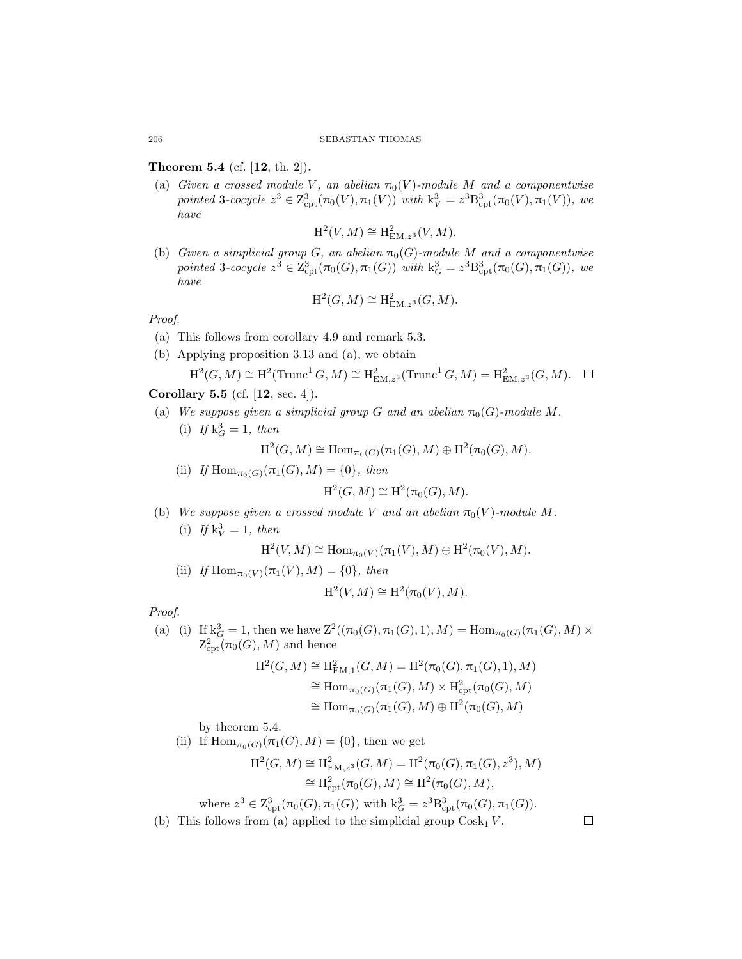# <span id="page-39-2"></span>Theorem 5.4 (cf. [[12](#page-42-0), th. 2]).

(a) *Given a crossed module* V, an abelian  $\pi_0(V)$ *-module* M and a componentwise  $pointed\ 3-cocycle\ z^3 \in \mathbb{Z}_{\rm cpt}^3(\pi_0(V), \pi_1(V))\ with\ k_V^3 = z^3 \mathbb{B}_{\rm cpt}^3(\pi_0(V), \pi_1(V)),\ we$ *have*

$$
\mathrm{H}^2(V, M) \cong \mathrm{H}^2_{\mathrm{EM}, z^3}(V, M).
$$

<span id="page-39-1"></span>(b) *Given a simplicial group G*, an abelian  $\pi_0(G)$ -module M and a componentwise pointed 3-cocycle  $z^3 \in Z^3_{\text{cpt}}(\pi_0(G), \pi_1(G))$  with  $k_G^3 = z^3 B^3_{\text{cpt}}(\pi_0(G), \pi_1(G))$ *, we have*

$$
\mathrm{H}^2(G, M) \cong \mathrm{H}^2_{\mathrm{EM}, z^3}(G, M).
$$

*Proof.*

- (a) This follows from corollary [4.9](#page-34-0) and remark [5.3.](#page-38-1)
- (b) Applying proposition [3.13](#page-23-0) and [\(a\),](#page-39-2) we obtain

$$
\mathrm{H}^2(G, M) \cong \mathrm{H}^2(\mathrm{Trunc}^1 G, M) \cong \mathrm{H}^2_{\mathrm{EM}, z^3}(\mathrm{Trunc}^1 G, M) = \mathrm{H}^2_{\mathrm{EM}, z^3}(G, M). \quad \Box
$$

# <span id="page-39-8"></span><span id="page-39-4"></span><span id="page-39-3"></span>Corollary 5.5 (cf. [[12](#page-42-0), sec. 4]).

<span id="page-39-7"></span>(a) We suppose given a simplicial group G and an abelian  $\pi_0(G)$ -module M. (i) If  $k_G^3 = 1$ , then

$$
\mathrm{H}^2(G,M)\cong \mathrm{Hom}_{\pi_0(G)}(\pi_1(G),M)\oplus \mathrm{H}^2(\pi_0(G),M).
$$

(ii) *If*  $\text{Hom}_{\pi_0(G)}(\pi_1(G), M) = \{0\}$ *, then* 

$$
\mathrm{H}^2(G, M) \cong \mathrm{H}^2(\pi_0(G), M).
$$

<span id="page-39-6"></span><span id="page-39-5"></span>(b) We suppose given a crossed module V and an abelian  $\pi_0(V)$ -module M. (i) If  $k_V^3 = 1$ , then

$$
\mathrm{H}^2(V,M) \cong \mathrm{Hom}_{\pi_0(V)}(\pi_1(V),M) \oplus \mathrm{H}^2(\pi_0(V),M).
$$

(ii) If 
$$
\text{Hom}_{\pi_0(V)}(\pi_1(V), M) = \{0\}, \text{ then}
$$

$$
\mathrm{H}^2(V, M) \cong \mathrm{H}^2(\pi_0(V), M).
$$

*Proof.*

(a) (i) If  $k_G^3 = 1$ , then we have  $Z^2((\pi_0(G), \pi_1(G), 1), M) = \text{Hom}_{\pi_0(G)}(\pi_1(G), M) \times$  $\mathrm{Z}^2_{\mathrm{cpt}}(\pi_0(G),M)$  and hence

$$
H^{2}(G, M) \cong H_{\text{EM},1}^{2}(G, M) = H^{2}(\pi_{0}(G), \pi_{1}(G), 1), M)
$$
  
\n
$$
\cong \text{Hom}_{\pi_{0}(G)}(\pi_{1}(G), M) \times H_{\text{cpt}}^{2}(\pi_{0}(G), M)
$$
  
\n
$$
\cong \text{Hom}_{\pi_{0}(G)}(\pi_{1}(G), M) \oplus H^{2}(\pi_{0}(G), M)
$$

by theorem [5.4.](#page-39-0)

(ii) If  $\text{Hom}_{\pi_0(G)}(\pi_1(G), M) = \{0\}$ , then we get

$$
H^{2}(G, M) \cong H^{2}_{EM, z^{3}}(G, M) = H^{2}(\pi_{0}(G), \pi_{1}(G), z^{3}), M)
$$
  

$$
\cong H^{2}_{cpt}(\pi_{0}(G), M) \cong H^{2}(\pi_{0}(G), M),
$$

where  $z^3 \in \mathrm{Z}_{\mathrm{cpt}}^3(\pi_0(G), \pi_1(G))$  with  $k_G^3 = z^3 \mathrm{B}_{\mathrm{cpt}}^3(\pi_0(G), \pi_1(G)).$ 

(b) This follows from [\(a\)](#page-39-3) applied to the simplicial group  $\text{Cosk}_1 V$ .

<span id="page-39-0"></span>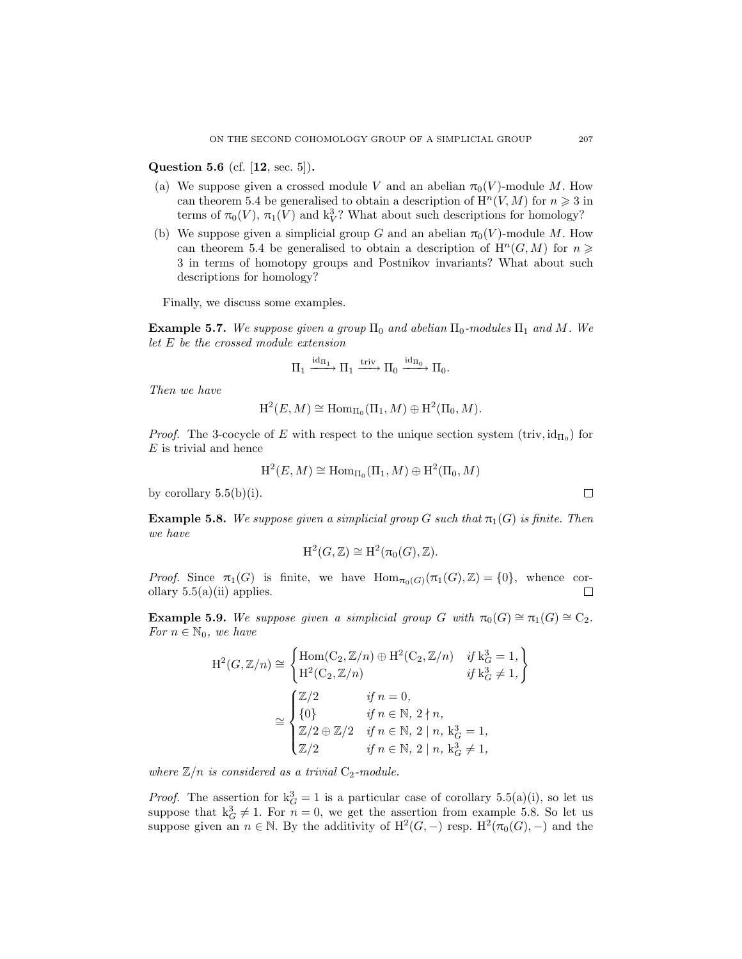## Question 5.6 (cf. [[12](#page-42-0), sec. 5]).

- (a) We suppose given a crossed module V and an abelian  $\pi_0(V)$ -module M. How can theorem [5.4](#page-39-0) be generalised to obtain a description of  $H<sup>n</sup>(V, M)$  for  $n \ge 3$  in terms of  $\pi_0(V)$ ,  $\pi_1(V)$  and  $k_V^3$ ? What about such descriptions for homology?
- (b) We suppose given a simplicial group G and an abelian  $\pi_0(V)$ -module M. How can theorem [5.4](#page-39-0) be generalised to obtain a description of  $\mathrm{H}^n(G,M)$  for  $n \geq$ 3 in terms of homotopy groups and Postnikov invariants? What about such descriptions for homology?

Finally, we discuss some examples.

**Example 5.7.** We suppose given a group  $\Pi_0$  and abelian  $\Pi_0$ -modules  $\Pi_1$  and M. We *let* E *be the crossed module extension*

$$
\Pi_1 \xrightarrow{\mathrm{id}_{\Pi_1}} \Pi_1 \xrightarrow{\mathrm{triv}} \Pi_0 \xrightarrow{\mathrm{id}_{\Pi_0}} \Pi_0.
$$

*Then we have*

$$
\mathrm{H}^2(E, M) \cong \mathrm{Hom}_{\Pi_0}(\Pi_1, M) \oplus \mathrm{H}^2(\Pi_0, M).
$$

*Proof.* The 3-cocycle of E with respect to the unique section system  $(\text{triv}, \text{id}_{\Pi_0})$  for  $E$  is trivial and hence

$$
\mathrm{H}^2(E,M)\cong \mathrm{Hom}_{\Pi_0}(\Pi_1,M)\oplus \mathrm{H}^2(\Pi_0,M)
$$

<span id="page-40-0"></span>by corollary  $5.5(b)(i)$  $5.5(b)(i)$  $5.5(b)(i)$ .

**Example 5.8.** We suppose given a simplicial group G such that  $\pi_1(G)$  is finite. Then *we have*

$$
\mathrm{H}^2(G,\mathbb{Z})\cong \mathrm{H}^2(\pi_0(G),\mathbb{Z}).
$$

*Proof.* Since  $\pi_1(G)$  is finite, we have  $\text{Hom}_{\pi_0(G)}(\pi_1(G), \mathbb{Z}) = \{0\}$ , whence cor-<br>ollary 5.5(a)(ii) applies. ollary  $5.5(a)(ii)$  $5.5(a)(ii)$  $5.5(a)(ii)$  applies.

<span id="page-40-1"></span>**Example 5.9.** *We suppose given a simplicial group* G *with*  $\pi_0(G) \cong \pi_1(G) \cong C_2$ *. For*  $n \in \mathbb{N}_0$ *, we have* 

$$
H^{2}(G, \mathbb{Z}/n) \cong \begin{cases} \text{Hom}(C_{2}, \mathbb{Z}/n) \oplus H^{2}(C_{2}, \mathbb{Z}/n) & \text{if } k_{G}^{3} = 1, \\ H^{2}(C_{2}, \mathbb{Z}/n) & \text{if } k_{G}^{3} \neq 1, \end{cases}
$$

$$
\cong \begin{cases} \mathbb{Z}/2 & \text{if } n = 0, \\ \{0\} & \text{if } n \in \mathbb{N}, 2 \nmid n, \\ \mathbb{Z}/2 \oplus \mathbb{Z}/2 & \text{if } n \in \mathbb{N}, 2 \mid n, k_{G}^{3} = 1, \\ \mathbb{Z}/2 & \text{if } n \in \mathbb{N}, 2 \mid n, k_{G}^{3} \neq 1, \end{cases}
$$

*where*  $\mathbb{Z}/n$  *is considered as a trivial*  $C_2$ *-module.* 

*Proof.* The assertion for  $k_G^3 = 1$  is a particular case of corollary [5.5](#page-39-4)[\(a\)](#page-39-3)[\(i\),](#page-39-8) so let us suppose that  $k_G^3 \neq 1$ . For  $n = 0$ , we get the assertion from example [5.8.](#page-40-0) So let us suppose given an  $n \in \mathbb{N}$ . By the additivity of  $H^2(G, -)$  resp.  $H^2(\pi_0(G), -)$  and the

 $\Box$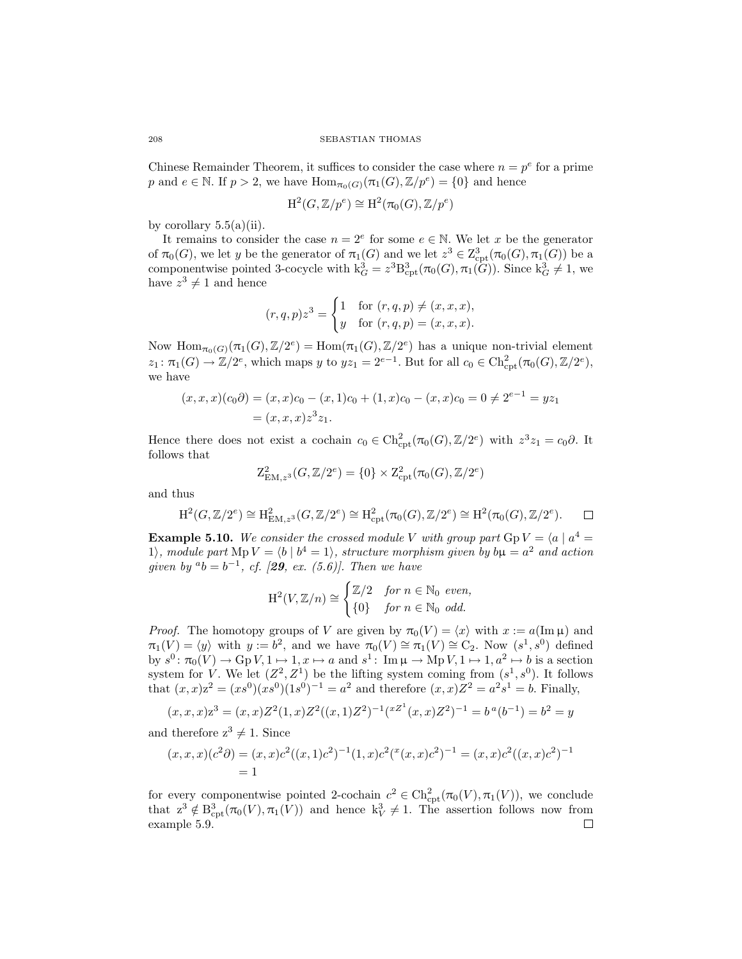Chinese Remainder Theorem, it suffices to consider the case where  $n = p^e$  for a prime p and  $e \in \mathbb{N}$ . If  $p > 2$ , we have  $\text{Hom}_{\pi_0(G)}(\pi_1(G), \mathbb{Z}/p^e) = \{0\}$  and hence

$$
\mathrm{H}^2(G,\mathbb{Z}/p^e) \cong \mathrm{H}^2(\pi_0(G),\mathbb{Z}/p^e)
$$

by corollary  $5.5(a)(ii)$  $5.5(a)(ii)$  $5.5(a)(ii)$ .

It remains to consider the case  $n = 2^e$  for some  $e \in \mathbb{N}$ . We let x be the generator of  $\pi_0(G)$ , we let y be the generator of  $\pi_1(G)$  and we let  $z^3 \in Z^3_{\rm cpt}(\pi_0(G), \pi_1(G))$  be a componentwise pointed 3-cocycle with  $k_G^3 = z^3 B_{\text{cpt}}^3(\pi_0(G), \pi_1(G))$ . Since  $k_G^3 \neq 1$ , we have  $z^3 \neq 1$  and hence

$$
(r, q, p)z^3 = \begin{cases} 1 & \text{for } (r, q, p) \neq (x, x, x), \\ y & \text{for } (r, q, p) = (x, x, x). \end{cases}
$$

Now  $\text{Hom}_{\pi_0(G)}(\pi_1(G), \mathbb{Z}/2^e) = \text{Hom}(\pi_1(G), \mathbb{Z}/2^e)$  has a unique non-trivial element  $z_1: \pi_1(G) \to \mathbb{Z}/2^e$ , which maps y to  $yz_1 = 2^{e-1}$ . But for all  $c_0 \in \mathrm{Ch}^2_{\mathrm{cpt}}(\pi_0(G), \mathbb{Z}/2^e)$ , we have

$$
(x, x, x)(c_0 \partial) = (x, x)c_0 - (x, 1)c_0 + (1, x)c_0 - (x, x)c_0 = 0 \neq 2^{e-1} = yz_1
$$
  
=  $(x, x, x)z^3z_1$ .

Hence there does not exist a cochain  $c_0 \in \text{Ch}_{\text{cpt}}^2(\pi_0(G), \mathbb{Z}/2^e)$  with  $z^3 z_1 = c_0 \partial$ . It follows that

$$
Z_{\text{EM},z^3}^2(G,\mathbb{Z}/2^e) = \{0\} \times Z_{\text{cpt}}^2(\pi_0(G),\mathbb{Z}/2^e)
$$

and thus

$$
H^2(G, \mathbb{Z}/2^e) \cong H^2_{EM, z^3}(G, \mathbb{Z}/2^e) \cong H^2_{\text{cpt}}(\pi_0(G), \mathbb{Z}/2^e) \cong H^2(\pi_0(G), \mathbb{Z}/2^e).
$$

**Example 5.10.** We consider the crossed module V with group part  $GpV = \langle a | a^4 = \rangle$ 1), module part  $MpV = \langle b | b^4 = 1 \rangle$ , structure morphism given by  $b\mu = a^2$  and action *given by*  $a_b = b^{-1}$ , *cf.* [[29](#page-43-1), *ex.* (5.6)]. Then we have

$$
\mathrm{H}^2(V,\mathbb{Z}/n) \cong \begin{cases} \mathbb{Z}/2 & \text{for } n \in \mathbb{N}_0 \text{ even,} \\ \{0\} & \text{for } n \in \mathbb{N}_0 \text{ odd.} \end{cases}
$$

*Proof.* The homotopy groups of V are given by  $\pi_0(V) = \langle x \rangle$  with  $x := a(\text{Im }\mu)$  and  $\pi_1(V) = \langle y \rangle$  with  $y := b^2$ , and we have  $\pi_0(V) \cong \pi_1(V) \cong C_2$ . Now  $(s^1, s^0)$  defined by  $s^0: \pi_0(V) \to \text{Gp } V, 1 \mapsto 1, x \mapsto a$  and  $s^1: \text{ Im }\mu \to \text{Mp } V, 1 \mapsto 1, a^2 \mapsto b$  is a section system for V. We let  $(Z^2, Z^1)$  be the lifting system coming from  $(s^1, s^0)$ . It follows that  $(x, x)z^2 = (xs^0)(xs^0)(1s^0)^{-1} = a^2$  and therefore  $(x, x)Z^2 = a^2s^1 = b$ . Finally,

$$
(x, x, x)z3 = (x, x)Z2(1, x)Z2((x, 1)Z2)-1(xZ1(x, x)Z2)-1 = ba(b-1) = b2 = y
$$

and therefore  $z^3 \neq 1$ . Since

$$
(x, x, x)(c2\partial) = (x, x)c2((x, 1)c2)-1(1, x)c2(x(x, x)c2)-1 = (x, x)c2((x, x)c2)-1
$$
  
= 1

for every componentwise pointed 2-cochain  $c^2 \in \text{Ch}^2_{\text{cpt}}(\pi_0(V), \pi_1(V))$ , we conclude that  $z^3 \notin B^3_{\text{cpt}}(\pi_0(V), \pi_1(V))$  and hence  $k_V^3 \neq 1$ . The assertion follows now from example [5.9.](#page-40-1)П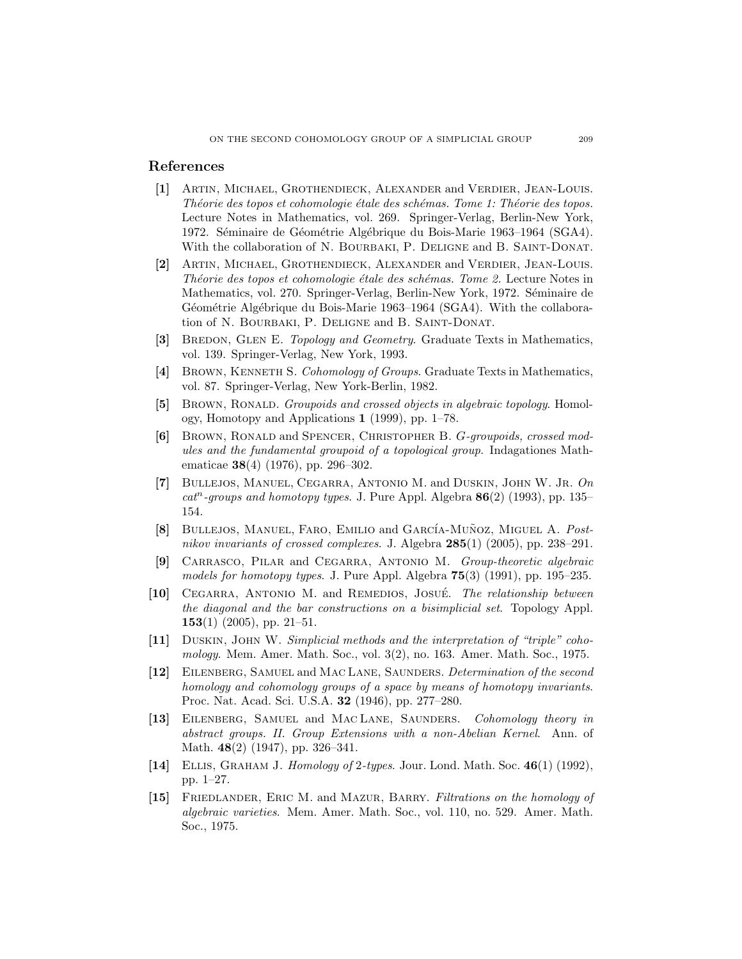# <span id="page-42-4"></span>References

- [1] Artin, Michael, Grothendieck, Alexander and Verdier, Jean-Louis. *Théorie des topos et cohomologie étale des schémas. Tome 1: Théorie des topos.* Lecture Notes in Mathematics, vol. 269. Springer-Verlag, Berlin-New York, 1972. Séminaire de Géométrie Algébrique du Bois-Marie 1963-1964 (SGA4). With the collaboration of N. BOURBAKI, P. DELIGNE and B. SAINT-DONAT.
- <span id="page-42-8"></span>[2] Artin, Michael, Grothendieck, Alexander and Verdier, Jean-Louis. *Théorie des topos et cohomologie étale des schémas. Tome 2.* Lecture Notes in Mathematics, vol. 270. Springer-Verlag, Berlin-New York, 1972. Séminaire de Géométrie Algébrique du Bois-Marie 1963–1964 (SGA4). With the collaboration of N. Bourbaki, P. Deligne and B. Saint-Donat.
- <span id="page-42-14"></span>[3] BREDON, GLEN E. *Topology and Geometry*. Graduate Texts in Mathematics, vol. 139. Springer-Verlag, New York, 1993.
- <span id="page-42-1"></span>[4] Brown, Kenneth S. *Cohomology of Groups*. Graduate Texts in Mathematics, vol. 87. Springer-Verlag, New York-Berlin, 1982.
- <span id="page-42-5"></span>[5] Brown, Ronald. *Groupoids and crossed objects in algebraic topology*. Homology, Homotopy and Applications 1 (1999), pp. 1–78.
- <span id="page-42-6"></span>[6] Brown, Ronald and Spencer, Christopher B. G*-groupoids, crossed modules and the fundamental groupoid of a topological group*. Indagationes Mathematicae 38(4) (1976), pp. 296–302.
- <span id="page-42-7"></span>[7] Bullejos, Manuel, Cegarra, Antonio M. and Duskin, John W. Jr. *On cat*<sup>n</sup>*-groups and homotopy types*. J. Pure Appl. Algebra 86(2) (1993), pp. 135– 154.
- <span id="page-42-3"></span>[8] BULLEJOS, MANUEL, FARO, EMILIO and GARCÍA-MUÑOZ, MIGUEL A. *Postnikov invariants of crossed complexes*. J. Algebra 285(1) (2005), pp. 238–291.
- <span id="page-42-10"></span>[9] Carrasco, Pilar and Cegarra, Antonio M. *Group-theoretic algebraic models for homotopy types*. J. Pure Appl. Algebra 75(3) (1991), pp. 195–235.
- <span id="page-42-12"></span>[10] Cegarra, Antonio M. and Remedios, Josue´. *The relationship between the diagonal and the bar constructions on a bisimplicial set*. Topology Appl. **153**(1) (2005), pp. 21–51.
- <span id="page-42-9"></span>[11] Duskin, John W. *Simplicial methods and the interpretation of "triple" cohomology*. Mem. Amer. Math. Soc., vol. 3(2), no. 163. Amer. Math. Soc., 1975.
- <span id="page-42-0"></span>[12] Eilenberg, Samuel and Mac Lane, Saunders. *Determination of the second homology and cohomology groups of a space by means of homotopy invariants*. Proc. Nat. Acad. Sci. U.S.A. 32 (1946), pp. 277–280.
- <span id="page-42-13"></span>[13] Eilenberg, Samuel and Mac Lane, Saunders. *Cohomology theory in abstract groups. II. Group Extensions with a non-Abelian Kernel*. Ann. of Math. 48(2) (1947), pp. 326–341.
- <span id="page-42-2"></span>[14] Ellis, Graham J. *Homology of* 2*-types*. Jour. Lond. Math. Soc. 46(1) (1992), pp. 1–27.
- <span id="page-42-11"></span>[15] Friedlander, Eric M. and Mazur, Barry. *Filtrations on the homology of algebraic varieties*. Mem. Amer. Math. Soc., vol. 110, no. 529. Amer. Math. Soc., 1975.